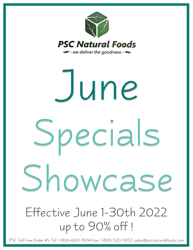

# Effective June 1-30th 2022 up to 90% off ! June Specials Showcase

PSC Toll Free Order #'s Tel: 1-800-663-7604 Fax: 1-800-520-5052 sales@pscnaturalfoods.com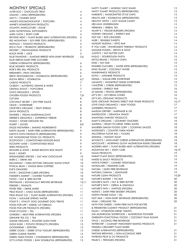| <b>MONTHLY SPECIALS</b>                                                       |                          | HAPPY PLANET   MORNIN' OATZ SHAKE                                          | 13       |
|-------------------------------------------------------------------------------|--------------------------|----------------------------------------------------------------------------|----------|
| ALTER ECO   CHOCOLATE TREAT                                                   | 4                        | HAPPY PLANET PRODUCTS (REFRIGERATED)                                       | 13       |
| AMANO   MISO (REFRIGERATED)                                                   | $\overline{4}$           | HARDBITE   HANDCRAFTED STYLE CHIPS                                         | 13       |
| AMY'S   CANNED SOUP                                                           | 4                        | HEALTH-ADE   KOMBUCHA (REFRIGERATED)                                       | 13       |
| ANGIE'S BOOMCHICKAPOP   POPCORN                                               | $\overline{4}$           | HEALTHY HIPPO   LOW SUGAR CANDY                                            | 13       |
| ANNIE'S HOMEGROWN PRODUCTS                                                    | $\overline{\mathcal{A}}$ | HEE-HAW HORSERADISH                                                        | 13       |
| ATLANTIC MARICULTURE   DULSE                                                  | $\overline{\mathcal{A}}$ | HERBARIA   HERBAL TEA                                                      | 14       |
| AURA NUTRITIONAL SUPPLEMENTS                                                  | $\overline{4}$           | HILARY'S   VEGGIE BURGERS (FROZEN)                                         | 14       |
| AURA CACIA   BODY CARE                                                        | 4                        | HORNBY ORGANIC   ENERGY BAR                                                | 14       |
| BEYOND MEAT   PLANT-BASED MEAT ALTERNATIVES (FROZEN)                          | 5                        | HOT KID   RICE CRACKERS                                                    | 14       |
| BIG MOUNTAIN   SOY-FREE TOFU (REFRIGERATED)                                   | 5                        | HUER   SENSIBLE SWEETS                                                     | 14       |
| <b>BIOITALIA   TOMATO PRODUCTS</b>                                            | 5                        | HUNGRY BUDDHA   KETO BAR                                                   | 14       |
| <b>BIO-K PLUS   PROBIOTIC (REFRIGERATED)</b>                                  | 5                        | IF YOU CARE   ENVIROMENT FRIENDLY PRODUCTS                                 | 14       |
| <b>BIOVERT   DISHWASHING PRODUCTS</b>                                         | 5<br>5                   | IMAGINE FOODS   BROTH & SOUP<br><b>JUSTIN'S   NUT BUTTER CUPS</b>          | 14<br>14 |
| <b>BLACK RIVER   JUICE</b><br>BLUE DIAMOND   ALMOND BREEZE NON-DAIRY BEVERAGE | 5,6                      | KASLO   SOURDOUGH PASTA                                                    | 15       |
| <b>BLUE HERON DAIRY-FREE CULTURED</b>                                         |                          | KETTLE BRAND   POTATO CHIPS                                                | 15       |
| CHEESE ALTERNATIVE (REFRIGERATED)                                             | 6                        | KIND   NUT BAR                                                             | 15       |
| <b>BLUE MONKEY PRODUCTS</b>                                                   | 6                        | KINDRED CULTURES   WATER KEFIR (REFRIGERATED)                              | 15       |
| <b>BOB'S RED MILL PRODUCTS</b>                                                | 6                        | KING ISLAND   COCONUT WATER                                                | 15       |
| <b>BREMNER'S   FRUIT (FROZEN)</b>                                             | 6                        | KINNIKINNICK PRODUCTS                                                      | 15       |
| BREW DR.KOMBUCHA   KOMBUCHA (REFRIGERATED)                                    | 6                        | KOYO   JAPANESE PRODUCTS                                                   | 15       |
| <b>BUCHA BREW   KOMBUCHA</b>                                                  | 6,7                      | KRISDA   SUGAR-FREE SWEETENER                                              | 15       |
| <b>CABOO PRODUCTS</b>                                                         | $\overline{7}$           | LAKANTO   MONKFRUIT BLEND SWEETENER                                        | 15       |
| CASBAH   AUTHENTIC GRAINS & MIXES                                             | $\overline{7}$           | L'ANCÊTRE   CHEESE (REFRIGERATED)                                          | 15       |
| <b>CENTRAL ROAST   POPCORNS</b>                                               | $\overline{7}$           | LARABAR   ENERGY BAR                                                       | 16       |
| CHA'S ORGANICS   SPICES                                                       | $\overline{7}$           | LE GRAND   PESTOS (REFRIGERATED)                                           | 16       |
| <b>CHOSEN FOODS PRODUCTS</b>                                                  | 7,8                      | LET'S DO   ICE CREAM CONES                                                 | 16       |
| <b>CLIF BAR</b>                                                               | 8                        | LET'S DOORGANIC PRODUCTS                                                   | 16       |
| COCONUT SECRET   SOY-FREE SAUCE                                               | 8                        | LEVEL GROUND TRADING DIRECT FAIR TRADE PRODUCTS                            | 16,17    |
| CRAVE   SWEETENER                                                             | 8                        | LOVE CHILD ORGANICS   BABY FOODS                                           | 17       |
| CROFTER'S ORGANIC   FRUIT SPREAD                                              | 8                        | LUNDBERG PRODUCTS                                                          | 17       |
| <b>DAIYA PRODUCTS</b>                                                         | 8                        | MAISON ORPHEE   MARINADE & OIL                                             | 17<br>17 |
| DANDIES   VEGAN MARSHMALLOWS                                                  | 8<br>8                   | MADEGOOD   GRANOLA SNACK<br>MANITOBA HARVEST PRODUCTS                      | 18       |
| DEEBEE'S ORGANICS   SUPERFRUIT FREEZIE                                        | 8                        | MARY'S ORGANIC   GOURMET CRACKERS                                          | 18       |
| DOMO   STONE GROUND TEA<br>DUMET   OLIVES                                     | 8,9                      | MATEINA   READY-TO-DRINK YERBA MATES                                       | 18       |
| EAGLE INSTAFERM   BAKING INGREDIENTS                                          | 9                        | MAUREEN SIMON FOODS CORP   COOKING SAUCES                                  | 18       |
| EARTH ISLAND   DAIRY-FREE ALTERNATIVES (REFRIGERATED)                         | 9                        | MCKENZIE'S   COUNTRY FARM HONEY                                            | 18       |
| EARTH'S OWN PRODUCTS (REFRIGERATED)                                           | 9                        | MILLSTREAM FLOUR MILL   FLOURS                                             | 18       |
| EAT WHOLESOME FOOD CO. PRODUCTS                                               | 9                        | MISHIMA   INSTANT SOUP                                                     | 18       |
| ECOPOOCH   COMPOSTABLE DOGGIE BAGS                                            | 9                        | MIYOKO'S   NON-DAIRY CHEESE ALTERNATIVES (REFRIGERATED)                    | 18       |
| ECOSAFE~6400   COMPOSTABLE BAGS                                               | 9                        | MOCOLATE   MORNING GLOW MUSHROOM BLEND CREAMER                             | 18       |
| EDEN PRODUCTS                                                                 | 9                        | MODERN MEAT   PLANT-BASED MEAT ALTERNATIVES (FROZEN)                       | 18       |
| EDWARD & SONS   BAKED BROWN RICE SNAPS                                        | 9                        | MOUNTAIN SKY   BODY CARE                                                   | 18,19    |
| ELIAS   HONEY                                                                 | 9                        | NAAM PRODUCTS                                                              | 19       |
| ENDANGERED SPECIES   OAT MILK CHOCOLATE                                       | 10                       | NABATI PLANT EGGZ (REFRIGERATED)                                           | 19       |
| ENER-C   DRINK MIX                                                            | 10                       | <b>NAKED &amp; SAUCY PRODUCTS</b>                                          | 19       |
| ESCUMINAC   FARM BOTTLED ORGANIC MAPLE SYRUP                                  | 10                       | NATIVE FOREST   CANNED VEGETABLES                                          | 19       |
| ETHICAL BEAN   WHOLE BEAN COFFEES                                             | 10                       | NATRACARE   FEMININE CARE                                                  | 19       |
| <b>EVE'S CRACKERS</b>                                                         | 10 <sup>°</sup>          | NATURA   DAIRY-FREE BEVERAGE                                               | 19<br>19 |
| <b>EVIVE   SMOOTHIE CUBES (FROZEN)</b>                                        | 10<br>10 <sup>°</sup>    | NATURAL CABANA   LEMONADE<br>NATURE CLEAN PRODUCTS                         | 19,20    |
| FARMER'S MARKET   CANNED PUMPKIN<br>FATSO   NUT & SEED BUTTER                 | 10 <sup>°</sup>          | NATURE'S BAKERY   FIG BAR                                                  | 20       |
| FENTIMANS   BOTANICALLY BREWED BEVERAGE                                       | 10,11                    | NATURE'S NUTS   NUT & SEED BUTTER                                          | 20       |
| FERIDIES   PEANUTS                                                            | 11                       | NATURE'S PATH   CEREAL & GRANOLA                                           | 20       |
| FEVER-TREE   DRINK MIXER                                                      | 11                       | NATURE'S PATH   WAFFLES (FROZEN)                                           | 20       |
| FIELD ROAST   CHAO SLICES (REFRIGERATED)                                      | 11                       | NORA'S   DAIRY-FREE DESSERT (FROZEN)                                       | 20       |
| FIELD ROAST CO.   PLANT BASED ALTERNATIVES (FROZEN)                           | 11                       | NORTH PRAIRIE GOLD   OIL                                                   | 20       |
| FLOW   ALKALINE SPRING WATER                                                  | 11                       | NOT MILK   NON-DAIRY BEVERAGE (REFRIGERATED)                               | 20       |
| FOLEY'S   VITALITY DOG GOURMET DOG TREATS                                     | 11                       | NUMI   ORGANIC TEA                                                         | 20       |
| FOOD FOR LIFE   EZEKIEL 4:9 CEREALS                                           | 11                       | NUTS FOR CHEESE   DAIRY-FREE NUTS FOR BUTTER                               |          |
| FOOD FOR LIFE PRODUCTS (FROZEN)                                               | 11                       | & FERMENTED CASHEW PRODUCT (REFRIGERATED)                                  | 21       |
| FOUR O'CLOCK   TEA                                                            | 11                       | NUUN   HYDRATION DRINK TABLETS                                             | 21       |
| GARDEIN   MEAT-FREE ALTERNATIVES (FROZEN)                                     | 11                       | OM MUSHROOM SUPERFOOD   MUSHROOM POWDER                                    | 21       |
| <b>GENUINE TEA CO.   TEA</b>                                                  | 12                       | ONEEARTH FUNCTIONAL FOODS   COCONUT PALM SUGAR                             | 21       |
| GIMME ORGANIC   ROASTED SUSHI NORI                                            | 12                       | OPUS   ALCOHOL FREE BEVERAGE                                               | 21       |
| GOLD RUSH   POTATO PRODUCTS (FROZEN)                                          | 12                       | PAPERCHEF   CULINARY PARCHMENT BAKING PRODUCTS                             | 21       |
| <b>GOODDRINK   SPRITZER</b>                                                   | 12                       | PARMELA CREAMERY PLANT BASED                                               | 21       |
| GREEK GODS   GREEK STYLE YOGURT (REFRIGERATED)                                | 12                       | CHEESE ALTERNATIVES (REFRIGERATED)<br>PARTAKE BREWING   NON-ALCOHOLIC BEER | 21       |
| <b>GREEN CUISINE TEMPEH</b><br>GREEN TABLE FOODS   CONDIMENTS (REFRIGERATED)  | 12<br>12                 | PATIENCE FRUIT & CO PRODUCTS                                               | 21       |
| GT'S LIVING FOODS   RAW KOMBUCHA (REFRIGERATED)                               | 12                       | PEARL'S   PEROGIES (FROZEN)                                                | 21       |
|                                                                               |                          |                                                                            |          |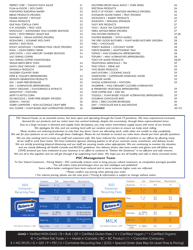| PERFECT CHEF   TOMATO PASTA SAUCE                    | 21 | SOUTHERN RECIPE SMALL BATCH   PORK RINDS                | 26      |
|------------------------------------------------------|----|---------------------------------------------------------|---------|
| PLUM-M-GOOD   RICE CAKES                             | 22 | SPECTRUM PRODUCTS                                       | 26      |
| PORTOFINO EUROPEAN BAKERY                            | 22 | SPICE IT UP FOODS   MEATLESS MEATBALLS (FROZEN)         | 26      |
| <b>BREAD PRODUCTS (FROZEN)</b>                       | 22 | STAHLBUSH ISLAND FARMS   FRUIT (FROZEN)                 | 26      |
| PRAIRIE HARVEST   KETCHUP                            | 22 | STICKLING'S   BAKERY PRODUCTS                           | 26      |
| <b>PRANA PRODUCTS</b>                                | 22 | SUNSORYA   SPIRULINA SPRINKLES                          | 27      |
| QUE PASA TORTILLA CHIPS                              | 22 | <b>TASTY BITE PRODUCTS</b>                              | 27      |
| R.W. KNUDSEN   FRUIT JUICE                           | 22 | TAZO   BLACK TEA CONCENTRATE                            | 27      |
| RAINCOAST   SUSTAINABLE WILD CANNED SEAFOOD          | 23 | TERRA ARTISAN BREAD (FROZEN)                            | 27      |
| RATIO   KETO FRIENDLY SNACK BAR                      | 23 | THAI KITCHEN PRODUCTS                                   | 27,28   |
| RAWMBAS   VEGAN MUFFINS (FROZEN)                     | 23 | THAYERS REMEDIES   WITCH HAZELS                         | 28      |
| RICEWORKS   GOURMET RICE CHIPS                       | 23 | THE VERY GOOD BUTCHERS   PLANT BASED BUTCHERY (FROZEN)  | 28      |
| RIZOPIA   RICE PASTA                                 | 23 | THEO   CHOCOLATE                                        | 28      |
| ROCKY MOUNTAIN   FLATBREAD PIZZA CRUST (FROZEN)      | 24 | THIRSTY BUDDHA   COCONUT WATER                          | 28      |
| RUNA   CLEAN ENERGY DRINK                            | 24 | THRIVE REMEDIES   ADAPTOGENIC TEAS                      | 28      |
| SAFE CATCH   LOW MERCURY CANNED SEAFOOD              | 24 | TOFINO   RAW KOMBUCHA (REFRIGERATED)                    | 28      |
| <b>SALT SPRING COFFEE</b>                            | 24 | TOFURKY   MEAT ALTERNATIVES (REFRIGERATED)              | 28      |
| SALT SPRING COFFEE COMPOSTABLE                       |    | <b>TOM'S OF MAINE PRODUCTS</b>                          | 28,29   |
| SINGLE-SERVE BREW PODS                               | 24 | TRADITIONAL MEDICINALS   TEA                            | 29      |
| SANTA CRUZ ORGANIC   LEMONADE                        | 24 | TRUE CITRUS   DRINK MIX                                 | 29      |
| SAPADILLA PRODUCTS                                   | 24 | <b>TWO BEARS PRODUCTS</b>                               | 29      |
| <b>SAUGEEN COUNTRY DAIRY</b>                         |    | UMI'S KITCHEN   COOKING SAUCE                           | 29      |
| KEFIR & YOGURTS (REFRIGERATED)                       | 24 | WAKEWATER   CAFFEINATED SPARKLING WATER                 | 29      |
| SEVENTH GENERATION PRODUCTS                          | 25 | <b>WHISTLER WATER</b>                                   | 29      |
| SILK   DAIRY-FREE BEVERAGE                           | 25 | WHOLE ALTERNATIVES   POPCORN                            | 29      |
| SILK   ALTERNATIVES (REFRIGERATED)                   | 25 | WILDBRINE   WILD CREAMERY CULTURED ALTERNATIVES         |         |
| SIMPLY ORGANIC   FLAVOURINGS & EXTRACTS              | 25 | & FERMENTED VEGETABLES (REFRIGERATED)                   | 29      |
| SKINNYPOP   POPCORN                                  | 25 | WIZE COFFEE LEAF   ICED TEA                             | 29      |
| <b>SKIPPY'S KETTLE CORN</b>                          | 25 | YOGGU!   PLANT-BASED YOGURT ALTERNATIVES (REFRIGERATED) | 29      |
| SO DELICIOUS   DAIRY-FREE DESSERT (FROZEN)           | 25 | <b>ZAZUBEAN CHOCOLATE BARS</b>                          | 29      |
| SOBAYA   PASTAS                                      | 26 | ZEVIA   ZERO CALORIE BEVERAGES                          | 30      |
| SOBER CARPENTER   NON-ALCOHOLIC CRAFT BEER           | 26 | ZIMT   CHOCOLATE BAR & MACAROONS                        | 30      |
| SOL CUISINE   PLANT-BASED MEAT ALTERNATIVES (FROZEN) | 26 | <b>CLEARANCE</b>                                        | 30 > 33 |
|                                                      |    |                                                         |         |

PSC Natural Foods, as an essential service, has been open and operating through the Covid-19 pandemic. We have experienced increased *demand for our products and our entire team has worked tirelessly, despite the uncertainty, through these unprecedented times. Due to a large increase in demand and supply chain disruptions, you may notice intermittent supply issues with some of our brands.* 

*We apologize for this, and are working hard with our vendors and carriers to ensure we keep stock rolling. Many vendors are reducing production to only their key items. Some are allocating stock, while other are unable to ship completely. We ask for your patience as we work through these challenges. Please do not hesitate to contact our sales team should you have specific questions.* 

*We are also working hard to keep our staff and customers safe. We have reduced the number of workers in our offices by allowing many of our staff to work from home. We have instituted rigorous cleaning policies in all of our common areas, warehouse, and delivery trucks. We are strictly practicing physical distancing and our staff are wearing masks when appropriate. We are continuing to monitor the situation and are closely following all Health Canada and BCCDC guidelines. Our delivery drivers also have masks and gloves and will follow any COVID protocol you have instituted at your business in an effort to continue to "Deliver the Goodness" in an efficient and safe manner. We are all in this together and we will get through it by supporting each other. We hope you are all healthy and safe in these uncertain times.*

## *PSC Management Team*

*To Our Valued Customers - Pricing Notice - PSC continually reviews costs to bring you,our valued customers, as competitive pricingas possible. You will notice many pricechanges since our last catalogue was published.* 

*Some reflect better costingand have been reduced and in some instances higher costs are reflected.*

*• Please confirm any pricing when placing your order* 

*• For volume pricing, please use the case price • Pricing & information is subject to change without notice*

|                                    | Container        | Size                         | Deposit Value                      | Recycling Fee                        |                                    | Container           | Size                         | Deposit Value                      | Recycling Fee                      |
|------------------------------------|------------------|------------------------------|------------------------------------|--------------------------------------|------------------------------------|---------------------|------------------------------|------------------------------------|------------------------------------|
| 2022                               | Aluminum         | $0 - 1L$                     | $10 \text{ } 4$                    | $1 \, \phi$                          | 2022                               | Aluminum            | $0 - 1L$                     | $10 \text{ } 6$                    | $1 \, \phi$                        |
| Container<br><b>Recycling Fees</b> | Plastic          | $0 - 11$<br>>1L              | 10 <sup>4</sup><br>$10 \text{ } 4$ | 204                                  | Container<br><b>Recycling Fees</b> | Plastic             | $0 - 1L$<br>>1L              | 10 <sub>0</sub><br>10 <sub>q</sub> | 5¢<br>9 <sup>0</sup>               |
|                                    | Glass            | $0 - 1L$<br>>1L              | 10 <sup>†</sup><br>10C             | $10 \text{ }$<br>16 <sup>¢</sup>     |                                    | Glass               | $0 - 1L$<br>>1L              | 10¢<br>10¢                         | 10¢<br>16¢                         |
| Return-It)                         | <b>Bi-Metal</b>  | $0 - 11$<br>>1L              | 10 <sub>0</sub><br>10 <sub>0</sub> | 1¢<br>No Recycling Fee               | Return-It                          | <b>Bi-Metal</b>     | $0 - 1L$<br>>1L              | 10 <sub>0</sub><br>10 <sup>¢</sup> | 1 <sup>c</sup><br>No Recycling Fee |
| It's Worth It.<br>1-800-330-9767   | <b>Drink Box</b> | $0 - 500$ ml<br>$501ml - 1L$ | $10 \text{ } 4$<br>10 <sup>0</sup> | No Recycling Fee<br>No Recycling Fee | It's Worth It.<br>1-800-330-9767   | Drink Box           | $0 - 500$ ml<br>$501ml - 1L$ | 10C<br>10C                         | $rac{2}{2}$ ¢                      |
|                                    | Gable Top        | $0 - 11$<br>>1L              | 10 <sub>0</sub><br>10 <sub>0</sub> | No Recycling Fee<br>4 ¢              | MII K                              | <b>Gable Top</b>    | $0 - 1L$<br>>1L              | 10 <sub>0</sub><br>10 <sub>c</sub> | 6¢<br>6¢                           |
| Fees effective February 1, 2022    | Bag-In-Box       | >1L                          | $10 \text{ } 4$                    | 12¢                                  | Fees effective February 1, 2022    | Polystyrene<br>Cups | $0 - 500$ ml                 | $10 \text{ } 6$                    | 5¢                                 |

 $GMO$  = Verified NON-GMO / B = Bulk / GF = Certified Gluten Free / V = Certified Vegan / \* = Certified Organic  $@$  = Certified Fair Trade / + = Made in Canada / BC = BC Product /  $@$  = Canadian Company X = NO SPLITS / G = GST / P = PST / U = Container Recycling Fee / (S/O) = Special Order (See Rep for Lead Time & Pricing)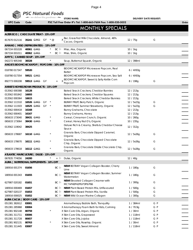

**PSC Natural Foods**<br> **DELIVERY DATE REQUEST:** STORE NAME: **DELIVERY DATE REQUEST:** 

**UPC Code Code PSC Toll Free Order #'s Tel: 1-800-663-7604 Fax: 1-800-520-5052 Order**

# MONTHLY SPECIALS

| ALTER ECO   CHOCOLATE TREAT - 15% OFF     |                      |                         |    |                       |                                                               |            |     |  |
|-------------------------------------------|----------------------|-------------------------|----|-----------------------|---------------------------------------------------------------|------------|-----|--|
| 817670012116 35241 <del>GMO</del> GF *@   |                      |                         |    |                       | Bar, Grass Fed Milk Chocolate, Almond, 46%<br>Cacao, Organic  | 12 / 75g   | G   |  |
| AMANO   MISO (REFRIGERATED) - 15% OFF     |                      |                         |    |                       |                                                               |            |     |  |
| 067334 001028                             | 40061 <del>GMO</del> |                         |    | BC 匝                  | Miso, Aka, Organic                                            | $10/1$ kg  |     |  |
| 067334 001011                             | 40062 GMO            |                         |    | BC Pu                 | Miso, Shiro, Organic                                          | $10/1$ kg  |     |  |
| AMY'S   CANNED SOUP - 15% OFF             |                      |                         |    |                       |                                                               |            |     |  |
| 042272 905348                             | 38328                |                         |    |                       | Soup, Butternut Squash, Organic                               | 12 / 398ml |     |  |
| ANGIE'S BOOMCHICKAPOP   POPCORN - 10% OFF |                      |                         |    |                       |                                                               |            |     |  |
| 018780 017347                             | 59520                |                         |    |                       | <b>BOOMCHICKAPOP Microwave Popcorn, Real</b><br><b>Butter</b> | 6 / 4X93g  |     |  |
| 018780 017354                             | 59521 <del>GMO</del> |                         |    |                       | BOOMCHICKAPOP Microwave Popcorn, Sea Salt                     | 6 / 4X93g  |     |  |
| 892773 000208                             |                      | 59513 <del>GMO</del> GF |    | $^+$                  | BOOMCHICKAPOP, Sweet & Salty Kettle Corn<br>X<br>Popcorn      | 8/198q     | G   |  |
| ANNIE'S HOMEGROWN PRODUCTS - 15% OFF      |                      |                         |    |                       |                                                               |            |     |  |
| 013562 000388                             | 16128                |                         |    |                       | Baked Snack Crackers, Cheddar Bunnies                         | 12 / 213g  |     |  |
| 013562 001842                             | 16693                |                         |    |                       | Baked Snack Crackers, Cheddar Squares                         | 12/213g    |     |  |
| 013562 000364                             | 16615                |                         |    |                       | Baked Snack Crackers, White Cheddar Bunnies                   | 12 / 213g  |     |  |
| 013562 111510                             | 16526 <del>GMO</del> |                         | GF |                       | BUNNY FRUIT, Berry Patch, Organic                             | 12/5x23q   | G   |  |
| 013562 111503                             | 16525 GMO            |                         | GF |                       | BUNNY FRUIT, Summer Strawberry, Organic                       | 12/5x23q   | G   |  |
| 013562 000418                             | 16168                |                         |    |                       | Bunny Grahams, Chocolate                                      | 12/213g    |     |  |
| 013562 000401                             | 16167                |                         |    |                       | Bunny Grahams, Honey                                          | 12/213q    |     |  |
| 065633 173040                             | 38431 GMO            |                         |    |                       | Cereal, Cinnamon Crunch, Organic                              | 10/260q    |     |  |
| 065633 173064                             | 38430 GMO            |                         |    |                       | Cereal, Honey Nut O's, Organic                                | 10/235g    |     |  |
|                                           |                      |                         |    |                       | Deluxe Rich & Creamy, Shells & Cheddar Cheese                 |            |     |  |
| 013562 119042                             | 38425                |                         |    |                       | Sauce                                                         | 12/312q    |     |  |
| 065633 178687                             | 16110 GMO            |                         |    |                       | Granola Bars, Chocolate Dipped Caramel,<br>Organic            | 12 / 5x26g | G   |  |
| 065633 178670                             | 16111 <del>GMO</del> |                         |    |                       | Granola Bars, Chocolate Dipped Chocolate<br>Chip, Organic     | 12 / 5x26g | G   |  |
| 065633 178618                             | 16112 <del>GMO</del> |                         |    |                       | Granola Bars, Chocolate Drizzle Chocolate Chip,<br>Organic    | 12/5x26g   | G   |  |
| ATLANTIC MARICULTURE   DULSE - 15% OFF    |                      |                         |    |                       |                                                               |            |     |  |
| 067835 774056                             | 24200                |                         |    | + や                   | Dulse, Organic                                                | 12 / 40g   |     |  |
| AURA   NUTRITIONAL SUPPLEMENTS - 10% OFF  |                      |                         |    |                       |                                                               |            |     |  |
| 180916 001374                             | 01656                |                         |    | BC P                  | <b>NEW! BOTANY Vegan Collagen Booster, Cherry</b><br>Lime     | 1/180g     | G   |  |
| 180916 001343                             | 01655                |                         |    | BC Pu                 | NEW! BOTANY Vegan Collagen Booster, Summer<br>Watermelon      | 1 / 180g   | G   |  |
| 627987 020182                             | 01651                |                         |    | BC Pu                 | NEW! Elevated Collagen Creamer with<br>MCT+P40P42P6:P3P6:P66  | 1/300q     | G   |  |
| 180916 000469                             | 01657                |                         |    | BC p                  | NEW! Plant Based Protein Mix, Unflavoured                     | 1/500q     | G   |  |
| 627987 020137                             | 01653                |                         |    | $BC$ $\triangleright$ | NEW! Plant Based Protein Mix, Vanilla                         | 1/500g     | G   |  |
| 180916 000025                             | 01652                |                         |    | $BC$ $\triangleright$ | <b>NEW!</b> Wild Ocean Marine Collagen                        | 1 / 300g   | G   |  |
| AURA CACIA   BODY CARE - 15% OFF          |                      |                         |    |                       |                                                               |            |     |  |
| 051381 382612                             | 83001                |                         |    |                       | Aromatherapy Bubble Bath, Tranquility                         | 1 / 384ml  | G P |  |
| 051381 285968                             | 83004                |                         |    |                       | X Aromatherapy Foam Bath for Kids, Calming                    | 6/70.9g    | G P |  |
| 051381 902148                             | 80759                |                         |    |                       | X Skin Care Oils, Argan, Organic                              | 1/30ml     | G P |  |
| 051381 311711                             | 83006                |                         |    |                       | X Skin Care Oils, Grapeseed                                   | 1 / 118ml  | G P |  |
| 051381 311728                             | 80657                |                         |    |                       | X Skin Care Oils, Jojoba                                      | 1/118ml    | G P |  |
| 051381 902131                             | 80763                |                         |    |                       | X Skin Care Oils, Rosehip, Organic                            | 1/30ml     | G P |  |
| 051381 311445                             | 83007                |                         |    |                       | X Skin Care Oils, Sweet Almond                                | 1 / 118ml  | G P |  |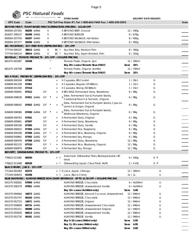|                                                        | PSC Natural Foods |                         |    |          |                |                                                                                     |                               |     |       |
|--------------------------------------------------------|-------------------|-------------------------|----|----------|----------------|-------------------------------------------------------------------------------------|-------------------------------|-----|-------|
|                                                        |                   | we deliver the goodness |    |          |                | <b>STORE NAME:</b>                                                                  | <b>DELIVERY DATE REQUEST:</b> |     |       |
| <b>UPC Code</b>                                        | Code              |                         |    |          |                | PSC Toll Free Order #'s Tel: 1-800-663-7604 Fax: 1-800-520-5052                     |                               |     | Order |
|                                                        |                   |                         |    |          |                | BEYOND MEAT   PLANT-BASED MEAT ALTERNATIVES (FROZEN) - \$12.00 OFF                  |                               |     |       |
| 850004 207291                                          |                   | 56205 GMO               |    | V        |                | X BEYOND BEEF, Ground                                                               | 12 / 340g                     |     |       |
| 810057 290237                                          |                   | 56208 <del>GMO</del>    |    | V        |                | X BEYOND BURGER                                                                     | 8 / 678g                      |     |       |
| 850004 207376                                          |                   | 56207 GMO               |    | V        |                | X BEYOND SAUSAGE, Hot Italian                                                       | 8 / 400g                      |     |       |
| 850004 207277                                          |                   | 56206 GMO               |    | V        |                | X BEYOND SAUSAGE, Mild Italian                                                      | 8 / 400g                      |     |       |
| BIG MOUNTAIN   SOY-FREE TOFU (REFRIGERATED) - 10% OFF  |                   |                         |    |          |                |                                                                                     |                               |     |       |
| 777744 000107                                          |                   | 38013 GMO               |    | V        |                | BC <a> Soy-Free Tofu, Medium Firm</a>                                               | 8 / 340g                      |     |       |
| 777744 000114                                          |                   | 38014 GMO               |    | V        |                | BC Pu Soy-Free Tofu, Super Smoked, Firm                                             | 8 / 320g                      |     |       |
| BIOITALIA   TOMATO PRODUCTS - 10% OFF + VOLUME PRICING |                   |                         |    |          |                |                                                                                     |                               |     |       |
| 661475 003387                                          | 33108             |                         |    |          |                | Tomato Paste, Organic (jar)                                                         | 12 / 300ml                    |     |       |
|                                                        |                   |                         |    |          |                | Buy 40+ cases (Tomato Skus ONLY)                                                    | Save 10%                      |     |       |
| 661475 105708                                          | 33069             |                         |    |          |                | Tomato Purée, Organic (bottle)                                                      | 12 / 700ml                    |     |       |
|                                                        |                   |                         |    |          |                | Buy 40+ cases (Tomato Skus ONLY)                                                    | Save 10%                      |     |       |
| BIO-K PLUS   PROBIOTIC (REFRIGERATED) - 10% OFF        |                   |                         |    |          |                |                                                                                     |                               |     |       |
| 626608 000169                                          | 07383             |                         |    |          |                | X Capsules, IBS Control                                                             | 1/30ct                        | G   |       |
| 626608 001258                                          | 07381             |                         |    |          | $\overline{+}$ | X Capsules, Regular (25 Billion)                                                    | 1/15ct                        | G   |       |
| 626608 001500                                          | 07316             |                         |    |          | $^{+}$         | X Capsules, Strong (50 Billion)                                                     | 1 / 15ct                      | G   |       |
| 626608 000091                                          | 07312             |                         | GF |          | $^{+}$         | X BIO-KIDZ, Fermented Dairy, Strawberry                                             | 6/98q                         | G   |       |
| 626608 008028                                          |                   | 07451 GMO               | GF |          |                | Extra, Fermented Oat & Pumpkin Seeds,<br>Cereboost Peach & Turmeric, Organic        | 6/98g                         | G   |       |
| 626608 008042                                          |                   | 07452 <del>GMO</del>    | GF |          |                | Extra, Fermented Oat & Pumpkin Seeds, Cyracos<br>Lemon & Ginger, Organic            | 6 / 98g                       | G   |       |
| 626608 008066                                          |                   | 07450 <del>GMO</del>    | GF |          |                | Extra, Fermented Oat & Pumpkin Seeds,<br>Wellmune Elderberry, Organic               | 6/98g                         | G   |       |
| 626608 000763                                          | 07301             |                         | GF |          | $^{+}$         | X Fermented Dairy, Original                                                         | 6/98g                         | G   |       |
| 626608 000961                                          | 07307             |                         | GF |          | $^+$           | X Fermented Dairy, Strawberry                                                       | 6/98g                         | G   |       |
| 626608 000336                                          | 07305             |                         | GF |          | $^+$           | X Fermented Dairy, Vanilla                                                          | 6/98g                         | G   |       |
| 626608 000022                                          |                   | 07384 <del>GMO</del>    | GF |          | $\,$ + $\,$    | X Fermented Pea, Raspberry                                                          | 6/98g                         | G   |       |
| 626608 000268                                          |                   | 07309 <del>GMO</del>    | GF | $^\star$ | $\,$ + $\,$    | X Fermented Rice, Blueberry, Organic                                                | 6/98g                         | G   |       |
| 626608 000862                                          |                   | 07303 <del>GMO</del>    | GF |          | $^+$           | X Fermented Soy, Mango                                                              | 6/98g                         | G   |       |
| 626608 000978                                          |                   | 07308 GMO               | GF |          | $^+$           | X Fermented Dairy, Strawberry                                                       | 12 / 98g                      | G   |       |
| 626608 002125                                          | 07310             |                         | GF | $\star$  | $^{+}$         | X Fermented Rice, Blueberry, Organic                                                | 12 / 98g                      | G   |       |
| 626608 000879                                          | 07304             |                         | GF |          | $\! +$         | X Fermented Soy, Mango                                                              | 12 / 98g                      | G   |       |
| <b>BIOVERT   DISHWASHING PRODUCTS - 10% OFF</b>        |                   |                         |    |          |                |                                                                                     |                               |     |       |
| 776622 011082                                          | 80550             |                         |    |          | + 凡            | Automatic Dishwasher Tabs, Biodegradable (30<br>tabs)                               | 6/540g                        | GP  |       |
| 776622 011068                                          | 80528             |                         |    |          | + P            | Dishwashing Liquid, Citrus Fresh, Refill                                            | 2 / 4.43L                     | G P |       |
| BLACK RIVER   JUICE - 15% OFF                          |                   |                         |    |          |                |                                                                                     |                               |     |       |
| 771344 001083                                          | 02372             |                         |    |          |                | + P X Juice, Apple + Mango                                                          | 12 / 300ml                    | U   |       |
| 771344 004053                                          | 02358             |                         |    |          |                | + Pu Juice, Black Cherry                                                            | 12/1                          | U   |       |
|                                                        |                   |                         |    |          |                | BLUE DIAMOND   ALMOND BREEZE NON-DAIRY BEVERAGE - UP TO \$1.50 OFF + VOLUME PRICING |                               |     |       |
| 041570 500262                                          |                   | 07000 GMO               |    |          |                | ALMOND BREEZE, Chocolate                                                            | 6 / 4x240ml                   | U   |       |
| 041570 500279                                          |                   | 07001 GMO               |    |          |                | ALMOND BREEZE, Unsweetened Vanilla                                                  | 6 / 4x240ml                   | U   |       |
|                                                        |                   |                         |    |          |                | Buy 10+ cases (4x240ml only)                                                        | Save 3.00                     |     |       |
| 041570 094464                                          |                   | 16673 GMO               |    |          |                | ALMOND BREEZE, Almond Coconut, Unsweetened                                          | 12 / 946ml                    | U   |       |
| 041570 052747                                          |                   | 06183 GMO               |    |          |                | ALMOND BREEZE, Chocolate                                                            | 12 / 946ml                    | U   |       |
| 041570 052723                                          |                   | 16671 GMO               |    |          |                | ALMOND BREEZE, Original                                                             | 12 / 946ml                    | U   |       |
| 041570 059609                                          |                   | 06731 GMO               |    |          |                | ALMOND BREEZE, Unsweetened Chocolate                                                | 12 / 946ml                    | U   |       |
| 041570 055311                                          |                   | 06088 GMO               |    |          |                | ALMOND BREEZE, Unsweetened Original                                                 | 12 / 946ml                    | U   |       |
| 041570 055830                                          |                   | 06613 GMO               |    |          |                | ALMOND BREEZE, Unsweetened Vanilla                                                  | 12 / 946ml                    | U   |       |
| 041570 052730                                          |                   | 06181 <del>GMO</del>    |    |          |                | ALMOND BREEZE, Vanilla                                                              | 12 / 946ml                    | U   |       |
|                                                        |                   |                         |    |          |                |                                                                                     | Save 3.95                     |     |       |
|                                                        |                   |                         |    |          |                | Buy 5-10 cases (946ml only)<br>Buy 11-19 cases (946ml only)                         | 4.95<br>Save                  |     |       |
|                                                        |                   |                         |    |          |                |                                                                                     |                               |     |       |
|                                                        |                   |                         |    |          |                | Buy 20+ cases (946ml only)                                                          | Save 5.60                     |     |       |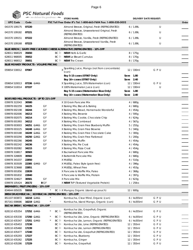

| w                                                    |       |                      | we deliver the goodness |                       | <b>STORE NAME:</b>                                                           |           |             | <b>DELIVERY DATE REQUEST:</b> |       |
|------------------------------------------------------|-------|----------------------|-------------------------|-----------------------|------------------------------------------------------------------------------|-----------|-------------|-------------------------------|-------|
| <b>UPC Code</b>                                      | Code  |                      |                         |                       | PSC Toll Free Order #'s Tel: 1-800-663-7604 Fax: 1-800-520-5052              |           |             |                               | Order |
| 041570 109175                                        | 07220 |                      |                         |                       | Almond Breeze, Original, Fresh (REFRIGERATED)                                |           | 6/1.89L     | U                             |       |
| 041570 109182                                        | 07221 |                      |                         |                       | Almond Breeze, Unsweetened Original, Fresh                                   |           | 6/1.89L     | U                             |       |
| 041570 109151                                        | 07222 |                      |                         |                       | (REFRIGERATED)<br>Almond Breeze, Vanilla, Fresh (REFRIGERATED)               |           | 6/1.89L     | U                             |       |
|                                                      |       |                      |                         |                       | Almond Breeze, Unsweetened Vanilla, Fresh                                    |           |             |                               |       |
| 041570 109168                                        | 07223 |                      |                         |                       | (REFRIGERATED)                                                               |           | 6/1.89L     | U                             |       |
|                                                      |       |                      |                         |                       | BLUE HERON   DAIRY-FREE CULTURED CHEESE ALTERNATIVE (REFRIGERATED) - 10% OFF |           |             |                               |       |
| 628011 968029                                        | 35650 |                      |                         |                       | BC & NEW! Herb & Garlic                                                      |           | 8 / 175g    |                               |       |
| 628011 968005                                        | 35652 |                      |                         |                       | BC <sup>[b]</sup> NEW! Le Bleuet Cumulus                                     |           | 8 / 170g    |                               |       |
| 628011 968012                                        | 35651 |                      |                         |                       | $BC \,  b$ <b>NEW!</b> The Crown                                             |           | 8 / 170g    |                               |       |
| BLUE MONKEY PRODUCTS - VOLUME PRICING                |       |                      |                         |                       |                                                                              |           |             |                               |       |
| 059654 530012                                        | 07067 |                      |                         |                       | X Sparkling Juice, Mango (not from concentrate)<br>(can)                     |           | 12 / 330ml  | GPU                           |       |
|                                                      |       |                      |                         |                       | Buy 5-15 cases (07067 Only)                                                  | Save 1.80 |             |                               |       |
|                                                      |       |                      |                         |                       | Buy 16+ cases (07067 Only)                                                   | Save 2.40 |             |                               |       |
|                                                      |       | 07336 GMO            |                         |                       |                                                                              |           | 12 / 330ml  | GPU                           |       |
| 059654 520013                                        |       |                      |                         |                       | X Sparkling Juice, 55% Watermelon (can)                                      |           |             |                               |       |
| 059654 510014                                        | 07337 |                      |                         |                       | X 100% Watermelon Juice (can)                                                |           | 12 / 330ml  | U                             |       |
|                                                      |       |                      |                         |                       | Buy 5-15 cases (Watermelon Skus Only)                                        | Save 1.80 |             |                               |       |
|                                                      |       |                      |                         |                       | Buy 16+ cases (Watermelon Skus Only)                                         | Save 2.40 |             |                               |       |
| BOB'S RED MILL PRODUCTS - UP TO 21% OFF              |       |                      |                         |                       |                                                                              |           |             |                               |       |
| 039978 322043                                        | 30580 |                      |                         |                       | X 10 Grain Pancake Mix                                                       |           | 4 / 680g    |                               |       |
| 039978 002259                                        | 34225 |                      | GF                      |                       | X Baking Mix, Biscuit & Baking                                               |           | 4 / 680g    |                               |       |
| 039978 002198                                        | 34244 |                      | GF                      |                       | X Baking Mix, Bread, Homemade Wonderful                                      |           | 4/454g      |                               |       |
| 039978 002006                                        | 34213 |                      | GF                      |                       | X Baking Mix, Brownie                                                        |           | 4/595g      |                               |       |
| 039978 002075                                        | 34214 |                      | GF                      |                       | X Baking Mix, Cookie, Chocolate Chip                                         |           | 4/624g      |                               |       |
| 039978 001993                                        | 34212 |                      | GF                      |                       | X Baking Mix, Cornbread                                                      |           | 4/567g      |                               |       |
| 039978 003003                                        |       | 34251 <del>GMO</del> | GF                      |                       | X Baking Mix, Grain Free Blueberry Muffin                                    |           | 5/255g      |                               |       |
| 039978 003225                                        |       | 34248 GMO            | GF                      |                       | X Baking Mix, Grain Free Brownie                                             |           | 5/340g      |                               |       |
| 039978 003188                                        |       | 34249 <del>GMO</del> | GF                      |                       | X Baking Mix, Grain Free Chocolate Cake                                      |           | 5/300g      |                               |       |
| 039978 003294                                        |       | 34250 GMO            | GF                      |                       | X Baking Mix, Grain Free Flatbread                                           |           | 5/200g      |                               |       |
| 039978 002266                                        | 34245 |                      | GF                      |                       | X Baking Mix, Muffin                                                         |           | 4/454g      |                               |       |
| 039978 002242                                        | 34236 |                      | GF                      |                       | X Baking Mix, Pie Crust                                                      |           | 4/454g      |                               |       |
| 039978 002082                                        | 34215 |                      | GF                      |                       | X Baking Mix, Pizza Crust                                                    |           | 4/454g      |                               |       |
| 039978 318817                                        | 30583 |                      |                         |                       | X Buckwheat Pancake Mix                                                      |           | 4 / 680g    |                               |       |
| 039978 328809                                        | 30582 |                      |                         |                       | X Buttermilk Pancake Mix                                                     |           | 4 / 680g    |                               |       |
| 039978 341037                                        | 22850 |                      |                         |                       | X MUESLI                                                                     |           | 4 / 510g    |                               |       |
| 039978 303509                                        |       | 22385 GMO            | GF                      |                       | X MUESLI, Paleo Style (grain free)                                           |           | 4 / 396g    |                               |       |
|                                                      | 22851 |                      |                         |                       |                                                                              |           |             |                               |       |
| 039978 323668                                        |       |                      |                         |                       | X MUESLI, Wheat Free                                                         |           | 4 / 453g    |                               |       |
| 039978 001856                                        | 22839 |                      |                         |                       | X Pancake & Waffle Mix, Paleo                                                |           | 4 / 368g    |                               |       |
| 039978 001832                                        | 22840 |                      |                         |                       | X Pancake & Waffle Mix, Protein                                              |           | 4 / 397g    |                               |       |
| 039978 324627                                        | 30581 |                      | GF                      |                       | X Pancake Mix                                                                |           | 4/623q      |                               |       |
| 039978 105424                                        | 20172 |                      | <b>B</b> GF             |                       | X NEW! TVP (Textured Vegetable Protein)                                      |           | $1/25$ lbs  |                               |       |
| BREMNER'S   FRUIT (FROZEN) - 15% OFF                 |       |                      |                         |                       |                                                                              |           |             |                               |       |
| 834644 005035                                        | 55018 |                      |                         |                       | BC FLX Mangos, Organic (stand-up pouch)                                      |           | 12 / 600g   |                               |       |
| BREW DR.KOMBUCHA   KOMBUCHA (REFRIGERATED) - 15% OFF |       |                      |                         |                       |                                                                              |           |             |                               |       |
| 851107 003872                                        |       | 16218 <del>GMO</del> |                         |                       | Kombucha, Clear Mind, Organic (can)                                          |           | 6 / 4x355ml | GPU                           |       |
| 857161 008686                                        |       | 16219 GMO            |                         |                       | Kombucha, Island Mango, Organic (can)                                        |           | 6 / 4x355ml | GPU                           |       |
| BUCHA BREW   KOMBUCHA - 15% OFF                      |       |                      |                         |                       |                                                                              |           |             |                               |       |
| 628110 435354                                        |       | 17252 <del>GMO</del> |                         | BC Pu                 | Kombucha Lite, Grapefruit, Organic<br>(REFRIGERATED)                         |           | 6 / 4x355ml | GPU                           |       |
| 628110 435330                                        |       | 17250 GMO            |                         | BC p                  | Kombucha Lite, Lime, Organic (REFRIGERATED)                                  |           | 6 / 4x355ml | GPU                           |       |
| 628110 435347                                        |       | 17251 <del>GMO</del> |                         | BCF                   | Kombucha Lite, Lemon, Organic (REFRIGERATED)                                 |           | 6 / 4x355ml | GPU                           |       |
| 628110 435453                                        | 17238 |                      |                         | $BC$ $\triangleright$ | Kombucha Lite, Lime (REFRIGERATED)                                           |           | 12 / 355ml  | GPU                           |       |
| 628110 435460                                        | 17239 |                      |                         | BC Pu                 | Kombucha Lite, Lemon (REFRIGERATED)                                          |           | 12 / 355ml  | GPU                           |       |
| 628110 435477                                        | 17240 |                      |                         | $BC$ $\triangleright$ | Kombucha Lite, Grapefruit (REFRIGERATED)                                     |           | 12 / 355ml  | GPU                           |       |
| 628110 435293                                        | 17227 |                      |                         | BC Pu                 | Kombucha, Blueberry                                                          |           | 12 / 355ml  | GPU                           |       |
| 628110 435262                                        | 17225 |                      |                         | BC Pu                 | Kombucha, Ginger                                                             |           | 12 / 355ml  | GPU                           |       |
|                                                      | 17229 |                      |                         | BC Pu                 | Kombucha, Grapefruit                                                         |           |             | GPU                           |       |
| 628110 435286                                        |       |                      |                         |                       |                                                                              |           | 12 / 355ml  |                               |       |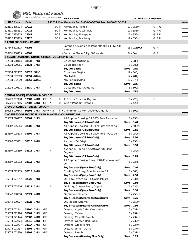

|                                                                         |       |                      | PSC Natural Foods       |      |                                                                 |           |              |                               |       |
|-------------------------------------------------------------------------|-------|----------------------|-------------------------|------|-----------------------------------------------------------------|-----------|--------------|-------------------------------|-------|
|                                                                         |       |                      | we deliver the goodness |      | <b>STORE NAME:</b>                                              |           |              | <b>DELIVERY DATE REQUEST:</b> |       |
| <b>UPC Code</b>                                                         | Code  |                      |                         |      | PSC Toll Free Order #'s Tel: 1-800-663-7604 Fax: 1-800-520-5052 |           |              |                               | Order |
| 628110 435224                                                           | 17216 |                      |                         |      | BC <sup>p</sup> Kombucha, Mango                                 |           | 12 / 355ml   | GPU                           |       |
| 628110 435231                                                           | 17215 |                      |                         | BC P | Kombucha, Passionfruit                                          |           | 12 / 355ml   | GPU                           |       |
| 628110 435415                                                           | 17241 |                      |                         | BCE  | Kombucha, Pineapple                                             |           | 12 / 355ml   | GPU                           |       |
| 628110 435279                                                           | 17226 |                      |                         |      | BC <sub>l</sub> b Kombucha, Raspberry                           |           | 12 / 355ml   | GPU                           |       |
| <b>CABOO PRODUCTS - 10% OFF</b>                                         |       |                      |                         |      |                                                                 |           |              |                               |       |
| 627843 202813                                                           | 46296 |                      |                         |      | Bamboo & Sugarcane Paper Napkins, 1 Ply, 250<br>sheets          |           | 16 / 1x250ct | G P                           |       |
| 628451 738459                                                           | 46309 |                      |                         |      | X Bathroom Tissue, 2 Ply, 500 sheets                            |           | 24 / 1ea     | G P                           |       |
| CASBAH   AUTHENTIC GRAINS & MIXES - VOLUME PRICING                      |       |                      |                         |      |                                                                 |           |              |                               |       |
| 072934 000104                                                           |       | 38532 <del>GMO</del> |                         |      | Couscous, Multigrain                                            |           | 8/180g       |                               |       |
| 072934 000081                                                           |       | 38531 GMO            |                         |      | Couscous, Pearl                                                 |           | 8 / 180g     |                               |       |
|                                                                         |       |                      |                         |      | Buy 20+ cases                                                   | Save 15%  |              |                               |       |
| 072934 692477                                                           |       | 38528 <del>GMO</del> |                         |      | Couscous, Original                                              |           | 12 / 340g    |                               |       |
| 072934 692309                                                           |       | 33051 GMO            |                         |      | Mix, Falafel                                                    |           | 12 / 284g    |                               |       |
| 072934 692279                                                           |       | 33059 GMO            |                         |      | Mix, Tabouli Salad                                              |           | 12 / 170g    |                               |       |
|                                                                         |       |                      |                         |      | Buy 20+ cases                                                   | Save 15%  |              |                               |       |
| 072934 000111                                                           |       | 38530 <del>GMO</del> |                         |      | Couscous, Pearl, Organic                                        |           | 6/600g       |                               |       |
|                                                                         |       |                      |                         |      | Buy 20+ cases                                                   | Save 15%  |              |                               |       |
| CENTRAL ROAST   POPCORNS - 10% OFF                                      |       |                      |                         |      |                                                                 |           |              |                               |       |
| 685220 007178                                                           |       | 17503 <del>GMO</del> | GF<br>$\star$           | + FD | Tri Colour Popcorn, Organic                                     |           | 6 / 425g     | G                             |       |
| 685220 007185                                                           |       |                      | 17502 GMO GF *          |      | + Pu Yellow Popcorn, Organic                                    |           |              |                               |       |
|                                                                         |       |                      |                         |      |                                                                 |           | 6/425g       |                               |       |
| CHA'S ORGANICS   SPICES - 20% OFF                                       |       |                      | 91306 GMO GFV * @       |      |                                                                 |           |              |                               |       |
| 806253 000343<br>CHOSEN FOODS PRODUCTS - UP TO 14% OFF + VOLUME PRICING |       |                      |                         |      | <sup></sup> X Cinnamon, Ceylon, Ground, Organic                 |           | 1/500g       |                               |       |
| 815074 020737                                                           |       | 32307 GMO            |                         |      |                                                                 |           | 6/250ml      |                               |       |
|                                                                         |       |                      |                         |      | All-Purpose Cooking Oil, 100% Pure Avocado                      |           |              |                               |       |
|                                                                         |       |                      |                         |      | Buy 10+ cases (Oil Skus Only)                                   | Save 1.40 |              |                               |       |
| 853807 005064                                                           |       | 32308 GMO            |                         |      | All-Purpose Cooking Oil, 100% Pure Avocado                      |           | 6 / 500ml    |                               |       |
|                                                                         |       |                      |                         |      | Buy 10+ cases (Oil Skus Only)                                   | Save 2.85 |              |                               |       |
| 853807 005828                                                           |       | 32309 GMO            |                         |      | All-Purpose Cooking Oil, 100% Pure Avocado                      |           | 6 / 750ml    |                               |       |
|                                                                         |       |                      |                         |      | Buy 10+ cases (Oil Skus Only)                                   | Save 3.30 |              |                               |       |
| 853807 005231                                                           |       | 32310 GMO            |                         |      | Avocado Oil, Virgin                                             |           | 6/250ml      |                               |       |
|                                                                         |       |                      |                         |      | Buy 10+ cases (Oil Skus Only)                                   | Save 1.90 |              |                               |       |
| 853807 005859 32311 GMO                                                 |       |                      |                         |      | Avocado, Coconut & Safflower Oil Blend,<br>Organic              |           | 4 / 750ml    |                               |       |
|                                                                         |       |                      |                         |      | Buy 10+ cases (Oil Skus Only)                                   | Save 1.85 |              |                               |       |
| 853807 005033                                                           |       | 32312 GMO            |                         |      | All-Purpose Cooking Spray, 100% Pure Avocado<br>Oil             |           | 6/134g       |                               |       |
|                                                                         |       |                      |                         |      | Buy 5+ cases (Spray Skus Only)                                  | Save 1.40 |              |                               |       |
| 815074 022915                                                           |       | 32318 <del>GMO</del> |                         |      | Cooking Oil Spray, Pure Avocado Oil                             |           | 6/383g       |                               |       |
|                                                                         |       |                      |                         |      | Buy 5+ cases (Spray Skus Only)                                  | Save 2.50 |              |                               |       |
| 815074 021857                                                           |       | 32320 GMO            |                         |      | Oil Spray, Avocado Oil, Garlic Infused                          |           | 6/134g       |                               |       |
|                                                                         |       |                      |                         |      | Buy 5+ cases (Spray Skus Only)                                  | Save 1.60 |              |                               |       |
| 815074 023516                                                           |       | 32319 GMO            |                         |      | Oil Spray, Chosen Blend, Organic                                |           | 6/134g       |                               |       |
|                                                                         |       |                      |                         |      | Buy 5+ cases (Spray Skus Only)                                  | Save 1.10 |              |                               |       |
| 810042 990210                                                           |       | 32321 <del>GMO</del> |                         |      | Oil, Toasted Sesame                                             |           | 6 / 250ml    |                               |       |
|                                                                         |       |                      |                         |      | Buy 5+ cases (Sesame Oil Skus Only)                             | Save 1.25 |              |                               |       |
| 810042 990227                                                           |       | 32322 GMO            |                         |      | Oil, Toasted Sesame                                             |           | 4 / 750ml    |                               |       |
|                                                                         |       |                      |                         |      | Buy 5+ cases (Sesame Oil Skus Only)                             | Save 2.90 |              |                               |       |
| 815074 022441                                                           |       | 32300 <del>GMO</del> | GF                      |      | Dressing, Apple Cider Vinaigrette                               |           | 6/237ml      |                               |       |
| 815074 022496                                                           |       | 32301 GMO            | GF                      |      | Dressing, Caesar                                                |           | 6/237ml      |                               |       |
| 815074 021444                                                           |       | 32302 <del>GMO</del> | GF                      |      | Dressing, Chipotle Ranch                                        |           | 6 / 237ml    |                               |       |
| 815074 022724                                                           |       | 32316 <del>GMO</del> | GF                      |      | Dressing, Garden Herb Tahini                                    |           | 6 / 237ml    |                               |       |
| 815074 022717                                                           |       | 32317 <del>GMO</del> | GF                      |      | Dressing, Greek Tahini                                          |           | 6 / 237ml    |                               |       |
| 815074 021437                                                           |       | 32303 <del>GMO</del> | GF                      |      | Dressing, Lemon Garlic                                          |           | 6 / 237ml    |                               |       |
| 815074 022830                                                           |       | 32304 GMO            | GF                      |      | Dressing, Ranch                                                 |           | 6 / 237ml    |                               |       |
|                                                                         |       |                      |                         |      | Buy 5+ cases (Dressing Skus Only)                               | Save 1.25 |              |                               |       |
|                                                                         |       |                      |                         |      |                                                                 |           |              |                               |       |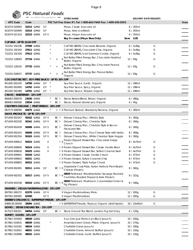# **PSC Natural Foods** we deliver the goodness

| $\blacksquare$                                   |                      |                      | $\frac{1}{2}$ we delive the goodness $\frac{1}{2}$ |       | <b>STORE NAME:</b>                                                                            |           |              | <b>DELIVERY DATE REQUEST:</b> |       |
|--------------------------------------------------|----------------------|----------------------|----------------------------------------------------|-------|-----------------------------------------------------------------------------------------------|-----------|--------------|-------------------------------|-------|
| <b>UPC Code</b>                                  | Code                 |                      |                                                    |       | PSC Toll Free Order #'s Tel: 1-800-663-7604 Fax: 1-800-520-5052                               |           |              |                               | Order |
| 815074 020003                                    |                      | 32313 GMO            | GF                                                 |       | Mayo, Classic Avocado oil                                                                     |           | 6 / 355ml    |                               |       |
| 815074 020409                                    |                      | 32314 GMO            | GF                                                 |       | Mayo, Keto (certified)                                                                        |           | 6/355ml      |                               |       |
| 815074 021314                                    |                      | 32315 <del>GMO</del> | GF V                                               |       | Mayo, Vegan Avocado oil                                                                       |           | 6 / 355ml    |                               |       |
|                                                  |                      |                      |                                                    |       | Buy 5+ cases (Mayo Skus Only)                                                                 | Save 2.05 |              |                               |       |
| CLIF BAR - UP TO \$2.64 OFF                      |                      |                      |                                                    |       |                                                                                               |           |              |                               |       |
| 722252 192336                                    |                      | 37599 <del>GMO</del> |                                                    |       | CLIF KID ZBARS, Chocolate Brownie, Organic                                                    |           | 6/5x36g      | G                             |       |
| 722252 192343                                    |                      | 37611 GMO            |                                                    |       | CLIF KID ZBARS, Chocolate Chip, Organic                                                       |           | 6 / 5x36g    | G                             |       |
| 722252 192326                                    |                      | 37612 GMO            |                                                    |       | CLIF KID ZBARS, Iced Oatmeal Cookie, Organic                                                  |           | 6/5x36g      | G                             |       |
|                                                  |                      |                      |                                                    |       | Nut Butter Filled Energy Bar, Chocolate Hazelnut                                              |           |              |                               |       |
| 722252 128003                                    |                      | 37734 <del>GMO</del> |                                                    |       | Butter, Organic                                                                               |           | 12 / 50q     | G                             |       |
| 722252 128102                                    |                      | 37735 <del>GMO</del> |                                                    |       | , Nut Butter Filled Energy Bar, Chocolate Peanut<br>Butter, Organic                           |           | 12 / 50g     | G                             |       |
| 722252 028037                                    |                      | 37737 <del>GMO</del> |                                                    |       | Nut Butter Filled Energy Bar, Peanut Butter,                                                  |           | 12 / 50g     | G                             |       |
|                                                  |                      |                      |                                                    |       | Organic                                                                                       |           |              |                               |       |
| COCONUT SECRET   SOY-FREE SAUCE - UP TO 20% OFF  |                      |                      |                                                    |       |                                                                                               |           |              |                               |       |
| 851492 002245                                    |                      | 14700 GMO            | GF                                                 |       | Soy-Free Sauce, Garlic, Organic                                                               |           | 12 / 296ml   |                               |       |
| 851492 002993                                    |                      | 14702 <del>GMO</del> | GF                                                 |       | Soy-Free Sauce, Spicy, Organic                                                                |           | 12 / 296ml   |                               |       |
| 851492 002368                                    |                      | 14701 GMO            | GF                                                 |       | Soy-Free Sauce, Teriyaki, Organic                                                             |           | 12 / 296ml   |                               |       |
| CRAVE   SWEETENER - 10% OFF                      |                      |                      |                                                    |       |                                                                                               |           |              |                               |       |
| 884063 000678                                    |                      | 23030 GMO            | $^\star$                                           | BC 匝  | Stevia Bakers Blend, Brown, Organic                                                           |           | 6/380g       |                               |       |
| 884063 000500                                    |                      | 23034 GMO            | $\star$                                            |       | BC Pu Stevia, Natural (shaker jar), Organic                                                   |           | 6/45g        |                               |       |
| CROFTER'S ORGANIC   FRUIT SPREAD - 20% OFF       |                      |                      |                                                    |       |                                                                                               |           |              |                               |       |
| 067275 006090                                    | 42675 <del>GMO</del> |                      |                                                    |       | + Fu X Premium Spread, Strawberry Banana, Organic                                             |           | 6 / 383ml    |                               |       |
| DAIYA PRODUCTS - UP TO 15% OFF                   |                      |                      |                                                    |       |                                                                                               |           |              |                               |       |
| 871459 002347                                    |                      | 50162 GMO            | GF V                                               |       | BC 和 Deluxe Cheezy Mac, Alfredo Style                                                         |           | 8 / 300g     |                               |       |
| 871459 002330                                    |                      | 50161 GMO            | GF V                                               |       | BC <sup>[b]</sup> Deluxe Cheezy Mac, Cheddar Style                                            |           | 8 / 300g     |                               |       |
| 871459 002439                                    |                      | 50008 <del>GMO</del> | GF V                                               | BC Pu | Deluxe Cheezy Mac, Cheddar Style & Bacon<br><b>Flavoured Bits</b>                             |           | 8 / 300g     |                               |       |
| 871459 002415                                    |                      | 50009 GMO            | GF V                                               | BCE   | Deluxe Cheezy Mac, Four Cheeze Style with Herbs                                               |           | 8 / 309q     |                               |       |
| 871459 002354                                    |                      | 50163 GMO            | GF V                                               |       | BC 问 Deluxe Cheezy Mac, White Cheddar Style Veggie                                            |           | 8 / 300g     |                               |       |
| 871459 009612                                    |                      | 50323 <del>GMO</del> | V                                                  |       | p X Frozen Dipped Dessert Bar, Chocolate Fudge<br>Crunch                                      |           | 8 / 4x75ml   | G                             |       |
| 871459 009605                                    |                      | 50324 GMO            | V                                                  |       | <sup>[</sup> X Frozen Dipped Dessert Bar, Classic Vanilla Bean]                               |           | 8 / 4x75ml   | G                             |       |
| 871459 009629                                    |                      | 50325 <del>GMO</del> | V                                                  |       | 和 X Frozen Dipped Dessert Bar, Salted Caramel Swirl                                           |           | 8 / 4x75ml   | G                             |       |
| 871459 009841                                    |                      | 50320 GMO            |                                                    |       | <sup>[</sup> d X Frozen Dessert, Classic Vanilla Cream                                        |           | 8 / 473ml    | G                             |       |
| 871459 009810                                    |                      | 50321 <del>GMO</del> |                                                    |       | <sup></sup> Pu X Frozen Dessert, Salted Caramel Chip                                          |           | 8 / 473ml    | G                             |       |
| 871459 009803                                    |                      | 50322 GMO            |                                                    |       | Pu X Frozen Dessert, Triple Fudge Chunk                                                       |           | 8 / 473ml    | G                             |       |
| 871459 002491                                    |                      | 50311 GMO            | GF                                                 | BC PX | Vegetable Crust Pizza, Italian Herbs & Plant Based<br>Cheeze (Frozen)                         |           | 8 / 382g     |                               |       |
| 871459 002552                                    |                      | 50317 GMO            | GF V                                               | BC Px | NEW! Flatbread, Meatless Italian Sausage flavored<br>Crumbles, Roasted Pepper & Kale (Frozen) |           | 8 / 322g     |                               |       |
| 871459 002538                                    |                      | 50316 GMO GFV        |                                                    | BC Px | NEW! Flatbread, Mushroom, Caramelized Onion &<br>Fig (Frozen)                                 |           | 8 / 346g     |                               |       |
| DANDIES   VEGAN MARSHMALLOWS - 15% OFF           |                      |                      |                                                    |       |                                                                                               |           |              |                               |       |
| 897581 000372                                    |                      | 02370 GMO            | GF V                                               |       | X Vegan Marshmallows, Minis                                                                   |           | 12 / 283g    | G                             |       |
| 897581 000365                                    | 02260                |                      | GF V                                               |       | X Vegan Marshmallows                                                                          |           | 12 / 283g    | G                             |       |
| DEEBEE'S ORGANICS   SUPERFRUIT FREEZIE - 10% OFF |                      |                      |                                                    |       |                                                                                               |           |              |                               |       |
| 8389130 00509                                    | 39094 GMO            |                      |                                                    |       | <sup></sup> N X SUPERFRUIT Freezie, Tropical, Organic (shelf stable)                          |           | 18 / 10x40ml | G                             |       |
| DOMO   STONE GROUND TEA - 15% OFF                |                      |                      |                                                    |       |                                                                                               |           |              |                               |       |
| 817523 000321                                    |                      | 04054 <del>GMO</del> | GF                                                 |       | BC Pu Stone Ground Tea Blend, London Fog Earl Grey                                            |           | 6/120g       |                               |       |
| DUMET   OLIVES - 10% OFF                         |                      |                      |                                                    |       |                                                                                               |           |              |                               |       |
| 817861 010044                                    |                      | 48030 GMO            |                                                    |       | A La Grecque Moroccan Black (pouch)                                                           |           | 10/200g      |                               |       |
| 817861 010631                                    |                      | 48039 GMO            |                                                    |       | Amphisis Green Greek, Pitted, Organic (pouch)                                                 |           | 10 / 270g    |                               |       |
| 817861 010181                                    |                      | 48034 <del>GMO</del> |                                                    |       | Chalkidiki Greek (pouch)                                                                      |           | 10/200g      |                               |       |
| 817861 010051                                    |                      | 48031 GMO            |                                                    |       | Chalkidiki Greek, Almond Stuffed (pouch)                                                      |           | 10 / 150g    |                               |       |
| 817861 010068                                    |                      | 48032 GMO            |                                                    |       | Chalkidiki Greek, Garlic Stuffed (pouch)                                                      |           | 10 / 150g    |                               |       |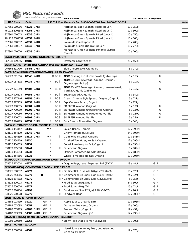# **PSC Natural Foods** we deliver the goodness

| $\sqrt{2}$                                          |                      | we deliver the goodness |    |         |                       | <b>STORE NAME:</b>                                                  |            | <b>DELIVERY DATE REQUEST:</b> |       |
|-----------------------------------------------------|----------------------|-------------------------|----|---------|-----------------------|---------------------------------------------------------------------|------------|-------------------------------|-------|
| <b>UPC Code</b>                                     | Code                 |                         |    |         |                       | PSC Toll Free Order #'s Tel: 1-800-663-7604 Fax: 1-800-520-5052     |            |                               | Order |
| 817861 010006                                       | 48035 GMO            |                         |    |         |                       | Hojiblanca Black Spanish, Pitted (pouch)                            | 10 / 150g  |                               |       |
| 761218 8001545 48051 GMO                            |                      |                         |    |         |                       | Hojiblanca Black Spanish, Pitted (pouch)                            | 10/500q    |                               |       |
| 817861 010013                                       | 48036 GMO            |                         |    |         |                       | Hojiblanca Green Spanish, Pitted (pouch)                            | 10 / 150g  |                               |       |
| 761218 8001552 48052 GMO                            |                      |                         |    |         |                       | Hojiblanca Green Spanish, Pitted (pouch)                            | 10/500q    |                               |       |
| 817861 010037                                       | 48037 GMO            |                         |    |         |                       | Kalamata Greek (pouch)                                              | 10/200q    |                               |       |
| 817861 010617                                       | 48040 GMO            |                         |    |         |                       | Kalamata Greek, Organic (pouch)                                     | 10 / 270g  |                               |       |
| 817861 010020                                       | 48038 <del>GMO</del> |                         |    |         |                       | Manzanilla Green Spanish, Pimento Stuffed<br>(pouch)                | 10/200g    |                               |       |
| EAGLE INSTAFERM   BAKING INGREDIENTS - 10% OFF      |                      |                         |    |         |                       |                                                                     |            |                               |       |
| 067031 109096                                       | 02180                |                         |    |         |                       | Instaferm Instant Yeast                                             | 20 / 450g  |                               |       |
|                                                     |                      |                         |    |         |                       | EARTH ISLAND   DAIRY-FREE ALTERNATIVES (REFRIGERATED) - \$10.24 OFF |            |                               |       |
| 049568 391700                                       | 32453 GMO            |                         |    |         |                       | Bleu Cheese Style, Crumbles                                         | 8 / 170g   |                               |       |
| EARTH'S OWN PRODUCTS (REFRIGERATED) - UP TO 15% OFF |                      |                         |    |         |                       |                                                                     |            |                               |       |
| 626027 811056                                       | 07346 GMO            |                         |    |         | @ BC P                | NEW! Beverage, Oat, Chocolate (gable top)                           | 6/1.75L    | U                             |       |
| 626027 087802                                       | 07232 <del>GMO</del> |                         |    |         | BC Pu                 | NEW! SO NICE Beverage, Almond, Original,<br>Organic (gable top)     | 6/1.75L    | U                             |       |
|                                                     |                      |                         |    |         |                       | NEW! SO NICE Beverage, Almond, Unsweetened,                         |            |                               |       |
| 626027 121049                                       | 07602 GMO            |                         |    | $\star$ | BC Pu                 | Vanilla, Organic (gable top)                                        | 6/1.75L    | U                             |       |
| 626027 926118                                       | 07356 GMO            |                         |    |         | BC p                  | Butter Spread, Organic                                              | 6 / 340g   |                               |       |
| 626027 927146                                       | 07358 GMO            |                         |    |         | $BC$ $\alpha$         | Cream Cheese Style Spread, Original, Organic                        | 6/227g     |                               |       |
| 626027 927139                                       | 07359 GMO            |                         |    |         | BC Pu                 | Dip, Creamy Ranch, Organic                                          | 6/227g     |                               |       |
| 626027 700015                                       | 06901 GMO            |                         |    |         | $BC$ $\triangleright$ | SO FRESH, Almond Original                                           | 6/1.89L    | U                             |       |
| 626027 700039                                       | 06905 GMO            |                         |    |         | $BC$ $\triangleright$ | SO FRESH, Almond Unsweetened Original                               | 6/1.89L    | U                             |       |
| 626027 700060                                       | 07248 <del>GMO</del> |                         |    |         | BC Pu                 | SO FRESH, Almond Unsweetened Vanilla                                | 6/1.89L    | U                             |       |
| 626027 700022                                       | 06903 GMO            |                         |    |         | $BC$ $\triangleright$ | SO FRESH, Almond Vanilla                                            | 6/1.89L    | U                             |       |
| 626027 926125                                       | 07357 GMO            |                         |    |         | BC P                  | Sour Cream Alternative, Organic                                     | 6/340q     |                               |       |
| EAT WHOLESOME FOOD CO. PRODUCTS - 10% OFF           |                      |                         |    |         |                       |                                                                     |            |                               |       |
| 628110 454447                                       | 33305                |                         |    | $V^*$   |                       | Baked Beans, Organic                                                | 12 / 398ml |                               |       |
| 628110 454119                                       | 33249 GMO            |                         |    |         |                       | Cherry Tomatoes, No Salt                                            | 24 / 398ml |                               |       |
| 628110 454539                                       | 33612 <del>GMO</del> |                         |    | $V^*$   |                       | Corn, Whole Kernal, Organic                                         | 12 / 341ml |                               |       |
| 628110 454409                                       | 33230                |                         |    |         |                       | Crushed Tomatoes, No Salt, Organic                                  | 12 / 796ml |                               |       |
| 628110 454379                                       | 33231                |                         |    |         |                       | Diced Tomatoes, No Salt, Organic                                    | 12 / 796ml |                               |       |
| 638170 905810                                       | 33244                |                         |    |         | ŀ٥                    | Sauerkraut, Organic                                                 | 6/909ml    |                               |       |
| 628110 454393                                       | 33233                |                         |    |         |                       | Strained Tomatoes, No Salt, Organic                                 | 12 / 680ml |                               |       |
| 628110 454386                                       | 33232                |                         |    |         |                       | Whole Tomatoes, No Salt, Organic                                    | 12 / 796ml |                               |       |
| ECOPOOCH   COMPOSTABLE DOGGIE BAGS - 10% OFF        |                      |                         |    |         |                       |                                                                     |            |                               |       |
| 678526 913014                                       | 46274                |                         |    |         |                       | X Doggie Bags, Leash Dispenser Roll (9"x13")                        | 18 / 48ct  | G P                           |       |
| ECOSAFE~6400   COMPOSTABLE BAGS - UP TO 15% OFF     |                      |                         |    |         |                       |                                                                     |            |                               |       |
| 678526 600037                                       | 46273                |                         |    |         |                       | <sup>[</sup> d X Bin Liner Roll, Curbside (20 gal/75L 26x36)        | 15 / 12ct  | G P                           |       |
| 678526 243265                                       | 46279                |                         | В  |         |                       | Pux Commerical Bin Liner, 13gal/49.2L (24x32)                       | 24 / 12ct  | G P                           |       |
| 678526 334802                                       | 46270                |                         |    |         |                       | Pu X Commercial Bin Liner, 39gal/147L (33x48)                       | 6 / 15ct   | G P                           |       |
| 678526 600013                                       | 46271                |                         |    |         |                       | X Food Scraps Bag, Small                                            | 24 / 30ct  | G P                           |       |
| 678526 600020                                       | 46272                |                         |    |         |                       | X Food Scraps Bag, Tall                                             | 15 / 12ct  | G P                           |       |
| 678526 316174                                       | 46299                |                         |    |         | ŀ٥                    | Food Waste, Small 2.5gal/9.46L (16x17)                              | 10 / 90ct  | G P                           |       |
| 678526 500078                                       | 46275                |                         |    |         | 匝                     | Sandwich Bags                                                       | 12 / 100ct | G P                           |       |
| EDEN PRODUCTS - UP TO 15% OFF                       |                      |                         |    |         |                       |                                                                     |            |                               |       |
| 024182 003499                                       | 31020                |                         | GF | $\star$ |                       | Apple Sauce, Organic (jar)                                          | 12 / 398ml |                               |       |
| 024182 003093                                       | 24052                |                         | GF | $\star$ |                       | Gomasio, Seaweed, Organic                                           | 12 / 100g  |                               |       |
| 024182 003925                                       | 42185 <del>GMO</del> |                         | GF | $\star$ |                       | Roasted Tahini, Organic                                             | 12 / 454g  |                               |       |
| 024182 013009                                       |                      | 14500 GMO               | GF | $\star$ |                       | Sauerkraut, Organic (jar)                                           | 12 / 796ml |                               |       |
| EDWARD & SONS   BAKED BROWN RICE SNAPS - \$5.53 OFF |                      |                         |    |         |                       |                                                                     |            |                               |       |
| 011206 000350                                       | 16068                |                         |    |         |                       | X Brown Rice Snaps, Tamari Seaweed                                  | 12 / 100g  |                               |       |
| ELIAS   HONEY - \$9.41 OFF                          |                      |                         |    |         |                       |                                                                     |            |                               |       |
| 055013 000318                                       | 44069                |                         |    |         | + F                   | Liquid Squeeze Honey Bear, Unpasteurized,<br>Canada #1 White        | 12 / 375g  |                               |       |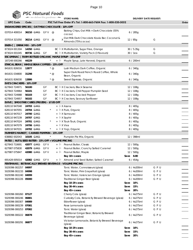|                                                          |           | PSC Natural Foods        |    |          |                |                                                                       |           |             |                               |       |
|----------------------------------------------------------|-----------|--------------------------|----|----------|----------------|-----------------------------------------------------------------------|-----------|-------------|-------------------------------|-------|
|                                                          |           | we deliver the goodness  |    |          |                | <b>STORE NAME:</b>                                                    |           |             | <b>DELIVERY DATE REQUEST:</b> |       |
| <b>UPC Code</b>                                          | Code      |                          |    |          |                | PSC Toll Free Order #'s Tel: 1-800-663-7604 Fax: 1-800-520-5052       |           |             |                               | Order |
| ENDANGERED SPECIES   OAT MILK CHOCOLATE - 10% OFF        |           |                          |    |          |                |                                                                       |           |             |                               |       |
| 037014 400014 36210 GMO GFV @                            |           |                          |    |          |                | Baking Chips, Oat Milk + Dark Chocolate (55%<br>cocoa)                |           | 6/285q      |                               |       |
| 037014 321050 36214 GMO GFV @                            |           |                          |    |          |                | y Oat Milk Dark Chocolate Koala Bar, Coconut &<br>Almonds (75% cocoa) |           | 12/85q      | G                             |       |
| ENER-C   DRINK MIX - 10% OFF                             |           |                          |    |          |                |                                                                       |           |             |                               |       |
| 873024 001304                                            | 14350 GMO |                          |    |          |                | BC FLX Multivitamin, Sugar Free, Orange                               |           | 30 / 5.35q  | G                             |       |
| 873024 001045                                            |           | 80736 <del>GMO</del> GF  |    |          |                | BC FLX Multivitamin, Variety Pack (3 flavours)                        |           | 30 / 1ea    | G                             |       |
| ESCUMINAC   FARM BOTTLED ORGANIC MAPLE SYRUP - 15% OFF   |           |                          |    |          |                |                                                                       |           |             |                               |       |
| 187248 000266                                            | 44229     |                          |    | $\star$  |                | + Pu Maple Syrup, Late Harvest, Organic                               |           | 6 / 200ml   |                               |       |
| ETHICAL BEAN   WHOLE BEAN COFFEES - 15% OFF              |           |                          |    |          |                |                                                                       |           |             |                               |       |
| 841631 826016                                            | 12877     |                          |    | $*$ @    |                | Lush Medium Dark Coffee, Organic                                      |           | 6/340g      |                               |       |
| 841631 034800                                            | 31298     |                          |    | $*$ @    |                | Super Dark Roast French Roast Coffee, Whole<br>Bean, Organic          |           | 6/340g      |                               |       |
| 841631 826030                                            | 12886     |                          |    | $*$ @    |                | Sweet Espresso, Organic                                               |           | 6/340g      |                               |       |
| <b>EVE'S CRACKERS - 10% OFF</b>                          |           |                          |    |          |                |                                                                       |           |             |                               |       |
| 627843 724971                                            | 56100     |                          | GF |          |                | BC <sup>h</sup> X Crackers, Black Sesame                              |           | 12 / 108g   |                               |       |
| 627843 724964                                            | 56101     |                          | GF |          |                | BC FLX Crackers, Chili Pepper Pumpkin Seed                            |           | 12 / 108g   |                               |       |
| 627843 724988                                            | 56103     |                          | GF |          |                | BC Fux Crackers, Cracked Pepper                                       |           | 12 / 108g   |                               |       |
| 627843 724957                                            | 56102     |                          | GF |          |                | BC Fx Crackers, Savoury Sunflower                                     |           | 12 / 108g   |                               |       |
| EVIVE   SMOOTHIE CUBES (FROZEN) - \$7.05 OFF             |           |                          |    |          |                |                                                                       |           |             |                               |       |
| 628110 947048                                            | 24703 GMO |                          |    |          | + PX Asana     |                                                                       |           | 8 / 405g    |                               |       |
| 628110 947055                                            |           | 24704 <del>GMO</del>     |    |          |                | + P X Pure, Organic                                                   |           | 8 / 405g    |                               |       |
| 628110 947017                                            |           | 24700 GMO                |    |          | + P X Samourai |                                                                       |           | 8 / 405g    |                               |       |
| 628110 947239                                            |           | 24707 GMO                |    |          | + lax Saphir   |                                                                       |           | 8 / 405g    |                               |       |
| 628110 947024                                            |           | 24701 <del>GMO</del>     |    |          |                | + P X Touk-Touk, Organic                                              |           | 8/405q      |                               |       |
| 628110 947079                                            | 24706 GMO |                          |    |          | + Px Viva      |                                                                       |           | 8 / 405g    |                               |       |
| 628110 947031                                            | 24702 GMO |                          |    | $^\star$ |                | + P X Yogi, Organic                                                   |           | 8 / 405g    |                               |       |
| FARMER'S MARKET   CANNED PUMPKIN - 15% OFF               |           |                          |    |          |                |                                                                       |           |             |                               |       |
| 638882 002043 10105 GMO                                  |           |                          |    | $\star$  |                | Pumpkin Pie Mix, Organic                                              |           | 12 / 398ml  |                               |       |
| FATSO   NUT & SEED BUTTER - 15% OFF + VOLUME PRICING     |           |                          |    |          |                |                                                                       |           |             |                               |       |
| 627843 710691                                            |           | 42077 GMO GFV            |    |          |                | + Pu Peanut Butter, Classic                                           |           | 12 / 500g   |                               |       |
| 627987 075830                                            |           | 42079 <del>GMO</del> GFV |    |          |                | + $\overline{P}$ Peanut Butter, Crunchy Salted Caramel                |           | 12 / 500g   |                               |       |
| 627987 075847 42080 GMO GFV                              |           |                          |    |          |                | + Pu Peanut Butter, Maple                                             |           | 12 / 500g   |                               |       |
|                                                          |           |                          |    |          |                | Buy 10+ cases                                                         | Save 8.80 |             |                               |       |
| 691428 005014                                            |           | 42082 <del>GMO</del> GFV |    |          |                | $+$ $\overline{P}$ Almond and Seed Butter, Salted Caramel             |           | 6 / 454g    |                               |       |
| FENTIMANS   BOTANICALLY BREWED BEVERAGE - VOLUME PRICING |           |                          |    |          |                |                                                                       |           |             |                               |       |
| 5029396 002257 04997                                     |           |                          |    |          |                | Tonic Water, Connoisseurs (glass)                                     |           | 6 / 4x200ml | GPU                           |       |
| 5029396 002233 04998                                     |           |                          |    |          |                | Tonic Water, Pink Grapefruit (glass)                                  |           | 6 / 4x200ml | GPU                           |       |
| 5029396 002240 04999                                     |           |                          |    |          |                | Tonic Water, Valencian Orange (glass)                                 |           | 6 / 4x200ml | GPU                           |       |
| 5029396 002226 05000                                     |           |                          |    |          |                | Traditional Ginger Beer (glass)                                       |           | 6 / 4x200ml | GPU                           |       |
|                                                          |           |                          |    |          |                | Buy 10-29 cases                                                       | Save      | 10%         |                               |       |
|                                                          |           |                          |    |          |                | Buy 30-44 cases                                                       | Save      | 15%         |                               |       |
|                                                          |           |                          |    |          |                | Buy 45+ cases                                                         | Save      | 20%         |                               |       |
| 5029396 000260 07127                                     |           |                          |    |          |                | Cherry Cola (glass)                                                   |           | 6 / 4x275ml | GPU                           |       |
| 5029396 000246 06881                                     |           |                          |    |          |                | Curiosity Cola, Botaniclly Brewed Beverage (glass)                    |           | 6 / 4x275ml | GPU                           |       |
| 5029396 000307 04989                                     |           |                          |    |          |                | Elderflower (glass)                                                   |           | 6 / 4x275ml | GPU                           |       |
| 5029396 000239 07081                                     |           |                          |    |          |                | Rose Lemonade (glass)                                                 |           | 6 / 4x275ml | GPU                           |       |
| 5029396 000253 07082                                     |           |                          |    |          |                | Tonic Water (glass)                                                   |           | 6 / 4x275ml | GPU                           |       |
| 5029396 000222 06878                                     |           |                          |    |          |                | Traditional Ginger Beer, Botaniclly Brewed<br>Beverage (glass)        |           | 6 / 4x275ml | GPU                           |       |
| 5029396 000291 06877                                     |           |                          |    |          | (glass)        | Victorian Lemonade, Botaniclly Brewed Beverage                        |           | 6 / 4x275ml | GPU                           |       |
|                                                          |           |                          |    |          |                | Buy 10-29 cases                                                       | Save      | 10%         |                               |       |
|                                                          |           |                          |    |          |                | Buy 30-44 cases                                                       | Save      | 15%         |                               |       |
|                                                          |           |                          |    |          |                | Buy 45+ cases                                                         | Save      | 20%         |                               |       |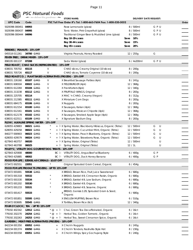

| <b>PSC Natural Foods</b>                   |                               |
|--------------------------------------------|-------------------------------|
| we deliver the goodness <b>STORE NAME:</b> | <b>DELIVERY DATE REQUEST:</b> |

| <b>UPC Code</b>                                     | Code                 |   |                                    | PSC Toll Free Order #'s Tel: 1-800-663-7604 Fax: 1-800-520-5052 |      |                      |     |   | Order |
|-----------------------------------------------------|----------------------|---|------------------------------------|-----------------------------------------------------------------|------|----------------------|-----|---|-------|
| 5029396 000451 04993                                |                      |   |                                    | Rose Lemonade (glass)                                           |      | 8 / 500ml            | GPU |   |       |
|                                                     |                      |   |                                    |                                                                 |      | 8 / 500ml            | GPU |   |       |
| 5029396 000437 04995                                |                      |   |                                    | Tonic Water, Pink Grapefruit (glass)                            |      | 8 / 500ml            | GPU |   |       |
| 5029396 000444 04996                                |                      |   |                                    | Traditional Ginger Beer & Muddled Lime (glass)                  |      | 10%                  |     |   |       |
|                                                     |                      |   |                                    | Buy 10-29 cases                                                 | Save |                      |     |   |       |
|                                                     |                      |   |                                    | Buy 30-44 cases                                                 | Save | 15%                  |     |   |       |
| FERIDIES   PEANUTS - 15% OFF                        |                      |   |                                    | Buy 45+ cases                                                   | Save | 20%                  |     |   |       |
| 045518 011261                                       | 34700 GMO            |   |                                    | Virginia Peanuts, Honey Roasted                                 |      | 12/255g              | G   |   |       |
| FEVER-TREE   DRINK MIXER - 15% OFF                  |                      |   |                                    |                                                                 |      |                      |     |   |       |
| 898195 001137 07208                                 |                      |   |                                    | Soda Water (glass)                                              |      | 6 / 4x200ml          | GPU |   |       |
| FIELD ROAST   CHAO SLICES (REFRIGERATED) - 15% OFF  |                      |   |                                    |                                                                 |      |                      |     |   |       |
| 638031 705702                                       | 65115                | V |                                    | CHAO slices, Creamy Original (10 slices)                        |      | 8 / 200g             |     |   |       |
| 638031 705726                                       | 65117                | V |                                    | CHAO slices, Tomato Cayenne (10 slices)                         |      | 8 / 200g             |     |   |       |
|                                                     |                      |   |                                    | FIELD ROAST CO.   PLANT BASED ALTERNATIVES (FROZEN) - 15% OFF   |      |                      |     |   |       |
| 638031 226160                                       | 65107 <del>GMO</del> | V |                                    | X Breakfast Sausage Patties (4pk)                               |      | 8 / 241g             |     |   |       |
| 638031 606504                                       | 65022 GMO            | V |                                    | X FIELDBURGER (4pk)                                             |      | 12 / 368g            |     |   |       |
| 638031 612284                                       | 65104 GMO            | V |                                    | X Frankfurters (6pk)                                            |      | 12 / 340g            |     |   |       |
| 638031 213238                                       | 65112 <del>GMO</del> | V |                                    | X FRUFFALO WINGS, Original                                      |      | 8 / 283g             |     |   |       |
| 638031 225705                                       | 65114                | V |                                    | X MAC 'n CHAO, Creamy (Vegan)                                   |      | 8 / 312g             |     |   |       |
| 638031 212385                                       | 65111 GMO            | V |                                    | X Miniature Corn Dogs                                           |      | 8 / 283g             |     |   |       |
| 638031 684175                                       | 65106 GMO            | V |                                    | X Nuggets                                                       |      | 8 / 283g             |     |   |       |
| 638031 612154                                       | 65100 GMO            | V |                                    | X Sausages, Italian (4pk)                                       |      | 12 / 368g            |     |   |       |
| 638031 612161                                       | 65101 GMO            | V |                                    | X Sausages, Mexican Chipotle (4pk)                              |      | 12 / 368g            |     |   |       |
| 638031 612178                                       | 65102 <del>GMO</del> | V |                                    | X Sausages, Smoked Apple Sage (4pk)                             |      | 12 / 368g            |     |   |       |
| 638031 622511                                       | 65109 <del>GMO</del> | V | $^+$                               | X Signature Stadium Dog                                         |      | 8 / 283g             |     |   |       |
| FLOW   ALKALINE SPRING WATER - 15% OFF              |                      |   |                                    |                                                                 |      |                      |     |   |       |
| 628055 429883                                       | 06021 GMO            |   |                                    | + FLX Spring Water, Blackberry Hibiscus, Organic (Tetra)        |      | 12 / 500ml           | G   | U |       |
| 628055 429258                                       | 06022 GMO            |   |                                    | + F X Spring Water, Cucumber Mint, Organic (Tetra)              |      | 12 / 500ml           | G   | U |       |
| 840277 000903                                       | 06023 GMO            |   |                                    | + Fux Spring Water, Peach Blueberry, Organic (Tetra)            |      | 12 / 500ml           | G   | U |       |
| 628055 429579                                       | 06024 GMO            |   |                                    | + Fu X Spring Water, Strawberry Rose, Organic (Tetra)           |      | 12 / 500ml           | G   | U |       |
| 627843 463757                                       | 06020                |   |                                    | + P X Spring Water, Original (Tetra)                            |      | 12 / 500ml           |     | U |       |
| 627843 463788                                       | 06025                |   |                                    | + Pu Spring Water, Original (Tetra)                             | 12/1 |                      |     | U |       |
| FOLEY'S   VITALITY DOG GOURMET DOG TREATS - 10% OFF |                      |   |                                    |                                                                 |      |                      |     |   |       |
| 627843 425908                                       | 48000                |   |                                    | BC <sup>[b]</sup> VITALITY DOG, Angus Beef w/Blueberry          |      | 6/400g               | G P |   |       |
| 627843 425885                                       | 48002                |   |                                    | BC h VITALITY DOG, Duck Honey Banana                            |      | 6/400q               | G P |   |       |
| FOOD FOR LIFE   EZEKIEL 4:9 CEREALS - \$3.07 OFF    |                      |   |                                    |                                                                 |      |                      |     |   |       |
| 073472 002551                                       | 22051                |   |                                    | Original Sprouted Grain Cereal, Organic                         |      | 6/454g               |     |   |       |
| FOOD FOR LIFE PRODUCTS (FROZEN) - UP TO 15% OFF     |                      |   |                                    |                                                                 |      |                      |     |   |       |
| 073472 001691                                       | 55538 GMO            |   |                                    | X BREAD, Brown Rice, Fruit Juice Sweetened                      |      | 6/680g               |     |   |       |
| 073472 001318                                       | 55532                |   |                                    | X BREAD, Ezekiel 4:9, Cinnamon Raisin, Organic                  |      | 6/680g               |     |   |       |
| 073472 001530                                       | 55534                |   |                                    | X BREAD, Ezekiel 4:9, Low Sodium, Organic                       |      | 6/680g               |     |   |       |
| 073472 001202                                       | 55530                |   |                                    | X BREAD, Ezekiel 4:9, Organic                                   |      | 6/680g               |     |   |       |
| 073472 001233                                       | 55531                |   |                                    | X BREAD, Ezekiel 4:9, Sesame, Organic                           |      | 6/680g               |     |   |       |
| 073472 001417                                       | 55533                |   |                                    | , BREAD, Genisis 1:29, Sprouted Grain & Seed,                   |      | 6/680g               |     |   |       |
|                                                     |                      |   |                                    | Organic                                                         |      |                      |     |   |       |
| 073472 001851                                       | 55595 <del>GMO</del> |   |                                    | X ENGLISH MUFFINS, Brown Rice                                   |      | 6/510g               |     |   |       |
| 073472 003695                                       | 55545 GMO            |   |                                    | X Tortillas, Brown Rice (6ct)                                   |      | 12 / 340g            |     |   |       |
| FOUR O'CLOCK   TEA - UP TO 15% OFF                  |                      |   |                                    |                                                                 |      |                      |     |   |       |
| 779192 402342                                       | 12912 <del>GMO</del> |   | $* \, \omega + \,   \cdot \rangle$ | Chai, Green Tea Decaffeinated, Organic                          |      | 6 / 16ct             |     |   |       |
| 779192 202270                                       | 24254 GMO            |   |                                    | * @ +<br>Herbal Tea, Golden Turmeric, Organic                   |      | 6 / 16ct             |     |   |       |
| 779192 202263                                       | 24253 GMO            |   |                                    | * @ + Pu Herbal Tea, Sweet Cinnamon Spice, Organic              |      | 6 / 16ct             |     |   |       |
| GARDEIN   MEAT-FREE ALTERNATIVES (FROZEN) - 10% OFF | 65052 GMO            |   |                                    |                                                                 |      |                      |     |   |       |
| 842234 001350<br>842234 001374                      | 65050 GMO            |   | $^{+}$                             | X Chick'n Nuggets<br>X Chick'n Tenders, Nashville-Style Hot     |      | 8 / 245g<br>8 / 230g |     |   |       |
| 842234 001558                                       | 65051 GMO            |   | $+$                                | X Chick'n Wings, Spicy Gochujang Style                          |      | 8 / 240g             |     |   |       |
|                                                     |                      |   | $^{+}$                             |                                                                 |      |                      |     |   |       |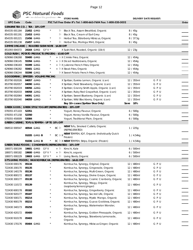

|                                                          |                      | PSC Natural Foods<br>we deliver the goodness |            |         |                                                                 |            |                               |       |
|----------------------------------------------------------|----------------------|----------------------------------------------|------------|---------|-----------------------------------------------------------------|------------|-------------------------------|-------|
|                                                          |                      |                                              |            |         | <b>STORE NAME:</b>                                              |            | <b>DELIVERY DATE REQUEST:</b> |       |
| <b>UPC Code</b>                                          | Code                 |                                              |            |         | PSC Toll Free Order #'s Tel: 1-800-663-7604 Fax: 1-800-520-5052 |            |                               | Order |
| GENUINE TEA CO.   TEA - 10% OFF                          |                      |                                              |            |         |                                                                 |            |                               |       |
| 854335 001184                                            |                      | 21452 GMO                                    | $^\star$   | 卜       | Black Tea, Assam Breakfast, Organic                             | 8/45q      |                               |       |
| 854335 001191                                            |                      | 21453 <del>GMO</del>                         |            | や       | Black Tea, Cream of Earl Grey                                   | 8 / 45g    |                               |       |
| 854335 001221                                            |                      | 21456 GMO                                    |            | PU.     | Herbal Tea, Elderberry Hibiscus, Organic                        | 8 / 37.5g  |                               |       |
| 854335 001238                                            |                      | 21457 GMO                                    | $^\star$   |         | Pu Herbal Tea, Moringa Mint, Organic                            | 8/45g      |                               |       |
| GIMME ORGANIC   ROASTED SUSHI NORI - \$4.80 OFF          |                      |                                              |            |         |                                                                 |            |                               |       |
| 851093 004372                                            |                      | 24164 GMO GFV*                               |            |         | X Sushi Nori, Roasted, Organic (10ct)                           | 12/23g     |                               |       |
| GOLD RUSH   POTATO PRODUCTS (FROZEN) - \$3.60 OFF        |                      |                                              |            |         |                                                                 |            |                               |       |
| 629066 036268                                            | 55400 GMO            |                                              |            |         | + PuX Crinkle Fries, Organic                                    | 12 / 454g  |                               |       |
| 629066 036145                                            |                      | 55394 GMO                                    |            |         | + <sup>b</sup> X Diced Hashbrowns, Organic                      | 12 / 454g  |                               |       |
| 629066 036183                                            |                      | 55399 GMO                                    |            |         | + P X Julienne French Fries, Organic                            | 12 / 454g  |                               |       |
| 629066 036282                                            |                      | 55401 <del>GMO</del>                         | $^{\star}$ |         | + Pu X Steak Fries, Organic                                     | 12 / 454g  |                               |       |
| 629066 036244                                            |                      | 55398 GMO                                    |            |         | Pu X Sweet Potato French Fries, Organic                         | 12 / 454g  |                               |       |
| <b>GOODDRINK   SPRITZER - VOLUME PRICING</b>             |                      |                                              |            |         |                                                                 |            |                               |       |
| 853790 002026                                            |                      | 04057 GMO                                    |            |         | X Spritzer, Eureka Lemon, Organic (can)                         | 12 / 355ml | GPU                           |       |
| 853790 002057                                            | 04090 GMO            |                                              |            |         | X Spritzer, Field Strawberry, Organic (can)                     | 12 / 355ml | GPU                           |       |
| 853790 002019                                            |                      | 04056 GMO                                    |            |         | X Spritzer, Granny Smith Apple, Organic (can)                   | 12 / 355ml | GPU                           |       |
| 853790 002033                                            |                      | 04058 <del>GMO</del>                         |            |         | X Spritzer, Ruby Red Grapefruit, Organic (can)                  | 12 / 355ml | GPU                           |       |
| 853790 002064<br>853790 002040                           |                      | 04091 GMO                                    |            |         | X Spritzer, Sweet Blueberry, Organic (can)                      | 12 / 355ml | GPU                           |       |
|                                                          |                      | 04059 GMO                                    |            |         | X Spritzer, Wild Blackberry, Organic (can)                      | 12 / 355ml | GPU                           |       |
| GREEK GODS   GREEK STYLE YOGURT (REFRIGERATED) - 20% OFF |                      |                                              |            |         | Buy 10+ cases (Spritzer Skus Only)                              | Save 10%   |                               |       |
| 078355 471103                                            | 52351                |                                              |            |         | Yogurt, Honey Flavour, Organic                                  | 6/500g     |                               |       |
| 078355 471158                                            | 52350                |                                              |            |         | Yogurt, Honey Vanilla Flavour, Organic                          | 6/500g     |                               |       |
| 078355 450009                                            | 52084                |                                              |            |         | Yogurt, Traditional Plain, Organic                              | 6/500g     |                               |       |
| GREEN CUISINE   TOFU & TEMPEH - UP TO 10% OFF            |                      |                                              |            |         |                                                                 |            |                               |       |
|                                                          |                      |                                              |            |         | NEW! Tofu, Smoked Cutlets, Organic                              |            |                               |       |
| 068532 000547                                            |                      | 40544 GMO                                    |            | BC Pu   | (REFRIGERATED)                                                  | 1/225g     |                               |       |
|                                                          |                      | 91035 GMO B                                  | $\star$    | BC PD X | NEW! TEMPEH, IQF, Organic (Individually Quick<br>Frozen)        | 1/4.54kg   |                               |       |
|                                                          |                      | 91036 GMO B                                  | $^{\star}$ |         | BC FLX NEW! TEMPEH, Strips, Organic (Frozen)                    | 1 / 4.54kg |                               |       |
| GREEN TABLE FOODS   CONDIMENTS (REFRIGERATED) - 10% OFF  |                      |                                              |            |         |                                                                 |            |                               |       |
| 180071 000199                                            |                      | 19601 GMO GFV                                |            |         | + Pu Kimchi, Kale                                               | 6/500ml    |                               |       |
| 180071 000182                                            |                      | 19600 GMO GF V *                             |            | + 「包    | Kimchi, organic                                                 | 6 / 500ml  |                               |       |
| 180071 000229                                            |                      | 19603 GMO GFV *                              |            | + 凡     | Living Beets, Organic                                           | 6 / 500ml  |                               |       |
|                                                          |                      |                                              |            |         | GT'S LIVING FOODS   RAW KOMBUCHA (REFRIGERATED) - \$4.61 OFF    |            |                               |       |
| 722430 000176                                            | 05134                |                                              |            |         | Kombucha, Synergy, Original, Organic                            | 12 / 480ml | GPU                           |       |
| 722430 200170                                            | 05135                |                                              |            |         | Kombucha, Synergy, Gingerade, Organic                           | 12 / 480ml | GPU                           |       |
| 722430 140179                                            | 05136                |                                              |            |         | Kombucha, Synergy, Multi-Green, Organic                         | 12 / 480ml | GPU                           |       |
| 722430 800172                                            | 05137                |                                              |            |         | Kombucha, Synergy, Divine Grape, Organic                        | 12 / 480ml | GPU                           |       |
| 722430 300177                                            | 05138                |                                              |            |         | Kombucha, Synergy, Cosmic Cranberry, Organic                    | 12 / 480ml | GPU                           |       |
| 722430 110172                                            | 05139                |                                              |            |         | Kombucha, Synergy, Trilogy, Organic<br>(raspberry/lemon/ginger) | 12 / 480ml | GPU                           |       |
| 722430 600178                                            | 05182                |                                              |            |         | Kombucha, Synergy, Gingerberry, Organic                         | 12 / 480ml | GPU                           |       |
| 722430 920177                                            | 05187                |                                              |            |         | Kombucha, Synergy, Sacred Life, Organic                         | 12 / 480ml | GPU                           |       |
| 722430 500171                                            | 05214                |                                              |            |         | Kombucha, Synergy, Mystic Mango, Organic                        | 12 / 480ml | GPU                           |       |
| 722430 900179                                            | 05215                |                                              |            |         | Kombucha, Synergy, Guava Goddess, Organic                       | 12 / 480ml | GPU                           |       |
| 722430 340173                                            | 05258                |                                              |            |         | Kombucha, Synergy, Watermelon Wonder,<br>Organic                | 12 / 480ml | GPU                           |       |
| 722430 420172                                            | 05400                |                                              |            |         | Kombucha, Synergy, Golden Pineapple, Organic                    | 12 / 480ml | GPU                           |       |
| 722430 910178                                            | 05403                |                                              |            |         | Kombucha, Synergy, Strawberry Lemonade,<br>Organic              | 12 / 480ml | GPU                           |       |
| 722430 170176                                            | 05404 <del>GMO</del> |                                              | $^{\star}$ |         | Kombucha, Synergy, Hibiscus Ginger, Organic                     | 12 / 480ml | GPU                           |       |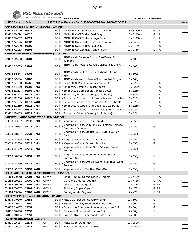

|                                                   |                      | PSC Natural Foods            |       |                                                                         |             |                               |       |
|---------------------------------------------------|----------------------|------------------------------|-------|-------------------------------------------------------------------------|-------------|-------------------------------|-------|
|                                                   |                      | we deliver the goodness      |       | <b>STORE NAME:</b>                                                      |             | <b>DELIVERY DATE REQUEST:</b> |       |
| <b>UPC Code</b>                                   | Code                 |                              |       | PSC Toll Free Order #'s Tel: 1-800-663-7604 Fax: 1-800-520-5052         |             |                               | Order |
| <b>HAPPY PLANET  </b>                             |                      | MORNIN' OATZ SHAKE - 10% OFF |       |                                                                         |             |                               |       |
| 779172 774070                                     | 01522                |                              | BC 匝  | MORNIN' OATZ Shake, Chocolate Banana                                    | 8 / 3x250ml | U<br>G                        |       |
| 779172 774094                                     | 01520                |                              | BCE   | MORNIN' OATZ Shake, Field Berry                                         | 8 / 3x250ml | U<br>G                        |       |
| 779172 774087                                     | 01521                |                              | BCE   | MORNIN' OATZ Shake, Mango Peach                                         | 8 / 3x250ml | U<br>G                        |       |
| 779172 772076                                     | 01502                |                              | BCE   | MORNIN' OATZ Shake, Chocolate Banana                                    | 12 / 946ml  | U<br>G                        |       |
| 779172 772090                                     | 01500                |                              | BCE   | MORNIN' OATZ Shake, Field Berry                                         | 12 / 946ml  | U<br>G                        |       |
| 779172 772083                                     | 01501                |                              |       | BC 和 MORNIN' OATZ Shake, Mango Peach                                    | 12 / 946ml  | G<br>U                        |       |
| HAPPY PLANET PRODUCTS (REFRIGERATED) - 10% OFF    |                      |                              |       |                                                                         |             |                               |       |
| 779172 645530                                     | 39701                |                              | BC Pu | <b>NEW!</b> Meals, Balance Bowl w/Cauliflower &<br>Turmeric             | 6/600g      |                               |       |
| 779172 645523                                     | 39702                |                              | BC Pu | NEW! Meals, Power Bowl w/Black Beans & Smoky<br>Chili                   | 6 / 600g    |                               |       |
| 779172 645547                                     | 39703                |                              | BC h  | NEW! Meals, Soul Bowl w/Buckwheat & Cajun<br><b>Spices</b>              | 6/600g      |                               |       |
| 779172 645554                                     | 39700                |                              |       | $BC \,  b$ <b>NEW!</b> Meals, Warrior Bowl w/Red Lentils & Ginger       | $6/600$ g   |                               |       |
| 779172 121010                                     | 06266 GMO            |                              |       | BC FLX Juice, 100% Pure Orange (plastic bottle)                         | 6/325ml     | U                             |       |
| 779172 231610                                     | 01308 GMO            |                              |       | BC Fux Smoothie, Extreme C (plastic bottle)                             | 6 / 325ml   | U                             |       |
| 779172 231627                                     | 01309 GMO            |                              |       | BC $\mathbb R$ X Smoothie, Extreme Energy (plastic bottle)              | 6/325ml     | U                             |       |
| 779172 231108                                     | 06237 GMO            |                              |       | BC 和 X Smoothie, Extreme Green (plastic bottle)                         | 6/325ml     | U                             |       |
| 779172 221666                                     | 01340 GMO            |                              |       | BC Fux Smoothie, Coconut and Pineapple (plastic bottle)                 | 6/325ml     | U                             |       |
| 779172 221635                                     | 01310 GMO            |                              |       | BC Fux Smoothie, Mango and Passionfruit (plastic bottle)                | 6/325ml     | U                             |       |
| 779172 221659                                     | 01311 GMO            |                              |       | BC Fux Smoothie, Raspberry and Cherry (plastic bottle)                  | 6/325ml     | U                             |       |
| 779172 225664                                     | 07323 GMO            |                              |       | BC Fu Smoothie, Coconut and Pineapple (plastic bottle)                  | 6/1.5L      |                               |       |
| 779172 229105                                     | 07322 GMO            |                              |       | BC Fu Smoothie, Extreme Green (plastic bottle)                          | 6/1.5L      | U                             |       |
| HARDBITE   HANDCRAFTED STYLE CHIPS - \$4.60 OFF   |                      |                              |       |                                                                         |             |                               |       |
| 673513 113552                                     | 37638 <del>GMO</del> |                              |       | BC P X Vegetable Chips, 18 Carrot Gold                                  | 15 / 150g   | G                             |       |
| 673513 119554                                     | 36426 <del>GMO</del> |                              | BC PX | Vegetable Chips, Berry Smokey Parsnips, Chipotle<br>Raspberry Flavoured | 15 / 150g   | G                             |       |
| 673513 118557                                     | 36422 <del>GMO</del> |                              | BC Px | Vegetable Chips, Dressed To Dill, Dill Flavoured<br>Carrot              | 15 / 150g   | G                             |       |
| 673513 112555                                     | 37637 GMO            |                              |       | BC FLX Vegetable Chips, Drop 'N Mad Beets                               | 15 / 150g   | G                             |       |
| 673513 111558                                     | 37518 <del>GMO</del> |                              |       | BC FLX Vegetable Chips, Eat Your Parsnips                               | 15 / 150g   | G                             |       |
| 673513 114559                                     | 37749 <del>GMO</del> |                              |       | BC $ x $ X Vegetable Chips, Sweet Spud Of Mine, Sweet<br>Potato         | 15 / 150g   | G                             |       |
| 673513 120550                                     | 36451 <del>GMO</del> |                              | BC FX | Vegetable Chips, Sweet To The Beet, Sweet<br>Potato & Beet              | 15 / 150g   | G                             |       |
| 673513 117550                                     | 36423 GMO            |                              | BC Px | Vegetable Chips, Smokin' Sweet Spud, BBQ Sweet<br>Potato                | 15 / 150g   | G                             |       |
| 673513 121557                                     | 36453 GMO            |                              |       | BC FLX Vegetable Chips, The Beet Goes On                                | 15 / 150g   | G                             |       |
| HEALTH-ADE   KOMBUCHA (REFRIGERATED) - \$3.52 OFF |                      |                              |       |                                                                         |             |                               |       |
| 811184 030048                                     | 17704 <del>GMO</del> | $GF V$ *                     |       | Blood Orange, Carrot, Ginger, Organic                                   | 12 / 473ml  | GPU                           |       |
| 811184 030031                                     | 17700 GMO            | $GF V^*$                     |       | Cayenne Cleanse, Organic                                                | 12 / 473ml  | GPU                           |       |
| 811184 030000                                     | 17701 GMO            | $GF V^*$                     |       | Ginger Lemon, Organic                                                   | 12 / 473ml  | GPU                           |       |
| 811184 030017                                     | 17702 <del>GMO</del> | GF V $*$                     |       | Pink Lady Apple, Organic                                                | 12 / 473ml  | GPU                           |       |
| 811184 030024                                     | 17703 GMO            | $GF V^*$                     |       | Pomegranate, Organic                                                    | 12 / 473ml  | GPU                           |       |
| HEALTHY HIPPO   LOW SUGAR CANDY - 10% OFF         |                      |                              |       |                                                                         |             |                               |       |
| 628176 040240                                     | 17654                |                              |       | BC Fux Fizzy Cola, Sweetened w/Monk Fruit                               | 12 / 50g    | G                             |       |
| 628176 040103                                     | 17650                |                              |       | BC Pu X Hippo Gummies, Sweetened w/Monk Fruit                           | 12 / 50g    | G                             |       |
| 628176 040127                                     | 17651                |                              |       | BC $\&$ X Sour Hippo Gummies, Sweetened w/Monk Fruit                    | 12 / 50g    | G                             |       |
| 628176 040110                                     | 17652                |                              |       | BC FLX Sour Keys. Sweetened w/Monk Fruit                                | 12 / 50g    | G                             |       |
| 628176 040134                                     | 17653                |                              |       | BC Pu X Swedish Hippos, Sweetened w/Monk Fruit                          | 12 / 50g    | G                             |       |
| HEE-HAW HORSERADISH - 15% OFF                     |                      |                              |       |                                                                         |             |                               |       |
| 628110 106087                                     | 11171                | GF                           | BCE   | Horseradish, Damn Hot                                                   | 12 / 250ml  |                               |       |
| 628110 106094                                     | 11172                | GF                           |       | BC 问 Horseradish, Double Damn Hot                                       | 12 / 250ml  |                               |       |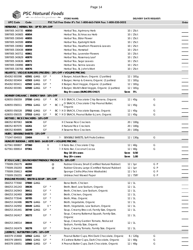

|                                        |           | we deliver the goodness |    |               | <b>STORE NAME:</b>                                                  |                        | <b>DELIVERY DATE REQUEST:</b> |       |
|----------------------------------------|-----------|-------------------------|----|---------------|---------------------------------------------------------------------|------------------------|-------------------------------|-------|
| <b>UPC Code</b>                        | Code      |                         |    |               | PSC Toll Free Order #'s Tel: 1-800-663-7604 Fax: 1-800-520-5052     |                        |                               | Order |
| HERBARIA   HERBAL TEA - UP TO 20% OFF  |           |                         |    |               |                                                                     |                        |                               |       |
| 5997005 343735 40850                   |           |                         |    |               | Herbal Tea, Agrimony Herb                                           | 10 / 25ct              |                               |       |
| 5997005 343605 40854                   |           |                         |    |               | Herbal Tea, Echinacea Herb                                          | 10 / 25ct              |                               |       |
| 5997005 330049 40855                   |           |                         |    |               | Herbal Tea, Elder Flower                                            | 10 / 25ct              |                               |       |
| 5997005 343599 40856                   |           |                         |    |               | Herbal Tea, Eyebright Herb                                          | 10 / 25ct              |                               |       |
| 5997005 330902 40858                   |           |                         |    |               | Herbal Tea, Hawthorn Flowers & Leaves                               | 10 / 25ct              |                               |       |
| 5997005 330438 40859                   |           |                         |    |               | Herbal Tea, Horsetail                                               | 10 / 25ct              |                               |       |
| 5997005 343711                         | 40861     |                         |    |               | Herbal Tea, Lavender Flowers                                        | 10 / 25ct              |                               |       |
| 5997005 343629 40870                   |           |                         |    |               | Herbal Tea, Rosemary Leaf                                           | 10 / 25ct              |                               |       |
| 5997005 343636 40871                   |           |                         |    |               | Herbal Tea, Sage Leaves                                             | 10 / 25ct              |                               |       |
| 5997005 330896 40872                   |           |                         |    |               | Herbal Tea, Senna Leaves                                            | 10/25ct                |                               |       |
| 5997005 330766 40876                   |           |                         |    |               | Herbal Tea, St. John's Wort                                         | 10 / 25ct              |                               |       |
|                                        |           |                         |    |               | HILARY'S   VEGGIE BURGERS (FROZEN) - 20% OFF + VOLUME PRICING       |                        |                               |       |
| 854262 003398                          |           | 42501 GMO               | GF |               | X Burger, Adzuki Bean, Organic (2 patties)                          | 12 / 181g              |                               |       |
| 854262 003404                          |           | 42503 <del>GMO</del>    | GF | $\rightarrow$ | X Burger, Hemp & Greens, Organic (2 patties)                        | 12/181g                |                               |       |
| 854262 003411                          |           | 42502 GMO               | GF | $\rightarrow$ | X Burger, Root Veggie, Organic (2 patties)                          | 12 / 181g              |                               |       |
| 854262 003381                          |           | 42500 GMO               | GF | $\rightarrow$ | X Burger, World's Best Veggie, Organic (2 patties)                  | 12 / 181g              |                               |       |
|                                        |           |                         |    |               | Buy 8+ cases (BURGERS ONLY)                                         | Save 5%                |                               |       |
| HORNBY ORGANIC   ENERGY BAR - 10% OFF  |           |                         |    |               |                                                                     |                        |                               |       |
| 628055 058359                          |           | 37550 GMO               | GF | $\rightarrow$ | BC Fux O SNACK, Chocolate Chip Banana, Organic                      | 12/45g                 | G                             |       |
|                                        |           |                         |    |               | O SNACK, Chocolate Chip Peanut Butter,<br>BC PJ X                   |                        |                               |       |
| 628055 058311                          |           | 37551 <del>GMO</del>    | GF |               | Organic                                                             | 12/45g                 | G                             |       |
| 628055 058328                          |           | 37552 <del>GMO</del>    | GF | $\star$       | BC FLX O SNACK, Chocolate Espresso, Organic                         | 12/45g                 | G                             |       |
| 628055 058335                          |           | 37553 GMO               | GF | $\rightarrow$ | BC Pax O SNACK, Peanut Butter & Jam, Organic                        | 12/45g                 | G                             |       |
| HOT KID   RICE CRACKERS - 10% OFF      |           |                         |    |               |                                                                     |                        |                               |       |
| 686352 807063                          | 16236     |                         | GF |               | X Cheese Rice Crackers                                              | 20 / 100g              |                               |       |
| 686352 807070                          | 16261     |                         | GF |               | X Natural Rice Crackers                                             | 20 / 100g              |                               |       |
| 686352 804895                          | 16199     |                         | GF |               | X Sesame Rice Crackers                                              | 20 / 100g              |                               |       |
| HUER   SENSIBLE SWEETS - 15% OFF       |           |                         |    |               |                                                                     |                        |                               |       |
| 771047 004503                          | 15404     |                         |    | V             | h SENSIBLE SWEETS, Soft Fruits Gelées                               | 12 / 130g              | G                             |       |
|                                        |           |                         |    |               | HUNGRY BUDDHA   KETO BAR - \$4.00 OFF + VOLUME PRICING              |                        |                               |       |
| 627561 000807                          | 07360     |                         |    | V             | <sup>[</sup> 2 X Keto Bar, Chocolate Chip                           | 12/40g                 | G                             |       |
| 627561 000814                          | 07361     |                         |    | V             | <sup>[</sup> d X Keto Bar, Coconut Cocoa                            | 12/40g                 | G                             |       |
|                                        |           |                         |    |               | Buy 10-19 cases                                                     | 0.50<br>Save           |                               |       |
|                                        |           |                         |    |               | Buy 20+ cases                                                       | Save 1.00              |                               |       |
|                                        |           |                         |    |               | IF YOU CARE   ENVIROMENT FRIENDLY PRODUCTS - 10% OFF                |                        |                               |       |
| 770009 250279                          | 46393     |                         |    |               | Rubber Gloves, Small (Certified Natural Rubber)<br>@                | 12 / 1pr               | G P                           |       |
| 770009 250293                          | 46395     |                         |    |               | Rubber Gloves, Large (Certified Natural Rubber)<br>@                | 12 / 1pr               | G P                           |       |
| 770009 250613                          | 46396     |                         |    |               | Sponge Cloths (Machine Washable)                                    | 12 / 5ct               | G P                           |       |
| 770009 250255                          | 46387     |                         |    |               | Unbleached Waxed Paper                                              | 12 / 75ft <sup>2</sup> | G P                           |       |
| IMAGINE FOODS   BROTH & SOUP - 20% OFF |           |                         |    |               |                                                                     |                        |                               |       |
| 084253 773560                          |           | 37800 GMO               |    |               | Bone Broth, Chicken                                                 | 12/1                   |                               |       |
| 084253 241243                          | 38636     |                         | GF | $\star$       | Broth, Beef, Low Sodium, Organic                                    | 12/1                   |                               |       |
| 084253 242943                          | 38411     |                         | GF | $\star$       | Broth, Chicken, Low Sodium, Organic                                 | 12/1                   |                               |       |
| 084253 242493                          | 38280     |                         | GF | $\star$       | Broth, Chicken, Organic                                             | 12/1                   |                               |       |
| 084253 773546                          | 38785     |                         | GF | $\star$       | Broth, Miso, Organic                                                | 12/1                   |                               |       |
| 084253 242486                          | 38279 GMO |                         | GF | $\star$       | Broth, Vegetable, Organic                                           | 12/1                   |                               |       |
| 084253 242950                          |           | 38449 GMO               |    | $V^*$         | Broth, Vegetable, Low Sodium, Organic                               | 12/1                   |                               |       |
| 084253 241441                          |           | 38749 GMO               | GF | $\rightarrow$ | Soup, Creamy Broccoli, Family Size, Organic                         | 12/1                   |                               |       |
| 084253 242417                          | 38272     |                         | GF | $\star$       | Soup, Creamy Butternut Squash, Family Size,<br>Organic              | 12/1                   |                               |       |
| 084253 246514                          | 38644     |                         | GF |               | Soup, Creamy Garden Tomato, Reduced<br>Sodium, Family Size, Organic | 12/1                   |                               |       |
| 084253 242479                          | 38278     |                         | GF | $\star$       | Soup, Creamy Tomato, Family Size, Organic                           | 12/1                   |                               |       |
| JUSTIN'S   NUT BUTTER CUPS - 10% OFF   |           |                         |    |               |                                                                     |                        |                               |       |
| 840379 153668                          |           | 10562 <del>GMO</del>    | GF | $\star$       | Peanut Butter Cups, Mini Dark Chocolate, Organic                    | 6 / 120g               | G                             |       |
| 840379 188455                          |           | 10561 <del>GMO</del>    | GF | $\star$       | X Cashew Butter Cups, Dark Chocolate, Organic                       | 12 / 40g               | G                             |       |
| 840379 100051                          |           | 10560 GMO               | GF | $^{\star}$    | X Peanut Butter Cups, Dark Chocolate, Organic                       | 12 / 40g               | G                             |       |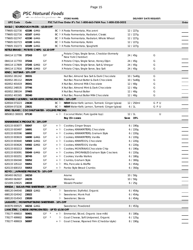# **PSC Natural Foods STORE NAME: STORE NAME: STORE NAME: DELIVERY DATE REQUEST:**

| <b>UPC Code</b>                                         | Code                 |        |        | PSC Toll Free Order #'s Tel: 1-800-663-7604 Fax: 1-800-520-5052 |            |     | Order |
|---------------------------------------------------------|----------------------|--------|--------|-----------------------------------------------------------------|------------|-----|-------|
| KASLO   SOURDOUGH PASTA - \$3.00 OFF                    |                      |        |        |                                                                 |            |     |       |
| 779605 022730                                           | 42186 GMO            |        |        | BC FLX Pasta Fermentata, Macaroni                               | 12 / 227g  |     |       |
| 779605 022716                                           | 42187 <del>GMO</del> |        |        | BC Pu X Pasta Fermentata, Radiatori, Classic                    | 12 / 227g  |     |       |
| 779605 022747                                           | 42190 GMO            |        |        | BC FLX Pasta Fermentata, Radiatori, Whole Wheat                 | 12/227q    |     |       |
| 779605 022723                                           | 42188 <del>GMO</del> |        |        | BC <sup>h</sup> X Pasta Fermentata, Rotini                      | 12 / 227g  |     |       |
| 779605 332273                                           | 42189 <del>GMO</del> |        |        | BC D X Pasta Fermentata, Spaghetti                              | 12 / 227g  |     |       |
| KETTLE BRAND   POTATO CHIPS - \$2.10 OFF                |                      |        |        |                                                                 |            |     |       |
|                                                         |                      |        |        | y Potato Chips, Single Serve, Cheddar (formerly                 |            |     |       |
| 084114 117786                                           | 37243                | GF     |        | New York Cheddar)                                               | 24 / 45g   | G   |       |
| 084114 117793                                           | 37244                | GF     |        | X Potato Chips, Single Serve, Honey Dijon                       | 24 / 45g   | G   |       |
| 084114 117809                                           | 37245 <del>GMO</del> | GF     |        | X Potato Chips, Single Serve, Salt & Vinegar                    | 24 / 45g   | G   |       |
| 084114 117816                                           | 37246 GMO            | GF     |        | X Potato Chips, Single Serve, Sea Salt                          | 24 / 45g   | G   |       |
| KIND   NUT BAR - 10% OFF                                |                      |        |        |                                                                 |            |     |       |
| 602652 281242                                           | 39331                |        |        | Nut Bar, Almond Sea Salt & Dark Chocolate                       | 10 / 5x40g | G   |       |
| 602652 281112                                           | 39329                |        |        | Nut Bar, Peanut Butter & Dark Chocolate                         | 10 / 5x40g | G   |       |
| 602652 401619                                           | 39341                |        |        | X Nut Bar, Almond Milk Chocolate                                | 12/40g     | G   |       |
| 602652 248535                                           | 37746                |        |        | X Nut Bar, Almond Mint & Dark Chocolate                         | 12/40g     | G   |       |
| 602652 288104                                           | 37465                |        |        | X Nut Bar, Peanut Butter                                        | 12/40g     | G   |       |
| 602652 401565                                           | 39340                |        |        | X Nut Bar, Peanut Butter Milk Chocolate                         | 12/40g     | G   |       |
| KINDRED CULTURES   WATER KEFIR (REFRIGERATED) - 10% OFF |                      |        |        |                                                                 |            |     |       |
| 628504 073223                                           | 23630                |        |        | BC Fu NEW! Water Kefir, Lemon, Turmeric Ginger (glass)          | 12 / 250ml | GPU |       |
| 628504 073230                                           | 23631                |        |        | BC Fu NEW! Water Kefir, Lemon, Turmeric Ginger (glass)          | 6/1L       | GPU |       |
| KING ISLAND   COCONUT WATER - VOLUME PRICING            |                      |        |        |                                                                 |            |     |       |
| 8850813 300031 07130                                    |                      |        | $+ 10$ | Coconut Water, Pure (gable top)                                 | 12/1       | U   |       |
|                                                         |                      |        |        | Buy 15+ cases                                                   | Save 15%   |     |       |
| KINNIKINNICK PRODUCTS - 20% OFF                         |                      |        |        |                                                                 |            |     |       |
| 620133 003077                                           | 55047                | GF     | + や    | Cookies, Ginger Snaps                                           | 6/190g     |     |       |
| 620133 003497                                           | 16691                | GF     | + P    | Cookies, KINNIKRITTERS, Chocolate                               | 6/220g     |     |       |
| 620133 003596                                           | 16692                | GF     | + や    | Cookies, KINNIKRITTERS, Graham Style                            | 6/220g     |     |       |
| 620133 003619                                           | 16690 GMO            | GF     | + や    | Cookies, KINNIKRITTERS, Vanilla                                 | 6/220g     |     |       |
| 620133 003640                                           | 54583 <del>GMO</del> | GF     | + や    | Cookies, KINNITOOS, Chocolate                                   | 6/220g     |     |       |
| 620133 003626                                           | 54582 GMO            | GF     | + や    | Cookies, KINNITOOS, Vanilla                                     | 6/220g     |     |       |
| 620133 003213                                           | 55048                | GF     | + や    | Cookies, MONTANAS Chocolate Chip                                | 6/190g     |     |       |
| 620133 003091                                           | 55049 <del>GMO</del> | GF     | + H    | Cookies, S'MORABLES Graham Style Crackers                       | 6/220g     |     |       |
| 620133 003251                                           | 38745                | GF     | + や    | Cookies, Vanilla Wafers                                         | 6/180g     |     |       |
| 620133 004340                                           | 55052                | GF     |        | + Fu Crumbs, Graham Style                                       | 6/300g     |     |       |
| 620133 105122                                           | 55051                | GF     |        | + P Mix, Pancake & Waffle                                       | 6/454g     |     |       |
| 620133 600153                                           | 55053                | GF     |        | + Pu Panko Style Bread Crumbs                                   | 6 / 350g   |     |       |
| KOYO   JAPANESE PRODUCTS - 10% OFF                      |                      |        |        |                                                                 |            |     |       |
| 065493 062522                                           | 24210                |        |        | Arame                                                           | 10/50g     |     |       |
| 065493 062607                                           | 24235                |        |        | Wakame                                                          | 10/50g     |     |       |
| 021009 229025                                           | 24019                |        |        | Wasabi Powder                                                   | 6/25g      |     |       |
| KRISDA   SUGAR-FREE SWEETENER - 10% OFF                 |                      |        |        |                                                                 |            |     |       |
| 688120044540                                            | 23023 <del>GMO</del> |        |        | Pu Sweetener, Erythritol, Organic                               | 6/454g     |     |       |
| 688120 024542                                           | 23022                |        | ŀ٥     | Sweetener, Monk Fruit                                           | 6 / 454g   |     |       |
| 688120 014543                                           | 23020                |        |        | <sup></sup> Sweetener, Stevia                                   | 6 / 454g   |     |       |
| LAKANTO   MONKFRUIT BLEND SWEETENER - 10% OFF           |                      |        |        |                                                                 |            |     |       |
| 843076 000525                                           | 44216 GMO            |        |        | Sweetener, Powdered                                             | 8 / 453g   |     |       |
| L'ANCÊTRE   CHEESE (REFRIGERATED) - UP TO \$3.50 OFF    |                      |        |        |                                                                 |            |     |       |
| 778177 499810                                           | 50401                | GF *   |        | + Pu Emmental, Sliced, Organic (raw milk)                       | 8 / 180g   |     |       |
| 778177 499902                                           | 50060                | $GF *$ | 匝      | Goat Cheese, Soft Unripened, Organic                            | 6 / 125g   |     |       |
| 778177 499919                                           | 50097                |        |        | + Pu Goat Cheese, Ripened Firm (Cheddar style)                  | 8 / 190g   |     |       |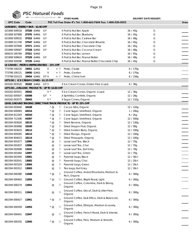

# **PSC Natural Foods**

| w                                           |                          | we deliver the goodness |           | <b>STORE NAME:</b>                                              |           | <b>DELIVERY DATE REQUEST:</b> |       |
|---------------------------------------------|--------------------------|-------------------------|-----------|-----------------------------------------------------------------|-----------|-------------------------------|-------|
| <b>UPC Code</b>                             | Code                     |                         |           | PSC Toll Free Order #'s Tel: 1-800-663-7604 Fax: 1-800-520-5052 |           |                               | Order |
| LARABAR   ENERGY BAR - \$2.40 OFF           |                          |                         |           |                                                                 |           |                               |       |
| 021908 509518                               | 37320 <del>GMO</del>     | GF                      |           | X Fruit & Nut Bar, Apple                                        | 16 / 45g  | G                             |       |
| 021908 507989                               | 37370 GMO                | GF                      |           | X Fruit & Nut Bar, Blueberry                                    | 16 / 45g  | G                             |       |
| 021908 509532                               | 37322 GMO                | GF                      |           | X Fruit & Nut Bar, Cashew Bar                                   | 16 / 48g  | G                             |       |
| 021908 511740                               | 37547 GMO                | GF                      |           | X Fruit & Nut Bar, Chocolate Brownie                            | 16/45q    | G                             |       |
| 021908 507699                               | 37371 GMO                | GF                      |           | X Fruit & Nut Bar, Chocolate Chip                               | 16/45q    | G                             |       |
| 021908 509587                               | 37328 GMO                | GF                      |           | X Fruit & Nut Bar, Coconut Cream                                | 16 / 48g  | G                             |       |
| 065633 185784                               | 37321 GMO                |                         |           | X Fruit & Nut Bar, Lemon                                        | 16 / 45g  | G                             |       |
| 021908 509624                               | 37329 GMO GF             |                         |           | X Fruit & Nut Bar, Peanut Butter                                | 16 / 48g  | G                             |       |
| 021908 509396                               | 37335 GMO                |                         |           | X Fruit & Nut Bar, Peanut Butter Chocolate Chip                 | 16 / 45g  | G                             |       |
| le Grand   Pestos (Refrigerated) - 15% off  |                          |                         |           |                                                                 |           |                               |       |
| 773798 100220                               | 19451 <del>GMO</del>     | V                       | $+$ $ 0 $ | Pesto, Classic                                                  | 6/170g    |                               |       |
| 773798 100121                               | 19450 GMO                | V                       | + P       | Pesto, Garden                                                   | 6 / 170g  |                               |       |
| 773798 010123                               | 19454 <del>GMO</del> GFV |                         | + P       | Pesto, Chimichurri                                              | 6/156g    |                               |       |
| LET'S DO   ICE CREAM CONES - \$1.15 OFF     |                          |                         |           |                                                                 |           |                               |       |
| 043182 003520 35182 GMO GFV                 |                          |                         |           | X Ice Cream Cones, Gluten Free (cups)                           | 6/36g     |                               |       |
| Let's DoOrganic products - up to \$3.84 Off |                          |                         |           |                                                                 |           |                               |       |
| 043182 003551                               | 35042                    | $V^*$                   |           | X Ice Cream Cones, Organic (cups)                               | 12 / 36g  |                               |       |
| 043182 005937                               | 02008                    | $GF *$                  |           | X Sprinklez, Confetti, Organic                                  | 12/28g    |                               |       |
| 043182 003575                               | 35043                    | $V^*$                   |           | X Sugar Cones, Organic                                          | 12 / 132g |                               |       |
|                                             |                          |                         |           | level ground trading direct fair trade products - up to 25% off |           |                               |       |
| 661594 003640                               | 18108                    | $*$ @                   | 臣         | Cacao Nibs, Organic                                             | 12 / 120g |                               |       |
| 661594 000083                               | 44314                    | $*$ @                   | 臣         | Cane Sugar, Unrefined, Organic                                  | 1/20kg    |                               |       |
| 661594 812303                               | 44310                    | $*$ @                   | 匝         | Cane Sugar, Unrefined, Organic                                  | 6/2kg     |                               |       |
|                                             | 44307                    | $*$ @                   |           |                                                                 |           |                               |       |
| 661594 712306                               |                          |                         | 臣         | Cane Sugar, Unrefined, Organic                                  | 12 / 500g |                               |       |
| 661594 003626                               | 18115                    | $*$ @                   | や         | Dried Banana, Organic                                           | 12 / 130g |                               |       |
| 661594 003688                               | 18100                    | $*$ @                   | 卜         | Dried Dragon Fruit, Organic                                     | 12 / 90g  |                               |       |
| 661594 003633                               | 18112                    | $*$ @                   | p.        | Dried Golden Berry, Organic                                     | 12 / 100g |                               |       |
| 661594 905005                               | 18113                    | $*$ @                   | や         | Dried Mango, Organic                                            | 12 / 100g |                               |       |
| 661594 904015                               | 18114                    | $*$ @                   | 卜         | Dried Pineapple, Organic                                        | 12 / 100g |                               |       |
| 661594 001677                               | 12995                    | $^{\circledR}$          | p.        | Loose Leaf Tea, Black                                           | 12/70g    |                               |       |
| 661594 001837                               | 12996                    | $^{\circledR}$          | p.        | Loose Leaf Tea, Chai                                            | 12/70g    |                               |       |
| 661594 002698                               | 13241                    | $^{\circledR}$          | p.        | Loose Leaf Tea, Earl Grey                                       | 12 / 70g  |                               |       |
| 661594 001684                               | 12997                    | $^{\circ}$              | R)        | Loose Leaf Tea, Green                                           | 12/70g    |                               |       |
| 661594 003305                               | 13001                    | $^{\circ}$              | PU.       | Pyramid bags, Black                                             | 12 / 30ct |                               |       |
| 661594 003541                               | 13002                    | @                       | h         | Pyramid bags, Chai                                              | 12 / 20ct |                               |       |
| 661594 003329                               | 13004                    | @                       | 印         | Pyramid bags, Green                                             | 12 / 20ct |                               |       |
| 661594 003312                               | 13003                    | @                       | や         | Tea bags, Earl Grey                                             | 12 / 30ct |                               |       |
| 661594 000380                               | 11948                    | $*$ @                   | h         | Ground Coffee, Andes Mountains, Medium &<br>Rich, Organic       | 6/300g    |                               |       |
| 661594 000403                               | 11955                    | $*$ @                   | h         | Ground Coffee, Bright Roast, Light                              | 6 / 300g  |                               |       |
| 661594 000274                               | 11941                    | @                       | h         | Ground Coffee, Colombia, Dark & Strong,<br>Organic              | 6/300g    |                               |       |
| 661594 000311                               | 11943                    | $^{\copyright}$         | h         | Ground Coffee, Decaf, Dark & Jitter-Free,<br>Organic            | 6/300g    |                               |       |
| 661594 000427                               | 11951                    | $*$ @                   | h         | Ground Coffee, East Africa, Dark & Balanced,<br>Organic         | 6/300g    |                               |       |
| 661594 000359                               | 11953                    | $*$ @                   | h         | Ground Coffee, Ethiopia, Medium & Lovely,<br>Organic            | 6/300g    |                               |       |
| 661594 000441                               | 11947                    | @                       | h         | Ground Coffee, French Roast, Dark & Intense,<br>Organic         | 6/300g    |                               |       |
| 661594 000335                               | 11945                    | $*$ @                   | h         | Ground Coffee, Peru, Medium & Smooth,<br>Organic                | 6/300g    |                               |       |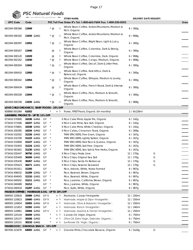

|  | <b>Sec Natural Foods</b> |  |
|--|--------------------------|--|
|  | we deliver the goodness  |  |

| -12                                            |                      | we delive the goodness - |                        |                 |          | <b>STORE NAME:</b>                                              | <b>DELIVERY DATE REQUEST:</b> |   |       |
|------------------------------------------------|----------------------|--------------------------|------------------------|-----------------|----------|-----------------------------------------------------------------|-------------------------------|---|-------|
| <b>UPC Code</b>                                | Code                 |                          |                        |                 |          | PSC Toll Free Order #'s Tel: 1-800-663-7604 Fax: 1-800-520-5052 |                               |   | Order |
| 661594 000366                                  | 11949                |                          |                        | $*$ @           | <b>P</b> | Whole Bean Coffee, Andes Mountains, Medium &<br>Rich, Organic   | 6/300g                        |   |       |
| 661594 000182                                  | 11934 <del>GMO</del> |                          |                        | $*$ @           | p        | Whole Bean Coffee, Andes Mountains, Medium &<br>Rich, Organic   | 6 / 908g                      |   |       |
| 661594 000397                                  | 11952                |                          |                        | $*$ @           | p        | Whole Bean Coffee, Bright Bean, Light & Juicy,<br>Organic       | 6/300g                        |   |       |
| 661594 000267                                  | 11940                |                          |                        | $^{\copyright}$ | h        | Whole Bean Coffee, Colombia, Dark & Strong,<br>Organic          | 6/300g                        |   |       |
| 661594 000120                                  | 11929                |                          |                        | @               | ŀ٥       | Whole Bean Coffee, Colombia, Dark, Organic                      | 6/908q                        |   |       |
| 661594 002162                                  | 11930                |                          |                        | $*$ @           | ŀυ       | Whole Bean Coffee, Congo, Medium, Organic                       | 6/908g                        |   |       |
| 661594 000304                                  | 11942                |                          |                        | $*$ @           | h        | Whole Bean Coffee, Decaf, Dark & Jitter-Free,<br>Organic        | 6/300g                        |   |       |
| 661594 000410                                  | 11950                |                          |                        | $*$ @           | <b>P</b> | Whole Bean Coffee, East Africa, Dark &<br>Balanced, Organic     | 6/300g                        |   |       |
| 661594 000342                                  | 11954                |                          |                        | * @             | h        | Whole Bean Coffee, Ethiopia, Medium & Lovely,<br>Organic        | 6/300g                        |   |       |
| 661594 000434                                  | 11946                |                          |                        | @               | p        | Whole Bean Coffee, French Roast, Dark & Intense,<br>Organic     | 6/300g                        |   |       |
| 661594 000328                                  | 11944                |                          |                        | @               | p        | Whole Bean Coffee, Peru, Medium & Smooth,<br>Organic            | 6/300g                        |   |       |
| 661594 000199                                  | 11935 <del>GMO</del> |                          |                        | $*$ @           | p        | Whole Bean Coffee, Peru, Medium & Smooth,<br>Organic            | 6/908g                        |   |       |
| LOVE CHILD ORGANICS   BABY FOODS - 15% OFF     |                      |                          |                        |                 |          |                                                                 |                               |   |       |
| 858860 001084                                  | 61052                |                          |                        |                 | + P      | Puree, FIRST Pears, Organic (6+ months)                         | 2 / 6x128ml                   |   |       |
| LUNDBERG PRODUCTS - UP TO 11% OFF              |                      |                          |                        |                 |          |                                                                 |                               |   |       |
| 073416 570900                                  |                      | 16336 GMO                | GF                     |                 |          | X Rice Cake Minis, Apple Pie, Organic                           | 6/142g                        |   |       |
| 073416 571006                                  |                      | 16337 GMO                | GF                     | $\star$         |          | X Rice Cake Minis, Sea Salt, Organic                            | 6/142g                        |   |       |
| 073416 570801                                  |                      | 16338 <del>GMO</del>     | GF                     | $\star$         |          | X Rice Cake Minis, White Cheddar, Organic                       | 6 / 142g                      |   |       |
| 073416 200395                                  |                      | 16334 GMO                | GF                     | $\star$         |          | X Rice Cakes, Cinnamon Toast, Organic                           | 6 / 269g                      |   |       |
| 073416 532502                                  | 31226 GMO            |                          | GF                     | $\star$         |          | THIN STACKERS, Five Grain, Organic                              | 6 / 167g                      |   |       |
| 073416 532700                                  |                      | 31225 <del>GMO</del>     | GF                     | $\star$         |          | THIN STACKERS, Lightly Salted, Organic                          | 6/167g                        |   |       |
| 073416 532809                                  |                      | 31227 GMO                | GF                     | $\star$         |          | THIN STACKERS, Red Rice & Quinoa, Organic                       | 6/167g                        |   |       |
| 073416 532403                                  |                      | 31224 GMO                | GF                     | $^{\star}$      |          | THIN STACKERS, Salt Free, Organic                               | 6/167g                        |   |       |
| 073416 561601                                  |                      | 31230 GMO                | GF                     | $\star$         |          | THIN STACKERS, Sea Salt & Fine Herbs, Organic                   | 6/167g                        |   |       |
| 073416 035447                                  |                      | 36750 GMO                | GF                     |                 |          | X Rice Chips, Fiesta Lime                                       | 12 / 170g                     | G |       |
| 073416 035409                                  |                      | 36269 GMO                | GF                     |                 |          | X Rice Chips, Original Sea Salt                                 | 12 / 170g                     | G |       |
| 073416 035430                                  |                      | 36267 GMO                | GF                     |                 |          | X Rice Chips, Santa Fe Barbecue                                 | 12 / 170g                     | G |       |
| 073416 035423                                  | 36271 GMO            |                          | GF                     |                 |          | X Rice Chips, Sesame Seaweed                                    | 12 / 170g                     | G |       |
| 073416 051911                                  | 31205                |                          | $\mathsf{G}\mathsf{F}$ |                 |          | Rice, Arborio, White, Nutra-Farmed                              | 6 / 907g                      |   |       |
| 073416 406032                                  | 31209 GMO            |                          | GF                     | $\star$         |          | Rice, Basmati, Brown, Organic                                   | 6/907g                        |   |       |
| 073416 404045                                  |                      | 31210 GMO                | GF                     | $\rightarrow$   |          | Rice, Basmati, White, Organic                                   | 6 / 907g                      |   |       |
| 073416 040502                                  |                      | 31211 GMO                | GF                     | $\rightarrow$   |          | Rice, Jasmine, California Brown, Organic                        | 6 / 907g                      |   |       |
| 073416 040489                                  | 31212                |                          | GF                     | $\star$         |          | Rice, Jasmine, White, Organic                                   | 6/907g                        |   |       |
| 073416 040434                                  | 31207 GMO            |                          | GF                     | $\star$         |          | Rice, Sushi, White, Organic                                     | 6/907g                        |   |       |
| MAISON ORPHEE   MARINADE & OIL - UP TO 20% OFF |                      |                          |                        |                 |          |                                                                 |                               |   |       |
| 069593 120816                                  |                      | 33489 GMO                | GF V                   |                 | + P      | Marinade, Caesar Vinaigrette                                    | 12 / 250ml                    |   |       |
| 069593 120823                                  |                      | 33490 GMO                | GF V                   |                 | + P      | Marinade, Maple & Dijon Vinaigrette                             | 12 / 250ml                    |   |       |
| 069593 120854                                  |                      | 33493 GMO                | GF V                   |                 | + 凡      | Marinade, Olive & Balsamic Vinaigrette                          | 12 / 250ml                    |   |       |
| 069593 121653                                  |                      | 32393 GMO                | GF                     |                 | + 凡      | Marinade, Ranch Vinaigrette□                                    | 12 / 240ml                    |   |       |
| 069593 120861                                  |                      | 33494 <del>GMO</del>     | GF V                   |                 | + 凡      | Marinade, Sesame & Tamari Vinaigretten                          | 12 / 250ml                    |   |       |
| 069593 120144                                  |                      | 30209 GMO                |                        |                 | + P      | Canola Oil, Virgin, Organic                                     | 6 / 750ml                     |   |       |
| 069593 120137                                  |                      | 30208 GMO                |                        |                 | + P      | Olive Oil, Extra Virgin, Delicate, Organica                     | 6 / 750ml                     |   |       |
| 069593 120151                                  |                      | 30210 GMO                |                        |                 | $+$ 2    | Sunflower Oil, Virgin, Organica                                 | 6 / 750ml                     |   |       |
| MADEGOOD   GRANOLA SNACK - 15% OFF             |                      |                          |                        |                 |          |                                                                 |                               |   |       |
| 687456 223476                                  |                      | 64093 GMO GF             | $\rightarrow$          |                 | + 凡      | Granola Minis, Chocolate Banana, Organic                        | 6/5x24g                       | G |       |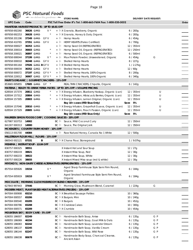

# **PSC Natural Foods**<br> **STORE NAME:** STORE NAME: DELIVERY DATE REQUEST:

| ◥ャ⊮                                                 |                      |                          |                           |       | <b>STORE NAME:</b>                                                    |             | DELIVERY DATE REQUEST: |       |
|-----------------------------------------------------|----------------------|--------------------------|---------------------------|-------|-----------------------------------------------------------------------|-------------|------------------------|-------|
| <b>UPC Code</b>                                     | Code                 |                          |                           |       | PSC Toll Free Order #'s Tel: 1-800-663-7604 Fax: 1-800-520-5052       |             |                        | Order |
| MANITOBA HARVEST PRODUCTS - UP TO \$9.81 OFF        |                      |                          |                           |       |                                                                       |             |                        |       |
| 697658 692260                                       |                      | 36626 GMO                | $V^*$                     |       | + Fx Granola, Blueberry, Organic                                      | 6/283g      |                        |       |
| 697658 692253                                       |                      | 36628 <del>GMO</del>     | $^{\star}$                |       | + Fux Granola, Honey & Oats, Organic                                  | 6/283g      |                        |       |
| 697658 201196                                       |                      | 37349 GMO                | GF V                      | + や   | <b>Hemp Hearts</b>                                                    | 6/454g      |                        |       |
| 697658 410765                                       |                      | 37351 <del>GMO</del>     | GF V                      | + や   | HEMP HEARTS (Paleo Certified)                                         | 6/700g      |                        |       |
| 697658 000027                                       | 36353 <del>GMO</del> |                          |                           | + P   | Hemp Seed Oil (REFRIGERATED)                                          | 12 / 355ml  |                        |       |
| 697658 200014                                       |                      | 36603 GMO                |                           | + P   | Hemp Seed Oil, Organic (REFRIGERATED)                                 | 12 / 250ml  |                        |       |
| 697658 200021                                       | 36897 GMO            |                          |                           | + P   | Hemp Seed Oil, Organic (REFRIGERATED)                                 | 6 / 500ml   |                        |       |
| 697658 690044                                       | 37199 GMO            |                          | $V^*$                     | + P   | Max Protein Powder, Unsweetened, Organic                              | 6/454g      | G                      |       |
| 697658 000010                                       |                      | 36348 GMO                | GF V                      | + P   | Shelled Hemp Hearts                                                   | 8 / 227g    |                        |       |
| 697658 691164                                       |                      | 37026 GMO B GF V         |                           |       | + PUX Shelled Hemp Hearts                                             | 1 / 2.27kg  |                        |       |
| 697658 000034                                       |                      | 36352 <del>GMO</del> GFV |                           | + や   | Shelled Hemp Hearts                                                   | 12/60g      |                        |       |
| 697658 000072                                       |                      | 37197 GMO                | GF V $*$                  | + P   | Shelled Hemp Hearts, 100% Organic                                     | $8 / 200$ g |                        |       |
| 697658 220012                                       |                      | 36907 GMO                | GF V *                    | + 「包  | Shelled Hemp Hearts, 100% Organic                                     | 6/340g      |                        |       |
| MARY'S ORGANIC   GOURMET CRACKERS - 15% OFF         |                      |                          |                           |       |                                                                       |             |                        |       |
| 853665 005855                                       |                      | 17605 GMO                | GF<br>$\star$             |       | REAL THIN CRACKERS, Chipotle, Organic                                 | 6/142g      |                        |       |
|                                                     |                      |                          |                           |       | MATEINA   READY-TO-DRINK YERBA MATES - UP TO 20% OFF + VOLUME PRICING |             |                        |       |
| 628504 157374                                       |                      | 20811 GMO                |                           |       | + Fu X Energy Infusion, Blueberry Haskap, Organic (can)               | 12 / 355ml  | U                      |       |
| 628504 157312                                       | 20804 GMO            |                          |                           |       | + Fu X Energy Infusion, Hibiscus & Berries, Organic (can)             | 12 / 355ml  | U                      |       |
| 628504 157305                                       | 20803 GMO            |                          |                           |       | + FLX Energy Infusion, Lemon Original, Organic (can)                  | 12 / 355ml  | U                      |       |
|                                                     |                      |                          |                           |       | Buy 10+ cases (RTD Skus Only)                                         | Save 5%     |                        |       |
| 628504 157046                                       |                      | 20810 GMO                |                           |       | + Fux Energy Infusion, Grapefruit Guava, Organic (can)                | 12 / 355ml  | U                      |       |
| 628504 157329                                       | 20805 GMO            |                          |                           |       | + Fu X Energy Infusion, Peach Passion, Organic (can)                  | 12 / 355ml  | U                      |       |
|                                                     |                      |                          |                           |       | Buy 10+ cases (RTD Skus Only)                                         | Save 5%     |                        |       |
| MAUREEN SIMON FOODS CORP   COOKING SAUCES - 20% OFF |                      |                          |                           |       |                                                                       |             |                        |       |
| 627987 503753                                       | 14902                |                          |                           |       | BC 问 Sauce, Mild Coconut Curry                                        | 12 / 350ml  |                        |       |
| 841307 000313                                       | 14900                |                          |                           |       | BC <sup>[b]</sup> Sauce, The Original Jerk                            | 12 / 350ml  |                        |       |
| MCKENZIE'S   COUNTRY FARM HONEY - 10% OFF           |                      |                          |                           |       |                                                                       |             |                        |       |
| 056113 001700 44084                                 |                      |                          |                           | + や   | Raw Natural Honey, Canada No 1 White                                  | 12 / 500g   |                        |       |
| MILLSTREAM FLOUR MILL   FLOURS - 15% OFF            |                      |                          |                           |       |                                                                       |             |                        |       |
| 060543 002121                                       | 07331                |                          | В                         |       | BC $\mathbb R$ X Chana Flour, Stoneground                             | 1 / 9.07kg  |                        |       |
| MISHIMA   INSTANT SOUP - \$3.84 OFF                 |                      |                          |                           |       |                                                                       |             |                        |       |
| 830757 000325                                       | 38551                |                          |                           |       | X Instant Hot and Sour Soup                                           | 12/27g      |                        |       |
| 830757 000219                                       | 38821                |                          |                           |       | X Instant Miso Soup, Red                                              | 12 / 30q    |                        |       |
| 830757 000233                                       | 38822                |                          |                           |       | X Instant Miso Soup, White                                            | 12 / 30g    |                        |       |
| 830757 000226                                       | 38655                |                          |                           |       | X Instant Mixed Miso soup (red & white)                               | 12 / 30g    |                        |       |
|                                                     |                      |                          |                           |       | MIYOKO'S   NON-DAIRY CHEESE ALTERNATIVES (REFRIGERATED) - 15% OFF     |             |                        |       |
| 857554 005926                                       | 19154                |                          | $V^*$                     |       | Aged Sharp Farmhouse Style Semi Firm Round,                           | 6 / 184g    |                        |       |
|                                                     |                      |                          |                           |       | Organic                                                               |             |                        |       |
| 857554 005919                                       | 19153                |                          | $V^*$                     |       | Aged Smoked Farmhouse Style Semi Firm Round,                          | 6 / 184g    |                        |       |
|                                                     |                      |                          |                           |       | Organic                                                               |             |                        |       |
|                                                     |                      |                          |                           |       | MOCOLATE   MORNING GLOW MUSHROOM BLEND CREAMER - 15% OFF              |             |                        |       |
| 627843 997443                                       | 37446                |                          |                           |       | BC Fu Morning Glow, Mushroom Blend, Caramel                           | 1 / 224g    | G                      |       |
|                                                     |                      |                          |                           |       | MODERN MEAT   PLANT-BASED MEAT ALTERNATIVES (FROZEN) - 15% OFF        |             |                        |       |
| 847004 000908                                       | 65210                |                          |                           |       | BC <sup>[b]</sup> X Breakfast Sausage Patties                         | 10/360g     |                        |       |
| 847004 000557                                       | 65206                |                          |                           |       | BC <sup>[b</sup> X Burgers. Mini                                      | 10 / 240g   |                        |       |
| 847004 000540                                       | 65205                |                          |                           |       | BC Pd X Burgers                                                       | 10 / 452g   |                        |       |
| 847004 000786                                       | 65208                |                          |                           |       | BC $\upbeta$ X Crabless Cakes                                         | 10/300g     |                        |       |
| 847004 000571                                       | 65209                |                          |                           |       | BC <sup>D</sup> X Crumble                                             | 10 / 454g   |                        |       |
| <b>MOUNTAIN SKY</b>                                 |                      |                          | <b>BODY CARE - 5% OFF</b> |       |                                                                       |             |                        |       |
| 628055 186007                                       | 82249                |                          |                           | BC Pu | Handmade Bath Soap, Anise                                             | 6/135g      | G P                    |       |
| 628055 186069                                       | 46194                |                          |                           | BC Pu | Handmade Bath Soap, Goat Milk & Oats                                  | 6/135g      | G P                    |       |
| 628055 186083                                       | 82242                |                          |                           | BCE   | Handmade Bath Soap, Lavender Dream                                    | 6/135q      | G P                    |       |
| 628055 186137                                       | 82245                |                          |                           | BC Pu | Handmade Bath Soap, Vanilla Cream                                     | 6/135g      | G P                    |       |
| 628055 186144                                       | 82247                |                          |                           | BC Pu | Handmade Bath Soap, Wild Rose                                         | 6/135g      | G P                    |       |
| 628055 186038                                       | 80678                |                          |                           | BC p  | Handmade Body Soap, Charcoal Cleanse,<br>Ancient Asian                | 6/135g      | G P                    |       |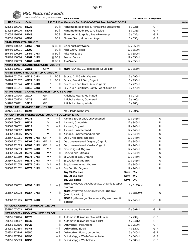**PSC Natural Foods** 

| $\blacksquare$                                          |                      | we deliver the goodness are |                  | <b>STORE NAME:</b>                                                  |             | <b>DELIVERY DATE REQUEST:</b> |       |
|---------------------------------------------------------|----------------------|-----------------------------|------------------|---------------------------------------------------------------------|-------------|-------------------------------|-------|
| <b>UPC Code</b>                                         | Code                 |                             |                  | PSC Toll Free Order #'s Tel: 1-800-663-7604 Fax: 1-800-520-5052     |             |                               | Order |
| 628055 186045                                           | 82239                |                             |                  | BC $\mathbb{b}$ Handmade Body Soap, Herbal Pine Eucalyptus          | 6/135g      | G P                           |       |
| 628055 186076                                           | 82241                |                             | BCF              | Handmade Body Soap, Kali Spice                                      | 6/135g      | G P                           |       |
| 628055 186106                                           | 82248                |                             | BCE              | Shampoo & Soap Bar, Rasta-Bar-Hemp                                  | 6/135g      | G P                           |       |
| 628055 186090                                           | 46195                |                             |                  | BC <sup>[b]</sup> Shower Soap, Moroccan Argan                       | 6/135q      | G P                           |       |
| <b>NAAM PRODUCTS - 10% OFF</b>                          |                      |                             |                  |                                                                     |             |                               |       |
| 689499 100042                                           | 14460 GMO            |                             | $@$ BC $\upbeta$ | Coconut Curry Sauce                                                 | 12 / 350ml  |                               |       |
| 689499 100011                                           | 14000                |                             | BC Pu            |                                                                     | 12 / 350ml  |                               |       |
| 689499 100080                                           | 14459 GMO            |                             | @ BC FD          | Miso Gravy (bottle)<br>Miso Hot Sauce                               | 12 / 350ml  |                               |       |
|                                                         |                      |                             |                  |                                                                     |             |                               |       |
| 689499 100066                                           | 14461 <del>GMO</del> |                             | $@$ BC $\uplus$  | Peanut Sauce                                                        | 12 / 350ml  |                               |       |
| 689499 100059                                           | 14463 GMO            |                             | @ BC Po          | Thai Sauce                                                          | 12 / 350ml  |                               |       |
| NABATI PLANT EGGZ (REFRIGERATED) - 20% OFF              |                      |                             |                  |                                                                     |             |                               |       |
| 628055 829331                                           | 21152                | GF V                        | $+ 10$           | <b>NEW!</b> PLANT EGGZ Plant Based Liquid Egg                       | 12 / 355ml  |                               |       |
| <b>NAKED &amp; SAUCY PRODUCTS - UP TO 15% OFF</b>       |                      |                             |                  |                                                                     |             |                               |       |
| 890104 001078                                           | 40118 GMO            |                             | BC p             | Sauce, Chili Garlic, Organic                                        | 6/296ml     |                               |       |
| 890104 001337                                           | 40124 <del>GMO</del> |                             | BC Pu            | Sauce, Sweet & Sour, Organic                                        | 6 / 296ml   |                               |       |
| 890104 001344                                           | 40115 GMO            |                             | h                | Soy Sauce Substitute, Keto, Organic                                 | 6/473ml     |                               |       |
| 890104 001351                                           | 40116 GMO            |                             | h                | Soy Sauce Substitute, Lightly Sweet, Organic                        | 6/473ml     |                               |       |
| NATIVE FOREST   CANNED VEGETABLES - UP TO \$1.77 OFF    |                      |                             |                  |                                                                     |             |                               |       |
| 043182 008945                                           | 10217                | GF                          |                  | Artichoke Hearts, Marinated                                         | 6/170g      |                               |       |
| 043182 008914                                           | 10428                | GF                          |                  | Artichoke Hearts, Quartered                                         | 6 / 400g    |                               |       |
| 043182 008921                                           | 10215                | GF                          |                  | Artichoke Hearts, Whole                                             | 6/280g      |                               |       |
| NATRACARE   FEMININE CARE - 15% OFF                     |                      |                             |                  |                                                                     |             |                               |       |
| 782126 003041 80892                                     |                      |                             |                  | Maxi Pads, Night Time                                               | 1/10ea      |                               |       |
| NATURA   DAIRY-FREE BEVERAGE - 20% OFF + VOLUME PRICING |                      |                             |                  |                                                                     |             |                               |       |
| 063667 090463                                           | 07276                | V                           | + P              | Almond & Coconut, Unsweetened                                       | 12 / 946ml  | U                             |       |
| 063667 090081                                           | 07122                | V                           | + P              | Almond, Chocolate                                                   | 12 / 946ml  | U                             |       |
| 063667 090012                                           | 07119                | V                           | + 凡              | Almond, Original                                                    | 12 / 946ml  | U                             |       |
| 063667 090067                                           | 07121                | V                           | $+ 30$           | Almond, Unsweetened                                                 | 12 / 946ml  | U                             |       |
| 063667 090265                                           | 07275                | V                           | $+ 30$           | Almond, Unsweetened, Vanilla                                        | 12 / 946ml  | U                             |       |
| 063667 201081                                           | 06404 GMO            | GF<br>$\star$               | $+$ 2            | Oat, Chocolate, Organic                                             | 12 / 946ml  | U                             |       |
| 063667 201012                                           | 06402 GMO            | GF<br>$\star$               | $+ 30$           | Oat, Unsweetened Original, Organic                                  | 12 / 946ml  | U                             |       |
| 063667 201029                                           | 06403 GMO            | GF<br>$\star$               | $+ 30$           | Oat, Unsweetened Vanilla, Organic                                   | 12 / 946ml  | U                             |       |
| 063667 006013                                           | 06378 GMO            | $V^*$                       | $+$ 2            | Rice, Original, Organic                                             | 12 / 946ml  | U                             |       |
| 063667 006020                                           | 06379 GMO            | $V^*$                       | $+ 30$           | Rice, Vanilla, Organic                                              | 12 / 946ml  | U                             |       |
| 063667 301859                                           | 06374 GMO            | $V^*$                       | + 凡              | Soy, Chocolate, Organic                                             | 12 / 946ml  | U                             |       |
| 063667 301408                                           | 06371 GMO            | $\mathsf{V}$ $^{\star}$     | 卜<br>$+$         | Soy, Original, Organic                                              | 12 / 946ml  | U                             |       |
| 063667 511005                                           | 06375 <del>GMO</del> | $V^*$                       | + P              | Soy, Unsweetened, Organic                                           | 12 / 946ml  | U                             |       |
| 063667 301552                                           | 06372 GMO            | $V^*$                       | + P              | Soy, Vanilla, Organic                                               | 12 / 946ml  | U                             |       |
|                                                         |                      |                             |                  | Buy 15-29 cases                                                     | 3%<br>Save  |                               |       |
|                                                         |                      |                             |                  | Buy 30-74 cases                                                     | 5%<br>Save  |                               |       |
|                                                         |                      |                             |                  | Buy 75+ cases                                                       | 7%<br>Save  |                               |       |
| 063667 508012                                           | 06392 GMO            |                             | $+$ 2            | NEW! Soy Beverage, Chocolate, Organic (aseptic<br>carton)           | 8 / 3x200ml | U                             |       |
| 063667 506018                                           | 06357 GMO            |                             | + P              | NEW! Soy Beverage, Unsweetened, Organic                             | 8 / 3x200ml | U                             |       |
| 063667 301705                                           | 06373 <del>GMO</del> |                             | + P              | (aseptic carton)<br>NEW! Soy Beverage, Strawberry, Organic (aseptic | 12 / 946ml  | G<br>U                        |       |
|                                                         |                      |                             |                  | carton)                                                             |             |                               |       |
| NATURAL CABANA   LEMONADE - 15% OFF                     |                      |                             |                  |                                                                     |             |                               |       |
| 856190 003013                                           | 04083                |                             |                  | X Lemonade, Strawberry                                              | 12 / 591ml  | G<br>U                        |       |
| NATURE CLEAN PRODUCTS - UP TO 15% OFF                   |                      |                             |                  |                                                                     |             |                               |       |
| 058951 380184                                           | 80570                |                             | + や              | Automatic Dishwasher Pacs (24pacs)                                  | 8 / 432g    | G P                           |       |
| 058951 380207                                           | 80835                |                             | + P              | Automatic Dishwasher Pacs, 60ct                                     | 4 / 1.08kg  | G P                           |       |
| 058951 232506                                           | 80429                |                             | R<br>$+$         | Dishwasher Rinse Agent                                              | 12 / 250ml  | G P                           |       |
| 058951 403364                                           | 80443                |                             | $+$ P            | Dishwashing Liquid                                                  | 4 / 3.63L   | G P                           |       |
| 058951 403746                                           | 80580                |                             | R<br>$+$         | Dishwashing Liquid, Unscented                                       | 6 / 740ml   | G P                           |       |
| 058951 217404                                           | 80496                |                             | Þ<br>$+$         | Fruit & Veggie Wash Concentrate                                     | 6 / 740ml   | G P                           |       |
| 058951 225003                                           | 80490                |                             | + P              | Fruit & Veggie Wash Spray                                           | 6 / 500ml   | G P                           |       |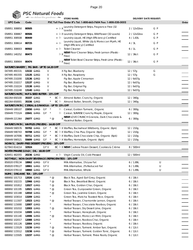

| -12                                            |                      | we delive the goodness - |      |               | <b>STORE NAME:</b>                                                     | <b>DELIVERY DATE REQUEST:</b> |     |       |
|------------------------------------------------|----------------------|--------------------------|------|---------------|------------------------------------------------------------------------|-------------------------------|-----|-------|
| <b>UPC Code</b>                                | Code                 |                          |      |               | PSC Toll Free Order #'s Tel: 1-800-663-7604 Fax: 1-800-520-5052        |                               |     | Order |
| 058951 308850                                  | 80505                |                          |      |               | + $\beta$ X Laundry Detergent Strips, Fragrance Free (32<br>Loads)     | 2 / 12x32ea                   | G P |       |
| 058951 308867                                  | 80506                |                          |      |               | + FUX Laundry Detergent Strips, WildFlower (32 Loads)                  | 2 / 12x32ea                   | G P |       |
| 058951 308508                                  | 80449                |                          |      |               | Laundry Liquid, HE (High Efficiency) Certified<br>+ や                  | 4 / 1.83L                     | G P |       |
|                                                |                      |                          |      |               | Laundry Liquid, White Lily & Moroccan Myrrh, HE                        |                               |     |       |
| 058951 308614                                  | 80725                |                          |      |               | + P<br>(High Efficiency) Certified                                     | 4/3L                          | G P |       |
| 058951 308003                                  | 80502                |                          |      |               | <b>Toilet Cleaner</b><br>$+ 10$                                        | 6/1                           | G P |       |
| 058951 140252                                  | 80473                |                          |      |               | NEW! Floor Cleaner Strips, Fresh Lemon (Plastic-<br>F X<br>Free)       | 12 / 36ct                     | G P |       |
| 058951 308904                                  | 80474                |                          |      |               | NEW! Toilet Bowl Cleaner Strips, Fresh Lime (Plastic-<br>PU X<br>Free) | 12 / 36ct                     | G P |       |
| NATURE'S BAKERY   FIG BAR - UP TO \$4.20 OFF   |                      |                          |      |               |                                                                        |                               |     |       |
| 047495 491531                                  | 13132 GMO            |                          |      | V             | X Fig Bar, Blueberry                                                   | 12/57g                        | G   |       |
| 047495 491555                                  | 13135 GMO            |                          |      | V             | X Fig Bar, Raspberry                                                   | 12/57g                        | G   |       |
| 047495 210200                                  | 13136 GMO            |                          |      | V             | Fig Bar, Apple Cinnamon                                                | 12 / 6x57g                    |     |       |
| 047495 210217                                  | 13137 <del>GMO</del> |                          |      | V             | Fig Bar, Blueberry                                                     | 12 / 6x57g                    |     |       |
| 047495 210224                                  | 13138 GMO            |                          |      | V             | Fig Bar, Original Fig                                                  | 12 / 6x57g                    |     |       |
| 047495 210248                                  | 13140 GMO            |                          |      | V             | Fig Bar, Raspberry                                                     | 12 / 6x57g                    |     |       |
| NATURE'S NUTS   NUT & SEED BUTTER - 15% OFF    |                      |                          |      |               |                                                                        |                               |     |       |
| 682264 650100                                  | 35337 GMO            |                          |      |               | Almond Butter, Crunchy, Organic<br>BC 匝                                | 12 / 340g                     |     |       |
| 682264 650001                                  | 35336 GMO            |                          |      |               | BC <sup>[b]</sup> Almond Butter, Smooth, Organic                       | 12 / 340g                     |     |       |
| <b>NATURE'S PATH  </b>                         |                      |                          |      |               | CEREAL & GRANOLA - UP TO 15% OFF                                       |                               |     |       |
| 058449 189107                                  | 22650 GMO            |                          | GF   |               | Cereal, Golden Turmeric, Organic<br>臣                                  | 6/300g                        |     |       |
| 058449 771524                                  | 22641 <del>GMO</del> |                          | GF   |               | Cereal, SUNRISE Crunchy Maple, Organic<br>ŀ٥                           | 12 / 300g                     |     |       |
| 058449 221364                                  | 25077 GMO            |                          |      | $^\star$ @    | NEW! LOVE CRUNCH Granola, Dark Chocolate &<br>Hazelnut Butter, Organic | 6/300g                        |     |       |
| NATURE'S PATH   WAFFLES (FROZEN) - \$4.00 OFF  |                      |                          |      |               |                                                                        |                               |     |       |
| 058449 590576                                  | 55702 GMO            |                          | GF   | $\star$       | BC Fux Waffles, Buckwheat Wildberry, Organic (6pk)                     | 12/210g                       |     |       |
| 058449 590743                                  | 55708 <del>GMO</del> |                          | GF   | $\rightarrow$ | BC FUX Waffles, Chia Plus, Organic (6pk)                               | 12 / 210g                     |     |       |
| 058449 167006                                  | 55711 <del>GMO</del> |                          | GF   | $\rightarrow$ | BC Fux Waffles, Dark Chocolate Chip, Organic (6pk)                     | 12 / 210g                     |     |       |
| 058449 590521                                  | 55699 GMO            |                          | GF   | $\rightarrow$ | BC Fux Waffles, Homestyle, Organic (6pk)                               | 12 / 210g                     |     |       |
| NORA'S   DAIRY-FREE DESSERT (FROZEN) - 10% OFF |                      |                          |      |               |                                                                        |                               |     |       |
| 627843 814214                                  | 32924                |                          | GF V |               | BC 和 X NEW! Cashew Frozen Dessert, Cookies & Crème                     | 8 / 500ml                     |     |       |
| NORTH PRAIRIE GOLD   OIL - \$8.00 OFF          |                      |                          |      |               |                                                                        |                               |     |       |
| 628451 482055                                  | 20236 GMO            |                          |      |               | + Pu Virgin Canola Oil, Cold-Pressed                                   | 12 / 500ml                    |     |       |
|                                                |                      |                          |      |               | NOT MILK   NON-DAIRY BEVERAGE (REFRIGERATED) - 10% OFF                 |                               |     |       |
| 850020 078134                                  | 18862 GMO            |                          | GF V |               | Milk Alternative, 1% Low Fat                                           | 6/1.89L                       | U   |       |
| 850020 078127                                  | 18861 <del>GMO</del> |                          | GF V |               | Milk Alternative, 2% Reduced Fat                                       | 6/1.89L                       | U   |       |
| 850020 078110                                  | 18860 GMO            |                          | GF V |               | Milk Alternative, Whole                                                | 6/1.89L                       | U   |       |
| NUMI   ORGANIC TEA - 15% OFF                   |                      |                          |      |               |                                                                        |                               |     |       |
| 680692 101713                                  | 12026 GMO            |                          |      | $*$ @         | Black Tea, Aged Earl Grey, Organic                                     | 6 / 18ct                      |     |       |
| 680692 102215                                  | 12966 GMO            |                          |      | $*$ @         | Black Tea, Breakfast Blend, Organic                                    | 6 / 18ct                      |     |       |
| 680692 101812                                  | 12027 <del>GMO</del> |                          |      | $*$ @         | Black Tea, Golden Chai, Organic                                        | 6 / 18ct                      |     |       |
| 680692 101195                                  | 12021 GMO            |                          |      | $*$ @         | Green Tea, Gunpowder Green, Organic                                    | 6/18ct                        |     |       |
| 680692 101188                                  | 12010 GMO            |                          |      | $*$ @         | Green Tea, Jasmine Green, Organic                                      | 6 / 18ct                      |     |       |
| 680692 103014                                  | 13209 <del>GMO</del> |                          |      | $^\star$      | Green Tea, Matcha Toasted Rice, Organic                                | 6 / 18ct                      |     |       |
| 680692 111507                                  | 12023 GMO            |                          |      | $*$ @         | Herbal Teasan, Chamomile Lemon, Organic                                | 6 / 18ct                      |     |       |
| 680692 115000                                  | 12007 GMO            |                          |      | $^\star$      | Herbal Teasan, Chocolate Rooibos, Organic                              | 6 / 18ct                      |     |       |
| 680692 101010                                  | 12003 <del>GMO</del> |                          |      | $*$ @         | Herbal Teasan, Dry Desert Lime, Organic                                | 6 / 18ct                      |     |       |
| 680692 101034                                  | 12005 GMO            |                          |      |               | Herbal Teasan, Honeybush, Organic                                      | 6 / 18ct                      |     |       |
| 680692 101140                                  | 12006 GMO            |                          |      | $*$ @         | Herbal Teasan, Moroccan Mint, Organic                                  | 6 / 18ct                      |     |       |
| 680692 102017                                  | 12088 <del>GMO</del> |                          |      |               | Herbal Teasan, Rooibos Chai, Organic                                   | 6 / 18ct                      |     |       |
| 680692 101126                                  | 12004 <del>GMO</del> |                          |      | $\star$       | Herbal Teasan, Rooibos, Organic                                        | 6 / 18ct                      |     |       |
| 680692 115529                                  | 13239 GMO            |                          |      | $*$ @         | Herbal Teasan, Turmeric Amber Sun, Organic                             | 6 / 12ct                      |     |       |
| 680692 115512                                  | 13238 <del>GMO</del> |                          |      | $*$ @         | Herbal Teasan, Turmeric Golden Tonic, Organic                          | 6 / 12ct                      |     |       |
| 680692 115505                                  | 13237 <del>GMO</del> |                          |      | $*$ @         | Herbal Teasan, Turmeric Three Roots, Organic                           | 6 / 12ct                      |     |       |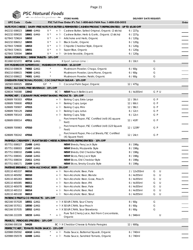|                                                      |           | PSC Natural Foods<br>we deliver the goodness |       |            |                                                                                                           |                               |        |       |
|------------------------------------------------------|-----------|----------------------------------------------|-------|------------|-----------------------------------------------------------------------------------------------------------|-------------------------------|--------|-------|
|                                                      |           |                                              |       |            | <b>STORE NAME:</b>                                                                                        | <b>DELIVERY DATE REQUEST:</b> |        |       |
| <b>UPC Code</b>                                      | Code      |                                              |       |            | PSC Toll Free Order #'s Tel: 1-800-663-7604 Fax: 1-800-520-5052                                           |                               |        | Order |
|                                                      |           | $V^*$                                        |       |            | NUTS FOR CHEESE   DAIRY-FREE NUTS FOR BUTTER & FERMENTED CASHEW PRODUCT (REFRIGERATED) - UP TO \$5.00 OFF |                               |        |       |
| 842232 008023                                        |           | 18660 GMO<br>$V^*$                           |       | + FD       | Cashew Butter, Salted Original, Organic (2 sticks)                                                        | 6/227g                        |        |       |
| 842232 009020                                        | 18652     | 18661 <del>GMO</del>                         | $V^*$ | + P<br>+ P | Cashew Butter, Herb & Garlic, Organic (2 sticks)                                                          | 6 / 227g                      |        |       |
| 627843 729624<br>842232 006012                       | 18655     |                                              | $V^*$ | + P        | Artichoke and Herb, Organic<br><b>Black Garlic, Organic</b>                                               | 6/120g<br>6/120q              |        |       |
| 627843 729600                                        | 18653     |                                              | $V^*$ | + P        | Chipotle Cheddar Style, Organic                                                                           | 6/120g                        |        |       |
| 627843 729631                                        | 18651     | $V^*$                                        |       | + Þ        | Super Blue, Organic                                                                                       | 6/120g                        |        |       |
| 627843 729594                                        | 18654     |                                              | $V^*$ |            | + Pu Un-brie-lievable, Organic                                                                            | 6/120g                        |        |       |
| NUUN HYDRATION   DRINK TABLETS - 10% OFF             |           |                                              |       |            |                                                                                                           |                               |        |       |
| 811660 021072                                        |           | 40716 GMO                                    |       |            | X Sport, Lemon Lime □                                                                                     | 8 / 10ct                      | G      |       |
| OM MUSHROOM SUPERFOOD   MUSHROOM POWDER - \$5.10 OFF |           |                                              |       |            |                                                                                                           |                               |        |       |
| 856210 008639                                        |           | 74002 GMO                                    |       |            | Mushroom Powder, Chaga, Organic                                                                           | 6/60g                         | G      |       |
| 856210 008615                                        |           | 74000 GMO                                    |       |            | Mushroom Powder, Lions Mane, Organic                                                                      | 6/60g                         | G      |       |
| 856210 008622                                        | 74001 GMO |                                              |       |            | Mushroom Powder, Reishi, Organic                                                                          | 6/60g                         | G      |       |
|                                                      |           |                                              |       |            | ONEEARTH FUNCTIONAL FOODS   COCONUT PALM SUGAR - 10% OFF                                                  |                               |        |       |
| 182583 000025                                        | 22214     | $GF *$                                       |       |            | Pu Coconut Palm Sugar, Organic                                                                            | 12 / 475g                     |        |       |
| OPUS   ALCOHOL FREE BEVERAGE - 15% OFF               |           |                                              |       |            |                                                                                                           |                               |        |       |
| 628634 740088                                        | 13942     |                                              |       |            | BC Pu NEW! Peach Bellini (can)                                                                            | 6 / 4x355ml                   | GPU    |       |
|                                                      |           |                                              |       |            | PAPERCHEF   CULINARY PARCHMENT BAKING PRODUCTS - 10% OFF                                                  |                               |        |       |
| 628689 700303                                        | 47014     |                                              |       | + や        | Baking Cups, Extra Large                                                                                  | 12 / 30ct                     | G P    |       |
| 628689 700600                                        | 47013     |                                              |       | + や        | Baking Cups, Large                                                                                        | 12 / 60ct                     | G P    |       |
| 628689 700907                                        | 47015     |                                              |       | + 凡        | Baking Cups, Mini                                                                                         | 12 / 90ct                     | G P    |       |
| 628689 700129                                        | 21010     |                                              |       | + 凡        | <b>Baking Cups, Lotus</b>                                                                                 | 6/12ct                        | G P    |       |
| 628689 700143                                        | 21011     |                                              |       | + や        | <b>Baking Cups, Tulip</b>                                                                                 | 6 / 12ct                      | G P    |       |
| 628689 000014                                        | 47011     |                                              |       | Þ          | Parchment Paper, FSC Certified (roll) (41 square<br>feet)                                                 | $12 / 41$ ft <sup>2</sup>     | G P    |       |
| 628689 700983                                        | 47010     |                                              |       | ħ          | Parchment Paper, FSC Certified (roll) (123 Square<br>Feet)                                                | 12 / 123ft <sup>2</sup>       | G P    |       |
| 628689 700242                                        | 47016     |                                              |       | ħ          | Parchment Paper, Pre-cut Sheets, FSC Certified<br>(41 Square Feet)                                        | 12 / 24ct                     | G P    |       |
|                                                      |           |                                              |       |            | PARMELA CREAMERY   PLANT BASED CHEESE ALTERNATIVES (REFRIGERATED) - 10% OFF                               |                               |        |       |
| 857751 008027                                        |           | 21408 GMO                                    |       |            | <b>NEW!</b> Shreds, Fiery Jack Style                                                                      | 8 / 198q                      |        |       |
| 857751 008003                                        |           | 21407 <del>GMO</del>                         |       |            | NEW! Shreds, Mozzarella Style                                                                             | 8 / 198g                      |        |       |
| 857751 008010                                        |           | 21406 GMO                                    |       |            | NEW! Shreds, Old Cheddar Style                                                                            | 8 / 198g                      |        |       |
| 857751 008041                                        |           | 21410 GMO                                    |       |            | <b>NEW!</b> Slices, Fiery Jack Style                                                                      | 8 / 198g                      |        |       |
| 857751 008034                                        |           | 21411 <del>GMO</del>                         |       |            | NEW! Slices, Old Cheddar Style                                                                            | 8 / 198g                      |        |       |
| 857751 008171                                        |           | 21409 GMO                                    |       |            | NEW! Slices, Smoky Gouda Style                                                                            | 8 / 198g                      |        |       |
| PARTAKE BREWING   NON-ALCOHOLIC BEER - 5% OFF        |           |                                              |       |            |                                                                                                           |                               |        |       |
| 628110 465337                                        | 06016     |                                              |       | + や        | Non-Alcoholic Beer, Pale                                                                                  | 2 / 12x355ml                  | G<br>U |       |
| 628110 465092                                        | 06010     |                                              |       | + 凡        | Non-Alcoholic Beer, Blonde                                                                                | 6 / 4x355ml                   | U<br>G |       |
| 628110 465283                                        | 06015     |                                              |       | + P        | Non-Alcoholic Beer, Gose, Peach                                                                           | 6 / 4x355ml                   | G<br>U |       |
| 628110 465085                                        | 06011     |                                              |       | + P        | Non-Alcoholic Beer, IPA                                                                                   | 6 / 4x355ml                   | U<br>G |       |
| 628110 465078                                        | 06012     |                                              |       | + P        | Non-Alcoholic Beer, Pale                                                                                  | 6 / 4x355ml                   | U<br>G |       |
| 628110 465153                                        | 06014     |                                              |       | + P        | Non-Alcoholic Beer, Red                                                                                   | 6 / 4x355ml                   | U<br>G |       |
| 628110 465108                                        | 06013     |                                              |       | + や        | Non-Alcoholic Beer, Stout                                                                                 | 6 / 4x355ml                   | G<br>U |       |
| PATIENCE FRUIT & CO PRODUCTS - 10% OFF               |           |                                              |       |            |                                                                                                           |                               |        |       |
| 662166 557028                                        |           | 18551 GMO                                    |       |            | + la X SOUR CRAN, Sour Cherry                                                                             | 8/60q                         | G      |       |
| 662166 557011                                        |           | 18550 GMO                                    |       |            | + P X SOUR CRAN, Sour Peach                                                                               | 8/60q                         | G      |       |
| 662166 557035                                        |           | 18552 <del>GMO</del>                         |       |            | + P X SOUR CRAN, Sour Strawberry                                                                          | 8/60q                         | G      |       |
| 662166 222209                                        |           | 18233 <del>GMO</del>                         |       | $+ 12$     | Pure Tart Cherry Juice, Not From Concentrate,<br>Organic                                                  | 6 / 946ml                     | U      |       |
| PEARL'S   PEROGIES (FROZEN) - 10% OFF                |           |                                              |       |            |                                                                                                           |                               |        |       |
| 062066 000158                                        | 54428     |                                              |       |            | BC $H X$ Cheddar Cheese & Potato Perogies                                                                 | 12 / 600g                     |        |       |
| PERFECT CHEF   TOMATO PASTA SAUCE - 15% OFF          |           |                                              |       |            |                                                                                                           |                               |        |       |
| 620988 050592                                        |           | 42410 GMO                                    |       | + 「包       | Pasta Sauce, Butternut Squash, Organic                                                                    | 6/740ml                       |        |       |
| 620988 050578                                        |           | 42408 GMO                                    |       | $+$ 2      | Pasta Sauce, Sundried Tomato, Organic                                                                     | 6 / 740ml                     |        |       |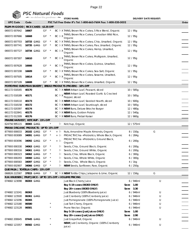

**PSC Natural Foods**<br> **DELIVERY DATE REQUEST:** STORE NAME:<br>
STORE NAME:

| <b>UPC Code</b>                               | Code  |                                   |          |                    |         | PSC Toll Free Order #'s Tel: 1-800-663-7604 Fax: 1-800-520-5052                                                    |                        |        | Order |
|-----------------------------------------------|-------|-----------------------------------|----------|--------------------|---------|--------------------------------------------------------------------------------------------------------------------|------------------------|--------|-------|
| PLUM-M-GOOD                                   |       | RICE CAKES - \$3.35 OFF           |          |                    |         |                                                                                                                    |                        |        |       |
| 069372 007642                                 | 16667 |                                   | GF       | $\star$            |         | BC FLX THINS, Brown Rice Cakes, 5 Rice Blend, Organic                                                              | 12 / 95g               |        |       |
| 069372 007666                                 | 16668 |                                   | GF       | $\star$            | BC Px   | THINS, Brown Rice Cakes, Canadian Wild Rice,<br>Organic                                                            | 12/95g                 |        |       |
| 069372 007703<br>069372 007741                |       | 16733 <del>GMO</del><br>16735 GMO | GF<br>GF | $\star$<br>$\star$ |         | BC Fux THINS, Brown Rice Cakes, Chia, Unsalted, Organic<br>BC Fux THINS, Brown Rice Cakes, Flax, Unsalted, Organic | 12/95q<br>12/95g       |        |       |
| 069372 007727                                 |       | 16734 GMO                         | GF       | $\star$            | BC Px   | THINS, Brown Rice Cakes, Hemp, Unsalted,<br>Organic                                                                | 12/95q                 |        |       |
| 069372 007307                                 | 16610 |                                   | GF       |                    | BC FD X | THINS, Brown Rice Cakes, Multigrain, Unsalted,<br>Organic                                                          | 12 / 95g               |        |       |
| 069372 007628                                 | 16666 |                                   | GF       |                    |         | BC Fux THINS, Brown Rice Cakes, Quinoa, Unsalted,<br>Organic                                                       | 12/95g                 |        |       |
| 069372 007208                                 | 16609 |                                   | GF       |                    |         | BC Fux THINS, Brown Rice Cakes, Sea-Salt, Organic                                                                  | 12/95g                 |        |       |
| 069372 007505                                 | 16614 |                                   | GF       |                    |         | BC $\uparrow\!\!\downarrow$ X THINS, Brown Rice Cakes, Sesame, Unsalted,<br>Organic                                | 12/95g                 |        |       |
| 069372 007109                                 | 16608 |                                   | GF       | $\star$            |         | BC Fux THINS, Brown Rice Cakes, Unsalted, Organic                                                                  | 12/95g                 |        |       |
|                                               |       |                                   |          |                    |         | PORTOFINO EUROPEAN BAKERY   BREAD PRODUCTS (FROZEN) - 10% OFF                                                      |                        |        |       |
| 661172 018165                                 | 40170 |                                   |          |                    |         | BC Px NEW! Artisan Loaf, Peasant, sliced                                                                           | 10/585g                |        |       |
| 661172 018189                                 | 40171 |                                   |          |                    | BC Px   | NEW! Artisan Loaf, Roasted Garlic & Cracked<br>Pepper, sliced                                                      | 10/585g                |        |       |
| 661172 018110                                 | 40173 |                                   |          |                    |         | BC P X NEW! Artisan Loaf, Seeded Hearth, sliced                                                                    | 10/600g                |        |       |
| 661172 018158                                 | 40172 |                                   |          |                    |         | BC FLX NEW! Artisan Loaf, Sourdough, sliced                                                                        | 10/585g                |        |       |
| 661172 020397                                 | 40174 |                                   |          |                    |         | BC FLX NEW! Buns, Deluxe Brioche Burger                                                                            | 12 / 480g              |        |       |
| 661172 022841                                 | 40175 |                                   |          |                    |         | BC $\boxtimes$ X NEW! Buns, Golden Potato                                                                          | 12 / 540g              |        |       |
| 661172 012309                                 | 40176 |                                   |          |                    |         | BC FLX NEW! Buns, Pretzel Kaiser                                                                                   | 12/660g                |        |       |
| <b>PRAIRIE HARVEST   KETCHUP - 15% OFF</b>    |       |                                   |          |                    |         |                                                                                                                    |                        |        |       |
| 624756 995115                                 |       | 30065 GMO                         |          |                    | PU.     | Ketchup, Organic                                                                                                   | 12 / 575ml             |        |       |
| <b>PRANA ORGANIC PRODUCTS - UP TO 15% OFF</b> |       |                                   |          |                    |         |                                                                                                                    |                        |        |       |
| 877693 000033                                 |       | 26102 <del>GMO</del>              | GF       | $\cdot$            | + 「也    | Nuts, Amandine Maple Almonds, Organic                                                                              | 8 / 150g               | G      |       |
| 877693 003089                                 |       | 34091 <del>GMO</del>              | GF       | $\star$            | + や     | PROACTIVChia + Probiotics, Whole Black, Organic                                                                    | 6/284g                 |        |       |
| 877693 003096                                 |       | 34092 GMO                         | GF       |                    | $+ 10$  | PROACTIVChia + Probiotics, Ground Black,<br>Organic                                                                | 6/200g                 |        |       |
| 877693 000330                                 |       | 34063 GMO                         | GF       | $\star$            | ŀη      | Seeds, Chia, Ground Black, Organic                                                                                 | 6/200g                 |        |       |
| 877693 000316                                 |       | 34061 GMO                         | GF       | $\star$            | 卜       | Seeds, Chia, Ground White, Organic                                                                                 | 6/200g                 |        |       |
| 877693 000323                                 |       | 34062 GMO                         | GF       | $\star$            | p       | Seeds, Chia, Whole Black, Organic                                                                                  | 6 / 300g               |        |       |
| 877693 000293                                 |       | 34060 GMO                         | GF       |                    | PU.     | Seeds, Chia, Whole White, Organic                                                                                  | 6 / 300g               |        |       |
| 877693 000583                                 |       | 34097 <del>GMO</del>              | GF       |                    | h       | Seeds, Chia, Whole Black, Organic                                                                                  | 4 / 1kg                |        |       |
| 877693 002907                                 |       | 34066 GMO GF                      |          | $\rightarrow$      | 匝       | NEW! Seeds, Sunflower, Raw, Organic                                                                                | 6/250g                 |        |       |
| QUE PASA   TORTILLA CHIPS - 15% OFF           |       |                                   |          |                    |         |                                                                                                                    |                        |        |       |
| 068826 222587                                 |       | 37815 <del>GMO</del> GF *         |          |                    |         | BC FUX NEW! Tortilla Chips, Jalapeno & Lime, Organic                                                               | 12 / 156g              | G      |       |
| R.W. KNUDSEN                                  |       |                                   |          |                    |         | FRUIT JUICE - UP TO 15% OFF + VOLUME PRICING                                                                       |                        |        |       |
| 074682 123098                                 |       | 06303 GMO                         |          |                    |         | Just Black Cherry Juice                                                                                            | 6 / 946ml              | U      |       |
|                                               |       |                                   |          |                    |         | Buy 5-19 cases (06303 ONLY)                                                                                        | Save 1.00              |        |       |
|                                               |       |                                   |          |                    |         | Buy 20+ cases (06303 ONLY)                                                                                         | Save 3.30              |        |       |
| 074682 123241<br>074682 123500                | 06363 | 06361 GMO                         |          |                    |         | Just Blueberry (100% Blueberry juice)                                                                              | 6 / 946ml              | U      |       |
| 074682 123296                                 |       |                                   |          |                    |         | Just Cranberry (100% Cranberry juice)                                                                              | 6 / 946ml<br>6 / 946ml | U<br>U |       |
|                                               | 06365 |                                   |          |                    |         | Just Pomegranate (100% Pomegranate Juice)                                                                          |                        |        |       |
| 074682 123180                                 | 06580 |                                   |          |                    |         | Just Tart Cherry, Organic                                                                                          | 6 / 946ml              | U      |       |
| 074682 123128                                 | 06581 |                                   |          |                    |         | Prune Nectar, Organic                                                                                              | 6 / 946ml              | U      |       |
|                                               |       |                                   |          |                    |         | Buy 5-19 cases (Just Juices ONLY)                                                                                  | Save 1.00              |        |       |
|                                               |       |                                   |          |                    |         | Buy 20+ cases (Just Juices ONLY)                                                                                   | Save 2.90              |        |       |
| 074682 200645                                 |       | 07445 <del>GMO</del>              |          |                    |         | Just Grapefruit, Organic                                                                                           | 6 / 946ml              | U      |       |
| 074682 123357                                 |       | 06582 GMO                         |          |                    |         | NEW! Just Cranberry, Organic (100% Cranberry<br>juice)                                                             | 6 / 946ml              | U      |       |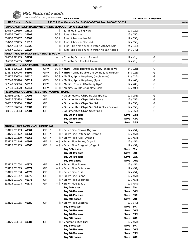|                 |       | PSC Natural Foods                                               |           |     |                               |       |
|-----------------|-------|-----------------------------------------------------------------|-----------|-----|-------------------------------|-------|
|                 |       | we deliver the goodness<br><b>STORE NAME:</b>                   |           |     | <b>DELIVERY DATE REQUEST:</b> |       |
| <b>UPC Code</b> | Code  | PSC Toll Free Order #'s Tel: 1-800-663-7604 Fax: 1-800-520-5052 |           |     |                               | Order |
|                 |       | RAINCOAST   SUSTAINABLE WILD CANNED SEAFOOD - UP TO \$11.25 OFF |           |     |                               |       |
| 810757 009160   | 16819 | 匝<br>Sardines, in spring water                                  | 12 / 120g |     |                               |       |
| 810757 000112   | 16808 | $BC$ $\approx$<br>Tuna, Albacore                                | 12 / 150g |     |                               |       |
| 810757 005117   | 16809 | BC 和 Tuna, Albacore, No Salt                                    | 12 / 150g |     |                               |       |
| 810757 009115   | 16810 | BCE<br>Tuna, Albacore, Smoked                                   | 12 / 150g |     |                               |       |
| 810757 003892   | 16826 | h<br>Tuna, Skipjack, chunk in water, with Sea Salt              | 24 / 142g |     |                               |       |
| 810757 003991   | 16827 | PJ.<br>Tuna, Skipjack, chunk in water, No Salt Added            | 24 / 142g |     |                               |       |
|                 |       | RATIO   KETO FRIENDLY SNACK BAR - \$3.00 OFF                    |           |     |                               |       |
| 065633 291133   | 39151 | X Crunchy Bar, Lemon Almond<br>$+$                              | 12/41g    |     | G                             |       |
| 065633 284555   | 39150 | X Crunchy Bar, Toasted Almond<br>$+$                            | 12/41g    |     | G                             |       |
|                 |       | RAWMBAS   VEGAN MUFFINS (FROZEN) - 10% OFF                      |           |     |                               |       |
| 628176 576022   | 56508 | GF V<br>BC Fux NEW! Muffins, Bountiful Blueberry (single serve) | 24 / 125g |     | G                             |       |
| 628176 576046   | 56509 | GF V<br>BC Fux NEW! Muffins, Double Chocolate (single serve)    | 24 / 125g |     | G                             |       |
| 628176 576008   | 56510 | GF V<br>BC Fux Muffins, Apple Raspberry (single serve)          | 24 / 125g |     | G                             |       |
| 627843 823490   | 56511 | GF V<br>BC F X Muffins, Apple Raspberry (4pk)                   | 12/400q   |     | G                             |       |
| 627843 823506   | 56512 | GF V<br>BC FLX Muffins, Bountiful Blueberry (4pk)               | 12 / 400g |     | G                             |       |
| 627843 823520   | 56513 | GF V<br>BC FLX Muffins, Double Chocolate (4pk)                  | 12 / 400g |     | G                             |       |
|                 |       | RICEWORKS   GOURMET RICE CHIPS - VOLUME PRICING                 |           |     |                               |       |
| 815506 014327   | 17905 | GF<br>x Gourmet Rice Chips, Black Japonica                      | 12 / 155g |     | G                             |       |
| 060816 093238   | 17902 | GF<br>x Gourmet Rice Chips, Salsa Fresca                        | 12 / 155g |     | G                             |       |
| 060816 093214   | 17900 | x Gourmet Rice Chips, Sea Salt<br>GF                            | 12/155q   |     | G                             |       |
| 037578 616296   | 17903 | GF<br>x Gourmet Rice Chips, Sea Salt & Black Sesame             | 12/155q   |     | G                             |       |
| 060816 093283   | 17901 | GF<br>x Gourmet Rice Chips, Sweet Chili                         | 12 / 155g |     | G                             |       |
|                 |       | Buy 10-14 cases                                                 | Save 2.68 |     |                               |       |
|                 |       | Buy 15-19 cases                                                 | Save 4.01 |     |                               |       |
|                 |       | Buy 20+ cases                                                   | Save 5.35 |     |                               |       |
|                 |       | RIZOPIA   RICE PASTA - VOLUME PRICING                           |           |     |                               |       |
| 833125 001153   | 40364 | GF<br>+ <sup>[</sup> a X Brown Rice Elbows, Organic             | 12/454g   |     |                               |       |
| 833125 001122   | 40361 | GF<br>$\rightarrow$<br>+ P X Brown Rice Fettuccine, Organic     | 12 / 454g |     |                               |       |
| 833125 001139   | 40362 | GF<br>$\star$<br>+ P X Brown Rice Fusilli, Organic              | 12 / 454g |     |                               |       |
| 833125 001146   | 40363 | GF<br>$\star$<br>+ Fu X Brown Rice Penne, Organic               | 12 / 454g |     |                               |       |
| 833125 001115   | 40360 | GF<br>$\star$<br>+ Fux Brown Rice Spaghetti, Organic            | 12 / 454g |     |                               |       |
|                 |       | Buy 5-9 cases                                                   | Save 5%   |     |                               |       |
|                 |       | Buy 10-19 cases                                                 | Save      | 10% |                               |       |
|                 |       | Buy 20-49 cases                                                 | Save      | 15% |                               |       |
|                 |       | Buy 50+ cases                                                   | Save 20%  |     |                               |       |
|                 |       | + Fu X Brown Rice Elbows                                        |           |     |                               |       |
| 833125 001054   | 40377 | GF<br>+ Px Brown Rice Fettuccine                                | 12 / 454g |     |                               |       |
| 833125 001023   | 40374 | GF                                                              | 12 / 454q |     |                               |       |
| 833125 001030   | 40375 | GF<br>+ FLX Brown Rice Fusilli                                  | 12 / 454q |     |                               |       |
| 833125 001047   | 40376 | + <sup>[b]</sup> X Brown Rice Penne<br>GF                       | 12 / 454g |     |                               |       |
| 833125 001016   | 40373 | GF<br>+ P X Brown Rice Spaghetti                                | 12 / 454g |     |                               |       |
| 833125 001078   | 40379 | GF<br>+ Px Brown Rice Spirals                                   | 12 / 454q |     |                               |       |
|                 |       | Buy 5-9 cases                                                   | Save      | 5%  |                               |       |
|                 |       | Buy 10-19 cases                                                 | Save      | 10% |                               |       |
|                 |       | Buy 20-49 cases                                                 | Save      | 15% |                               |       |
|                 |       | Buy 50+ cases                                                   | Save      | 20% |                               |       |
| 833125 001085   | 40380 | GF<br>+ FuX Brown Rice Lasagna                                  | 12 / 340g |     |                               |       |
|                 |       | Buy 5-9 cases                                                   | Save      | 5%  |                               |       |
|                 |       | Buy 10-19 cases                                                 | Save      | 10% |                               |       |
|                 |       | Buy 20-49 cases                                                 | Save      | 15% |                               |       |
|                 |       | Buy 50+ cases                                                   | Save      | 20% |                               |       |
| 833125 003034   | 40383 | GF<br>+ FLX Vegetable Rice Fusilli                              | 12 / 454g |     |                               |       |
|                 |       | Buy 5-9 cases                                                   | Save      | 5%  |                               |       |
|                 |       | Buy 10-19 cases                                                 | Save      | 10% |                               |       |
|                 |       | Buy 20-49 cases                                                 | Save      | 15% |                               |       |
|                 |       | Buy 50+ cases                                                   | Save 20%  |     |                               |       |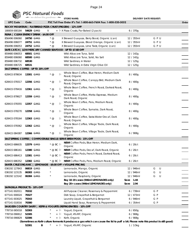| ۰.<br>,, |
|----------|
|          |

|  | 'SC Natural Foods                    |                    |
|--|--------------------------------------|--------------------|
|  | $\gg$ we deliver the goodness $\sim$ | <b>CTODE NIAME</b> |

| $\blacksquare$                         |                      | we delive the goodness - |       |             | <b>STORE NAME:</b>                                                                                                                    |                        | <b>DELIVERY DATE REQUEST:</b> |       |
|----------------------------------------|----------------------|--------------------------|-------|-------------|---------------------------------------------------------------------------------------------------------------------------------------|------------------------|-------------------------------|-------|
| <b>UPC Code</b>                        | Code                 |                          |       |             | PSC Toll Free Order #'s Tel: 1-800-663-7604 Fax: 1-800-520-5052                                                                       |                        |                               | Order |
|                                        |                      |                          |       |             | ROCKY MOUNTAIN   FLATBREAD PIZZA CRUST (FROZEN) - 12% OFF                                                                             |                        |                               |       |
| 180659 000184                          |                      | 54629 GMO                | V     |             | + Fux Pizza Crusts, Par Baked (2 pack)                                                                                                | 6/370g                 |                               |       |
| RUNA   CLEAN ENERGY DRINK - \$4.00 OFF |                      |                          |       |             |                                                                                                                                       |                        |                               |       |
| 856496 006060                          | 24750 GMO            |                          | $*$ @ |             | X Brewed Guayusa, Berry Boost, Organic (can)                                                                                          | 12 / 355ml             | GPU                           |       |
| 856496 006077                          | 24751 <del>GMO</del> |                          | $*$ @ |             | X Brewed Guayusa, Blood Orange, Organic (can)                                                                                         | 12 / 355ml             | GPU                           |       |
| 856496 006053                          | 24752 <del>GMO</del> |                          | $*$ @ |             | X Brewed Guayusa, Lime Twist, Organic (can)                                                                                           | 12 / 355ml             | GPU                           |       |
|                                        |                      |                          |       |             | SAFE CATCH   LOW MERCURY CANNED SEAFOOD - UP TO \$7.68 OFF                                                                            |                        |                               |       |
| 859480 006053                          | 68501 GMO            |                          |       |             | Wild Albacore Tuna, Solid                                                                                                             | 12 / 142g              |                               |       |
| 859480 006060                          |                      | 68500 GMO                |       |             | Wild Albacore Tuna, Solid, No Salt                                                                                                    | 12 / 142g              |                               |       |
| 859480 006732                          | 68530                |                          |       |             | Wild Sardines, in Water                                                                                                               | 12/125q                |                               |       |
| 859480 006725                          | 68531                |                          |       |             | Wild Sardines, in Extra Virgin Olive Oil                                                                                              | 12 / 125g              |                               |       |
| SALT SPRING COFFEE - UP TO 20% OFF     |                      |                          |       |             |                                                                                                                                       |                        |                               |       |
| 628415 878634                          | 13301 <del>GMO</del> |                          | $*$ @ | p           | Whole Bean Coffee, Blue Heron, Medium Dark<br>Roast, Organic                                                                          | 8 / 400g               |                               |       |
| 628415 078317                          | 12356 <del>GMO</del> |                          | $*$ @ | Þ           | Whole Bean Coffee, Canopy Bird, Medium Dark<br>Roast, Organic                                                                         | 8/400q                 |                               |       |
| 628415 078416                          | 12361 <del>GMO</del> |                          | $*$ @ | Þ           | Whole Bean Coffee, French Roast, Darkest Roast,<br>Organic                                                                            | 8/400q                 |                               |       |
| 628415 878627                          | 12359 <del>GMO</del> |                          | $*$ @ | P           | Whole Bean Coffee, Metta Espresso, Medium<br>Dark Roast, Organic                                                                      | 8 / 400g               |                               |       |
| 628415 078355                          | 12357 <del>GMO</del> |                          | $*$ @ | Þ           | Whole Bean Coffee, Peru, Medium Roast,<br>Organic                                                                                     | 8/400q                 |                               |       |
| 628415 078270                          | 12358 <del>GMO</del> |                          | $*$ @ | p           | Whole Bean Coffee, Sumatra, Dark Roast,<br>Organic                                                                                    | 8/400q                 |                               |       |
| 628415 078164                          | 12363 <del>GMO</del> |                          | $*$ @ | h           | Whole Bean Coffee, Swiss Water Decaf, Dark<br>Roast, Organic                                                                          | 8 / 400g               |                               |       |
| 628415 078362                          | 12362 <del>GMO</del> |                          | $*$ @ | k           | Whole Bean Coffee, Village Trade, Dark Roast,<br>Organic                                                                              | 8 / 400g               |                               |       |
| 628415 084387                          | 12366 <del>GMO</del> |                          | $*$ @ | ħ           | Whole Bean Coffee, Village Trade, Dark Roast,<br>Organic                                                                              | 6/908g                 |                               |       |
|                                        |                      |                          |       |             | SALT SPRING COFFEE   COMPOSTABLE SINGLE-SERVE BREW PODS - 15% OFF                                                                     |                        |                               |       |
| 628415 686635                          | 12379 <del>GMO</del> |                          |       | * @ BC Pu   | NEW! Coffee Pods, Blue Heron, Medium Dark,<br>Organic                                                                                 | 6 / 20ct               |                               |       |
| 628415 686161                          | 12380 <del>GMO</del> |                          |       | $*$ @ BC Fu | NEW! Coffee Pods, Decaf, Dark Roast, Organic                                                                                          | 6/20ct                 |                               |       |
| 628415 686413                          | 12381 <del>GMO</del> |                          |       | * @ BC Fu   | <b>NEW!</b> Coffee Pods, French Roast, Darkest Roast,<br>Organic                                                                      | 6 / 20ct               |                               |       |
| 628415 686352 12382 GMO                |                      |                          |       |             | * @ BC Fu NEW! Coffee Pods, Peru, Medium Roast, Organic                                                                               | 6 / 20ct               |                               |       |
|                                        |                      |                          |       |             | SANTA CRUZ ORGANIC   LEMONADE - \$9.00 OFF + VOLUME PRICING                                                                           |                        |                               |       |
| 036192 127843                          | 06819 <del>GMO</del> |                          |       |             | Lemonade, Mango, Organic                                                                                                              | 12 / 946ml             | G<br>U                        |       |
| 036192 123135                          | 06383 GMO            |                          |       |             | Lemonade, Organic                                                                                                                     | 12 / 946ml             | G<br>U                        |       |
| 036192 123142                          | 06384 GMO            |                          |       |             | Lemonade, Raspberry, Organic                                                                                                          | 12 / 946ml             | G<br>U                        |       |
|                                        |                      |                          |       |             | Buy 10-19 cases (946ml LEMONADES only)<br>Buy 20+ cases (946ml LEMONADES only)                                                        | Save 1.44<br>Save 2.94 |                               |       |
| SAPADILLA PRODUCTS - 10% OFF           |                      |                          |       |             |                                                                                                                                       |                        |                               |       |
| 677141 002011                          | 70332                |                          |       |             | All Purpose Cleaner, Rosemary & Peppermint                                                                                            | 6/739ml                | G P                           |       |
| 677141 000024                          | 70327                |                          |       |             | Dish Soap, Grapefruit & Bergamot                                                                                                      | 12 / 473ml             | G P                           |       |
| 677141 003025                          | 70343                |                          |       |             | Laundry Liquid, Grapefruit & Bergamot                                                                                                 | 6 / 946ml              | G P                           |       |
| 677141 010016                          | 70380                |                          |       |             | Liquid Hand Soap, Rosemary & Peppermint                                                                                               | 6/354ml                | G P                           |       |
| <b>SAUGEEN COUNTRY DAIRY  </b>         |                      |                          |       |             | KEFIR & YOGURTS (REFRIGERATED) - 10% OFF                                                                                              |                        |                               |       |
| 778716 065018                          | 52303                |                          |       |             | + Pu Yogurt, Organic                                                                                                                  | 6/650g                 |                               |       |
| 778716 090812                          | 52305                |                          |       | + P         | Yogurt, 4% MF, Organic                                                                                                                | 6 / 908g               |                               |       |
| 778716 090829                          | 52306                |                          |       | $+$ F       | Kefir, Organic                                                                                                                        | 6/908q                 |                               |       |
|                                        |                      |                          |       |             | (Sometimes as Kefir culture ferments it produces a gas which can cause the lid to puff a bit. Please note this product is still good) |                        |                               |       |
|                                        | 52301                | В                        |       |             | + Pu Yogurt, 4% MF, Organic                                                                                                           | 1/3.5kg                |                               |       |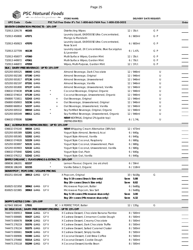

|                                                    |       |                      | PSC Natural Foods       |                                                                  |              |                               |       |
|----------------------------------------------------|-------|----------------------|-------------------------|------------------------------------------------------------------|--------------|-------------------------------|-------|
|                                                    |       |                      | we deliver the goodness | <b>STORE NAME:</b>                                               |              | <b>DELIVERY DATE REQUEST:</b> |       |
| <b>UPC Code</b>                                    | Code  |                      |                         | PSC Toll Free Order #'s Tel: 1-800-663-7604 Fax: 1-800-520-5052  |              |                               | Order |
| SEVENTH GENERATION PRODUCTS - 10% OFF              |       |                      |                         |                                                                  |              |                               |       |
| 732913 229178                                      | 46165 |                      |                         | <b>Disinfecting Wipes</b>                                        | 12 / 35ct    | G P                           |       |
| 732913 450800                                      | 47071 |                      |                         | Laundry Liquid, EASYDOSE Ultra Concentrated,<br>Mango & Mandarin | 6/683ml      | G P                           |       |
| 732913 450923                                      | 47070 |                      |                         | Laundry Liquid, EASYDOSE Ultra Concentrated,<br>Rose Scent       | 6 / 683ml    | G P                           |       |
| 732913 227709                                      | 46138 |                      |                         | Laundry Liquid, 2X Concentrate, Blue Eucalyptus<br>& Lavender    | 6/1.47L      | G P                           |       |
| 732913 450077                                      | 47060 |                      |                         | Multi-Surface Wipes, Garden Mint                                 | 12 / 35ct    | G P                           |       |
| 732913 449972                                      | 47061 |                      |                         | Multi-Surface Wipes, Garden Mint                                 | 6 / 70ct     | G P                           |       |
| 732913 446872                                      | 47059 |                      |                         | Wipes, Multi-Purpose, Garden Mint                                | 12 / 37ct    | G P                           |       |
| SILK   DAIRY-FREE BEVERAGE - UP TO 15% OFF         |       |                      |                         |                                                                  |              |                               |       |
| 025293 005525                                      |       | 08000 GMO            |                         | Almond Beverage, Dark Chocolate                                  | 12 / 946ml   | U                             |       |
| 025293 002180                                      |       | 07190 GMO            |                         | Almond Beverage, Original                                        | 12 / 946ml   | U                             |       |
| 025293 001817                                      |       | 07136 GMO            |                         | Almond Beverage, Unsweetened                                     | 12 / 946ml   | U                             |       |
| 025293 002197                                      |       | 07191 GMO            |                         | Almond Beverage, Vanilla                                         | 12 / 946ml   | U                             |       |
| 025293 001800                                      |       | 07137 GMO            |                         | Almond Beverage, Unsweetened, Vanilla                            | 12 / 946ml   | U                             |       |
| 036632 074638                                      |       | 07138 GMO            |                         | Coconut Beverage, Original, Organic                              | 12 / 946ml   | U                             |       |
| 036632 074614                                      |       | 07139 GMO            |                         | Coconut Beverage, Unsweetened, Organic                           | 12 / 946ml   | U                             |       |
| 056800 715811                                      |       | 52243 <del>GMO</del> |                         | Oat Beverage, Original<br>$^{+}$                                 | 12 / 946ml   | U                             |       |
| 056800 658903                                      |       | 52236 GMO            |                         | Oat Beverage, Unsweetened, Original<br>$^{+}$                    | 12 / 946ml   | U                             |       |
| 056800 660814                                      |       | 52237 GMO            |                         | Oat Beverage, Unsweetened, Vanilla<br>$+$                        | 12 / 946ml   | U                             |       |
| 025293 005532                                      |       | 08010 GMO            |                         | Soy Fortified Beverage, Original, Organic                        | 12 / 946ml   | U                             |       |
| 025293 005549                                      |       | 08011 <del>GMO</del> |                         | Soy Fortified Beverage, Unsweetened, Organic                     | 12 / 946ml   | U                             |       |
| 036632 078506                                      | 52260 |                      |                         | NEW! NEXTMILK, Original 2% (gable top)<br>(REFRIGERATED)         | 6/1.74L      | U                             |       |
| SILK   ALTERNATIVES (REFRIGERATED) - UP TO 15% OFF |       |                      |                         |                                                                  |              |                               |       |
| 036632 074140                                      |       | 08034 <del>GMO</del> |                         | NEW! Whipping Cream Alternative (38% fat)                        | 12 / 473ml   |                               |       |
| 025293 005389                                      |       | 52201 GMO            |                         | Yogurt Style Almond, Berries & Acai                              | 6/640g       |                               |       |
| 025293 005365                                      |       | 52202 GMO            |                         | Yogurt Style Almond, Vanilla                                     | 6/640g       |                               |       |
| 036632 074928                                      |       | 52229 <del>GMO</del> |                         | Yogurt Style Coconut, Raspberry                                  | 6/680g       |                               |       |
| 025293 003897                                      |       | 52131 <del>GMO</del> |                         | Yogurt Style Coconut, Unsweetened, Plain                         | 6/680g       |                               |       |
| 025293 003903                                      |       | 52132 GMO            |                         | Yogurt Style Coconut, Unsweetened, Vanilla                       | 6/680g       |                               |       |
| 036632 075840                                      |       | 52241 <del>GMO</del> |                         | Yogurt Style Oat, Plain                                          | 6/640g       |                               |       |
| 036632 076212                                      |       | 52242 <del>GMO</del> |                         | Yogurt Style Oat, Vanilla                                        | 6/640g       |                               |       |
| SIMPLY ORGANIC   FLAVOURINGS & EXTRACTS - 10% OFF  |       |                      |                         |                                                                  |              |                               |       |
| 089836 186201                                      | 02157 |                      |                         | Lemon Flavour, Organic (no alcohol)                              | 6 / 59ml     |                               |       |
| 089836 186249                                      | 02155 |                      |                         | Vanilla Extract, Organic                                         | 6/118ml      |                               |       |
| SKINNYPOP   POPCORN - VOLUME PRICING               |       |                      |                         |                                                                  |              |                               |       |
| 850251 004148                                      |       | 38913 GMO GFV        |                         | X Popcorn, Original                                              | 10 / 6x18g   | G                             |       |
|                                                    |       |                      |                         | Buy 5-19 cases (Snack Size only)                                 | Save<br>5.88 |                               |       |
|                                                    |       |                      |                         | Buy 20+ cases (Snack Size only)                                  | Save 8.82    |                               |       |
| 816925 021958                                      |       | 38962 GMO            | GF V                    | Microwave Popcorn, Butter                                        | 6/6x80g      |                               |       |
| 816925 021965                                      |       | 38963 <del>GMO</del> | GF V                    | Microwave Popcorn, Sea Salt                                      | 6/6x80g      |                               |       |
|                                                    |       |                      |                         | Buy 5-19 cases (Microwave skus only)                             | Save 3.00    |                               |       |
|                                                    |       |                      |                         | Buy 20+ cases (Microwave skus only)                              | Save 4.32    |                               |       |
| SKIPPY'S KETTLE CORN - 15% OFF                     |       |                      |                         |                                                                  |              |                               |       |
| 627843 308140                                      | 17931 |                      |                         | BC FLX PERFECT POP, Butter                                       | 12 / 135g    | G                             |       |
|                                                    |       |                      |                         | SO DELICIOUS   DAIRY-FREE DESSERT (FROZEN) - UP TO 15% OFF       |              |                               |       |
| 744473 000913                                      |       | 55444 <del>GMO</del> | GF V                    | X Cashew Dessert, Chocolate Banana Flambe                        | 8 / 500ml    |                               |       |
| 744473 000685                                      |       | 55437 GMO            | GF V                    | X Cashew Dessert, Cinnamon Cookie Dough                          | 8 / 500ml    |                               |       |
| 744473 000678                                      |       | 55438 <del>GMO</del> | GF V                    | X Cashew Dessert, Creamy Chocolate                               | 8 / 500ml    |                               |       |
| 744473 276219                                      |       | 55376 <del>GMO</del> | GF V                    | X Cashew Dessert, Dark Chocolate Truffle                         | 8 / 500ml    |                               |       |
| 744473 276134                                      |       | 55375 <del>GMO</del> | GF V                    | X Cashew Dessert, Salted Caramel Cluster                         | 8 / 500ml    |                               |       |
| 744473 000661                                      |       | 55439 GMO            | GF V                    | X Cashew Dessert, Simply Vanilla                                 | 8 / 500ml    |                               |       |
| 744473 000906                                      |       | 55300 GMO            | GF V                    | X Coconut Dessert, Cold Brew Coffee                              | 8 / 500ml    |                               |       |
| 744473 270460                                      |       | 55314 <del>GMO</del> | GF V                    | X Coconut Dessert, Cookie Dough                                  | 8 / 500ml    |                               |       |
| 744473 270118                                      |       | 55299 GMO            | GF V                    | X Coconut Dessert, Vanilla Bean                                  | 8 / 500ml    |                               |       |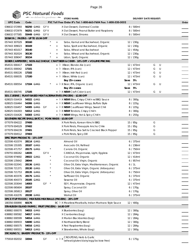# **PSC Natural Foods** we deliver the goodness

| $\blacksquare$                                        |                      |                      | $\frac{1}{2}$ we delive the goodness $\frac{1}{2}$ |                                  | <b>STORE NAME:</b>                                                            | <b>DELIVERY DATE REQUEST:</b> |   |   |       |
|-------------------------------------------------------|----------------------|----------------------|----------------------------------------------------|----------------------------------|-------------------------------------------------------------------------------|-------------------------------|---|---|-------|
| <b>UPC Code</b>                                       | Code                 |                      |                                                    |                                  | PSC Toll Free Order #'s Tel: 1-800-663-7604 Fax: 1-800-520-5052               |                               |   |   | Order |
| 036632 072993                                         | 56250 GMO            |                      | GF V                                               |                                  | X Oat Dessert, Oatmeal Cookie                                                 | 8 / 500ml                     |   |   |       |
| 036632 072979                                         | 56251 <del>GMO</del> |                      | GF V                                               |                                  | X Oat Dessert, Peanut Butter and Raspberry                                    | 8 / 500ml                     |   |   |       |
| 036632 077585                                         | 55449 GMO            |                      | GF V                                               |                                  | X Oat Dessert, S'mores                                                        | 8 / 500ml                     |   |   |       |
| SOBAYA   PASTAS - UP TO \$5.94 OFF                    |                      |                      |                                                    |                                  |                                                                               |                               |   |   |       |
| 057443 307029                                         | 30160                |                      |                                                    | $+$                              | Soba, Kamut and Buckwheat, Organic                                            | 12 / 230g                     |   |   |       |
| 057443 309023                                         | 30169                |                      |                                                    |                                  | Soba, Spelt and Buckwheat, Organic<br>$+$                                     | 12 / 230g                     |   |   |       |
| 057443 401017                                         | 30140                |                      |                                                    | $+$                              | Soba, Wheat and Buckwheat                                                     | 12 / 454g                     |   |   |       |
| 057443 302024                                         | 30130                |                      |                                                    | $\begin{array}{c} + \end{array}$ | Soba, Wheat and Buckwheat, Organic                                            | 12 / 230g                     |   |   |       |
| 057443 309047                                         | 30154                |                      |                                                    |                                  | Udon, Spelt, Organic                                                          | 12 / 230g                     |   |   |       |
|                                                       |                      |                      |                                                    | $\! +$                           | SOBER CARPENTER   NON-ALCOHOLIC CRAFT BEER & CIDER - 10% OFF + VOLUME PRICING |                               |   |   |       |
| 854531 000417                                         | 17103                |                      |                                                    |                                  | + Fu XBeer, Blonde Ale (can)                                                  | 12 / 473ml                    | G | U |       |
| 854531 000042                                         | 17101                |                      |                                                    |                                  |                                                                               | 12 / 473ml                    | G | U |       |
| 854531 000226                                         | 17102                |                      |                                                    |                                  | + Fu XBeer, IPA (can)                                                         |                               |   | U |       |
|                                                       |                      |                      |                                                    |                                  | + Fu XBeer, Irish Red (can)                                                   | 12 / 473ml<br>12 / 473ml      | G | U |       |
| 854531 000035                                         | 17100                |                      |                                                    |                                  | + Fu XBeer, White (can)                                                       | Save 5%                       | G |   |       |
|                                                       | 17104 GMO            |                      |                                                    |                                  | Buy 25+ cases                                                                 |                               |   |   |       |
| 854531 000554                                         |                      |                      |                                                    |                                  | + FLX Beer, IPA, Organic (can)                                                | 12 / 473ml                    | G | U |       |
|                                                       |                      |                      |                                                    |                                  | Buy 25+ cases                                                                 | Save 5%                       |   |   |       |
| 854531 000745                                         | 17105                |                      |                                                    |                                  | + Fb X NEW! Craft Cider (can)                                                 | 12 / 473ml                    | G | U |       |
|                                                       |                      |                      |                                                    |                                  | SOL CUISINE   PLANT-BASED MEAT ALTERNATIVES (FROZEN) - \$2.80 OFF             |                               |   |   |       |
| 628025 016419                                         | 54322 GMO            |                      |                                                    |                                  | + Fux NEW! Bites, Crispy Chik'n w/BBQ Sauce                                   | 8 / 300g                      |   |   |       |
| 628025 016464                                         | 54306 GMO            |                      |                                                    |                                  | + Fux NEW! Cauliflower Wings, Buffalo Style                                   | 8 / 225g                      |   |   |       |
| 628025 016457                                         |                      | 54305 <del>GMO</del> | GF                                                 |                                  | + Fu X NEW! Cauliflower Wings, Sweet Chili                                    | 8 / 225g                      |   |   |       |
| 628025 016303                                         | 54312 GMO            |                      |                                                    |                                  | + Pu X NEW! Tenders, Crispy Chik'n                                            | 8 / 300g                      |   |   |       |
| 628025 016426                                         | 54303 <del>GMO</del> |                      |                                                    |                                  | + Fx NEW! Wings, Hot & Spicy Chik'n                                           | 8 / 255g                      |   |   |       |
| SOUTHERN RECIPE SMALL BATCH   PORK RINDS - \$3.00 OFF |                      |                      |                                                    |                                  |                                                                               |                               |   |   |       |
| 077079 004222                                         | 37400                |                      |                                                    |                                  | X Pork Rinds, Korean Kimchi BBQ                                               | 15/85q                        | G |   |       |
| 077079 004529                                         | 37402                |                      |                                                    |                                  | X Pork Rinds, Pineapple Ancho Chile                                           | 15/85q                        | G |   |       |
| 077079 004239                                         | 37401                |                      |                                                    |                                  | X Pork Rinds, Sea Salt & Cracked Black Pepper                                 | 15/85g                        | G |   |       |
| 077079 004512                                         | 37403                |                      |                                                    |                                  | x Pork Rinds, Spicy Dill                                                      | 15/85q                        | G |   |       |
| SPECTRUM PRODUCTS - 15% OFF                           |                      |                      |                                                    |                                  |                                                                               |                               |   |   |       |
| 022506 410374                                         | 28114 <del>GMO</del> |                      |                                                    |                                  | Almond Oil                                                                    | 6/375ml                       |   |   |       |
| 022506 155305                                         | 28187 GMO            |                      |                                                    |                                  | Avocado Oil, Refined                                                          | 6/236ml                       |   |   |       |
| 022506 471757                                         | 28175 GMO            |                      |                                                    |                                  | Canola Oil, Organic                                                           | 6/750ml                       |   |   |       |
| 078755 000262                                         | 14035                |                      | GF V                                               |                                  | CANOLA, Mayonnaise, Light, Eggless                                            | 12 / 473ml                    |   |   |       |
| 022506 974692                                         | 28022 GMO            |                      |                                                    |                                  | Coconut Oil, Organic                                                          | 12 / 414ml                    |   |   |       |
| 022506 135642                                         | 28044                |                      |                                                    |                                  | Coconut Oil, Virgin, Organic                                                  | 6 / 857ml                     |   |   |       |
| 022506 022041                                         | 28136 <del>GMO</del> |                      |                                                    |                                  | Olive Oil, Extra Virgin, Mediterranean, Organic                               | 6/1L                          |   |   |       |
| 022506 721371                                         | 28130 GMO            |                      |                                                    |                                  | Olive Oil, Extra Virgin, Organic (Arbequina)                                  | 6/375ml                       |   |   |       |
| 022506 721753                                         | 28135 GMO            |                      |                                                    |                                  | Olive Oil, Extra Virgin, Organic (Arbequina)                                  | 6 / 750ml                     |   |   |       |
| 022506 403376                                         | 28176 GMO            |                      |                                                    |                                  | Safflower Oil, Organic                                                        | 6/375ml                       |   |   |       |
| 022506 404373                                         | 28185 GMO            |                      |                                                    |                                  | Sesame Oil                                                                    | 6/375ml                       |   |   |       |
| 022506 203044                                         | 14003                |                      | $^{\star}$<br>GF                                   |                                  | SOY, Mayonnaise, Organic                                                      | 12 / 473ml                    |   |   |       |
| 022506 065604                                         | 28107                |                      |                                                    |                                  | Spray, Coconut Oil                                                            | 6/170g                        |   |   |       |
| 022506 265813                                         | 28127                |                      |                                                    |                                  | Spray, Olive Oil                                                              | 6 / 170g                      |   |   |       |
| 022506 416376                                         | 28198 GMO            |                      |                                                    |                                  | Walnut Oil                                                                    | 6/375ml                       |   |   |       |
|                                                       |                      |                      |                                                    |                                  | SPICE IT UP FOODS   MEATLESS MEATBALLS (FROZEN) - 20% OFF                     |                               |   |   |       |
| 180356 000890                                         | 60176                |                      |                                                    |                                  | BC $\mathbb B$ X Meatless Meatballs, Indian Marinara Style Sauce              | 12 / 400g                     |   |   |       |
| STAHLBUSH ISLAND FARMS   FRUIT (FROZEN) - \$4.80 OFF  |                      |                      |                                                    |                                  |                                                                               |                               |   |   |       |
| 638882 000070                                         | 54015 <del>GMO</del> |                      |                                                    |                                  | X Blueberries (bag)                                                           | 12 / 300g                     |   |   |       |
| 638882 000582                                         | 54017 GMO            |                      |                                                    |                                  | X Cranberries (bag)                                                           | 12 / 284g                     |   |   |       |
| 638882 000599                                         | 54014 GMO            |                      |                                                    |                                  | X Marion Blackberries (bag)                                                   | 12 / 284g                     |   |   |       |
| 638882 000933                                         | 54690 GMO            |                      |                                                    |                                  | X Northwest Berry Blend                                                       | 12 / 300g                     |   |   |       |
| 638882 000575                                         | 54016 GMO            |                      |                                                    |                                  | X Red Raspberries (bag)                                                       | 12 / 284g                     |   |   |       |
| 638882 000551                                         | 54013 GMO            |                      |                                                    |                                  | X Strawberries, Whole (bag)                                                   | 12 / 300g                     |   |   |       |
| STICKLING'S   BAKERY PRODUCTS - 15% OFF               |                      |                      |                                                    |                                  |                                                                               |                               |   |   |       |
| 775918 002032                                         | 32044                |                      | GF                                                 |                                  | CROUTONS, Herb & Garlic<br>+ FUX<br>(wheat/gluten/dairy/egg/lactose free)     | 6/175g                        |   |   |       |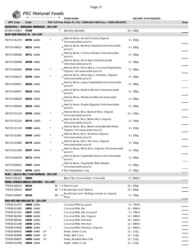

| $\blacksquare$                           |       | we delive the goodness - |    |            |   | <b>STORE NAME:</b>                                                               | <b>DELIVERY DATE REQUEST:</b> |       |
|------------------------------------------|-------|--------------------------|----|------------|---|----------------------------------------------------------------------------------|-------------------------------|-------|
| <b>UPC Code</b>                          | Code  |                          |    |            |   | PSC Toll Free Order #'s Tel: 1-800-663-7604 Fax: 1-800-520-5052                  |                               | Order |
| SUNSORYA   SPIRULINA SPRINKLES - 10% OFF |       |                          |    |            |   |                                                                                  |                               |       |
| 627843 978923                            | 37448 |                          |    |            | 匝 | Spirulina Sprinkles                                                              | 10/200g                       |       |
| <b>TASTY BITE PRODUCTS - 15% OFF</b>     |       |                          |    |            |   |                                                                                  |                               |       |
| 782733 012276                            |       | 38796 <del>GMO</del>     |    |            |   | x Heat & Serve, Ancient Grains, Organic<br>(microwavable pouch)                  | 6/250g                        |       |
| 782733 000013                            |       | 38231 GMO                |    |            |   | x Heat & Serve, Bombay Potatoes (microwavable<br>pouch)                          | 6/285g                        |       |
| 782733 000266                            |       | 38711 <del>GMO</del>     |    |            |   | x Heat & Serve, Channa Masala (microwavable<br>pouch)                            | 6/285g                        |       |
| 782733 000389                            |       | 38798 GMO                |    |            |   | x Heat & Serve, Hot & Spicy Madras Lentils<br>(microwavable pouch)               | 6/285g                        |       |
| 782733 000365                            |       | 38792 <del>GMO</del>     |    |            |   | x Heat & Serve, Hot & Spicy, Coconut Vegetables,<br>Organic (microwavable pouch) | 6/285g                        |       |
| 782733 000372                            |       | 38793 GMO                |    |            |   | x Heat & Serve, Hot & Spicy, Vindaloo, Organic<br>(microwavable pouch)           | 6/285g                        |       |
| 782733 000051                            |       | 38236 <del>GMO</del>     |    |            |   | x Heat & Serve, Jaipur Vegetables (microwavable<br>pouch)                        | 6/285g                        |       |
| 782733 000037                            |       | 38233 <del>GMO</del>     |    |            |   | x Heat & Serve, Kashmir Spinach (microwavable<br>pouch)                          | 6/285g                        |       |
| 782733 000020                            |       | 38232 <del>GMO</del>     |    |            |   | X Heat & Serve, Madras Lentils (microwavable<br>pouch)                           | 6/285g                        |       |
| 782733 000044                            |       | 38234 <del>GMO</del>     |    |            |   | x Heat & Serve, Punjab Eggplant (microwavable<br>pouch)                          | 6/285g                        |       |
| 782733 012139                            |       | 38799 <del>GMO</del>     |    |            |   | Heat & Serve, Rice, Basmati Rice, Organic<br>(microwavable pouch)                | 12/250g                       |       |
| 782733 012115                            |       | 38779 <del>GMO</del>     |    |            |   | Heat & Serve, Rice, Brown Rice, Organic<br>(microwavable pouch)                  | 6/250g                        |       |
| 782733 311119                            |       | 37695 <del>GMO</del>     |    |            |   | Heat & Serve, Rice, Brown w/Lentils with Herbs,<br>Organic (microwavable pouch)  | 6/250g                        |       |
| 782733 012061                            |       | 38766 <del>GMO</del>     |    |            |   | X Heat & Serve, Rice, Tandoori, Organic<br>(microwavable pouch)                  | 6/250g                        |       |
| 782733 012085                            |       | 38778 GMO                |    |            |   | x Heat & Serve, Rice, Thai Lime, Organic<br>(microwavable pouch)                 | 6/250g                        |       |
| 782733 012269                            |       | 38797 GMO                |    |            |   | x Heat & Serve, Sticky Rice, Organic (microwavable<br>pouch)                     | 6/250g                        |       |
| 782733 000259                            |       | 38712 GMO                |    |            |   | x Heat & Serve, Vegetable Korma (microwavable<br>pouch)                          | 6/285g                        |       |
| 782733 000341                            |       | 37697 GMO                |    |            |   | <sub>x</sub> Heat & Serve, Vegetable Tikka Masala<br>(microwavable pouch)        | 6/285g                        |       |
| 782733 010050                            |       | 38794 <del>GMO</del>     |    |            |   | X Thai Vegetable Curry                                                           | 6/285g                        |       |
| TAZO   BLACK TEA CONCENTRATE - 10% OFF   |       |                          |    |            |   |                                                                                  |                               |       |
| 794522 002252                            | 30890 |                          |    |            |   | Black Tea Concentrate, Chai Latte                                                | 6 / 946ml                     |       |
| TERRA ARTISAN BREAD (FROZEN) - 15% OFF   |       |                          |    |            |   |                                                                                  |                               |       |
| 779324 000125                            | 40134 |                          |    |            |   | BC 和 X French Loaf                                                               | 15 / 450g                     |       |
| 779324 100153                            | 40157 |                          |    |            |   | BC <sup>b</sup> X Sourdough Loaf, Walnut                                         | 15 / 500g                     |       |
| 779324 009197                            | 40136 |                          |    |            |   | BC Fux Sourdough Loaf, Heritage (made w/ organic<br>flour)                       | 8/700g                        |       |
| THAI KITCHEN PRODUCTS - 15% OFF          |       |                          |    |            |   |                                                                                  |                               |       |
| 737628 011575                            |       | 14936 <del>GMO</del>     |    |            |   | Coconut Milk (no guar)                                                           | 6 / 750ml                     |       |
| 737628 011605                            |       | 14931 <del>GMO</del>     |    |            |   | Coconut Milk, Lite                                                               | 12 / 400ml                    |       |
| 737628 011551                            |       | 14937 GMO                |    |            |   | Coconut Milk, Lite (no guar)                                                     | 6/750ml                       |       |
| 737628 082506                            |       | 14932 <del>GMO</del>     |    | $^{\star}$ |   | Coconut Milk, Lite, Organic                                                      | 12 / 400ml                    |       |
| 737628 060504                            |       | 14424 GMO                |    |            |   | Coconut Milk, Premium                                                            | 24 / 160ml                    |       |
| 737628 011506                            |       | 14930 GMO                |    |            |   | Coconut Milk, Premium                                                            | 12 / 400ml                    |       |
| 737628 079506                            |       | 14933 <del>GMO</del>     |    | $\star$    |   | Coconut Milk, Premium, Organic                                                   | 12 / 400ml                    |       |
| 737628 004003                            |       | 14950 <del>GMO</del>     | GF |            |   | Paste, Green Curry                                                               | 12 / 112g                     |       |
| 737628 003006                            |       | 14952 <del>GMO</del>     | GF |            |   | Paste, Red Curry                                                                 | 12/112g                       |       |
| 737628 006007                            |       | 14956 <del>GMO</del>     | GF |            |   | Paste, Roasted Red Chili                                                         | 12 / 112g                     |       |
| 737628 012008                            |       | 14944 GMO                |    |            |   | Paste, Yellow Curry                                                              | 12 / 112g                     |       |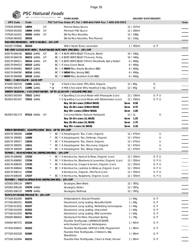**PSC Natural Foods** 

| $\blacksquare$                                       |                | we deliver the goodness |    |         | <b>STORE NAME:</b>                                                           |           |                | <b>DELIVERY DATE REQUEST:</b> |     |       |
|------------------------------------------------------|----------------|-------------------------|----|---------|------------------------------------------------------------------------------|-----------|----------------|-------------------------------|-----|-------|
| <b>UPC Code</b>                                      | Code           |                         |    |         | PSC Toll Free Order #'s Tel: 1-800-663-7604 Fax: 1-800-520-5052              |           |                |                               |     | Order |
| 737628 005000                                        | 14954          |                         | GF |         | Peanut Satay Sauce                                                           |           | 12 / 227ml     |                               |     |       |
| 737628 001002                                        |                | 14694 <del>GMO</del>    | GF |         | Premium Fish Sauce                                                           |           | 12 / 200ml     |                               |     |       |
| 737628 025251                                        |                | 30303 <del>GMO</del>    | GF |         | <b>Stir-Fry Rice Noodles</b>                                                 |           | 12 / 198g      |                               |     |       |
| 737628 064502                                        | 30316          |                         |    |         | Stir-fry Rice Noodles, Thai Peanut                                           |           | 12/155g        |                               |     |       |
| THAYERS REMEDIES   WITCH HAZELS - 10% OFF            |                |                         |    |         |                                                                              |           |                |                               |     |       |
| 041507 070066                                        | 85310          |                         |    |         | Witch Hazel Toner, Lavender                                                  |           | 1 / 355ml      | G P                           |     |       |
|                                                      |                |                         |    |         | THE VERY GOOD BUTCHERS   PLANT BASED BUTCHERY (FROZEN) - 10% OFF             |           |                |                               |     |       |
| 628176 694146                                        |                | 56312 GMO               | GF |         | BC 和 X BUTCHER'S SELECT Ground, Beefy                                        |           | 10 / 340g      |                               |     |       |
| 628176 694139                                        |                | 56313 <del>GMO</del>    | GF |         | BC $\upbeta$ X BUTCHER'S SELECT Ground, Porky                                |           | 10 / 340g      |                               |     |       |
| 628176 694511                                        |                | 56314 GMO               | GF |         | BC hax BUTCHER'S SELECT Mmm Meatballs, Spicy Italian                         |           | 6/400g         |                               |     |       |
| 628176 694313                                        |                | 56315 GMO               |    |         | BC $\upbeta$ X Very Good Steak                                               |           | 6/400g         |                               |     |       |
| 628176 694481                                        |                | 56317 GMO               |    |         | BC FLX NEW! Ribs, Maple Bourbon BBQ                                          |           | 6/400g         |                               |     |       |
| 628176 694290                                        |                | 56316 <del>GMO</del>    |    |         | BC 他 X NEW! Ribs, Smoky BBQ                                                  |           | 6/400g         |                               |     |       |
| 628176 694498                                        |                | 56318 GMO               |    |         | BC $\overline{P}$ X <b>NEW!</b> Ribs, Southern Gold BBQ                      |           | 6/400g         |                               |     |       |
| THEO   CHOCOLATE - \$4.53 OFF                        |                |                         |    |         |                                                                              |           |                |                               |     |       |
| 874492 002534                                        |                | 11985 <del>GMO</del>    |    | $*$ @   | X Dark Chocolate 70%, Mint, Organic                                          |           | 12 / 85g       | G                             |     |       |
| 874492 005375                                        |                | 11996 GMO               |    | $*$ @   | X Milk Chocolate 45%, Hazelnut Crisp, Organic                                |           | 12 / 85g       | G                             |     |       |
|                                                      |                |                         |    |         | THIRSTY BUDDHA   COCONUT WATER - UP TO \$2.50 OFF + VOLUME PRICING           |           |                |                               |     |       |
| 852953 001654                                        |                | 72521 GMO               |    |         | <sup>他</sup> X Sparkling Coconut Water with Pineapple (can)                  |           | 12 / 330ml     | GPU                           |     |       |
| 852953 001357                                        |                | 72522 GMO               |    |         | Pt X Sparkling Coconut Water with Watermelon (can)                           |           | 12 / 330ml     | GPU                           |     |       |
|                                                      |                |                         |    |         | Buy 10-24 cases (330ml SKUS)                                                 | Save 0.50 |                |                               |     |       |
|                                                      |                |                         |    |         | Buy 25-49 cases (330ml SKUS)                                                 | Save 0.75 |                |                               |     |       |
|                                                      |                |                         |    |         | Buy 50+ cases (330ml SKUS)                                                   | Save 1.00 |                |                               |     |       |
| 852953 001173                                        |                | 07213 <del>GMO</del> GF |    |         | Coconut Water, Natural (tetrapak)                                            | 12/1      |                |                               | U   |       |
|                                                      |                |                         |    |         | Buy 10-24 cases (1L SKUS)                                                    | Save 1.25 |                |                               |     |       |
|                                                      |                |                         |    |         | Buy 25-49 cases (1L SKUS)                                                    | Save 1.75 |                |                               |     |       |
|                                                      |                |                         |    |         | Buy 50+ cases (1L SKUS)                                                      | Save 2.10 |                |                               |     |       |
| THRIVE REMEDIES   ADAPTOGENIC TEAS - UP TO 25% OFF   |                |                         |    |         |                                                                              |           |                |                               |     |       |
| 628176 390048                                        | 11608          |                         |    |         | BC Pu X Adaptogenic Tea, Calm, Organic                                       |           | 12 / 475ml     |                               | U   |       |
| 628176 390062                                        | 11609          |                         |    | $\star$ | BC <sup>[b</sup> X Adaptogenic Tea, Defense, Organic                         |           | 12 / 475ml     |                               | U   |       |
| 628176 390017                                        | 11610          |                         |    | $\star$ | BC Px Adaptogenic Tea, Detox, Organic                                        |           | 12 / 475ml     |                               | U   |       |
| 628176 390055                                        | 11611          |                         |    | $\star$ | BC Pu X Adaptogenic Tea, Recovery, Organic                                   |           | 12 / 475ml     |                               | U   |       |
| 628176 390000                                        | 11612          |                         |    | $\star$ | BC FLX Adaptogenic Tea, Stress, Organic                                      |           | 12 / 475ml     |                               | U   |       |
| TOFINO   RAW KOMBUCHA (REFRIGERATED) - 10% OFF       |                |                         |    |         |                                                                              |           |                |                               |     |       |
| 628176 608068                                        | 17233          |                         |    |         | BC Fux Kombucha, Apricot & Rose, Organic (can)                               |           | 12 / 355ml     |                               | GPU |       |
| 628176 608082                                        | 17234          |                         |    |         | BC Fux Kombucha, Blueberry & Lavender, Organic (can)                         |           | 12 / 355ml     |                               | GPU |       |
|                                                      |                |                         |    | $\star$ |                                                                              |           | 12 / 355ml     |                               | GPU |       |
| 628176 608020                                        | 17235          |                         |    | $\star$ | BC Pu X Kombucha, Ginger & lemon, Organic (can)                              |           |                |                               |     |       |
| 628176 608044                                        | 17236          |                         |    |         | BC Fu X Kombucha, Jasmine & Hibiscus, Organic (can)                          |           | 12 / 355ml     | GPU                           |     |       |
| 628176 608112                                        | 17242          |                         |    | $\star$ | X Kombucha, Organic, Mix Pack (can)                                          |           | 12 / 355ml     | GPU                           |     |       |
| 628176 608105                                        | 17237          |                         |    |         | BC Fux Kombucha, Raspberry, Organic (can)                                    |           | 12 / 355ml     | GPU                           |     |       |
| TOFURKY   MEAT ALTERNATIVES (REFRIGERATED) - 15% OFF |                |                         |    |         |                                                                              |           |                |                               |     |       |
| 025583 006119                                        | 57077          |                         |    |         | Sausages, Beer Brats                                                         |           | 12 / 397q      |                               |     |       |
| 025583 006126                                        |                | 57078 GMO               |    |         | Sausages, Italian                                                            |           | 12 / 397g      |                               |     |       |
| 025583 006133                                        |                | 57079 GMO               |    |         | Sausages, Kielbasa                                                           |           | 12 / 397g      |                               |     |       |
| TOM'S OF MAINE PRODUCTS - 10% OFF                    |                |                         |    |         |                                                                              |           |                |                               |     |       |
| 077326 832295                                        | 81075          |                         |    |         | Antiperspirant, Natural Powder                                               |           | 1/64g          | G P                           |     |       |
| 077326 665251                                        | 81555          |                         |    |         | Deodorant, Long Lasting, Beautiful Earth                                     |           | 1/64g          | G P                           |     |       |
| 077326 613252                                        | 81537          |                         |    |         | Deodorant, Long Lasting, Refreshing Lemongrass                               |           | 1/64g          | G P<br>G P                    |     |       |
| 077326 614259<br>077326 612255                       | 81552<br>80793 |                         |    |         | Deodorant, Long Lasting, Unscented<br>Deodorant, Long Lasting, Wild Lavender |           | 1/64g<br>1/64g | G P                           |     |       |
| 035000 968425                                        | 80674          |                         |    |         | Deodorant For Men, Mountain Spring                                           |           | 1/79g          | G P                           |     |       |
|                                                      |                |                         |    |         | Fluoride Toothpaste, LUMINOUS WHITE                                          |           |                |                               |     |       |
| 035000 987372                                        | 81526          |                         |    |         | w/Activated Charcoal, Wintergreen                                            |           | 1/85ml         | G P                           |     |       |
| 077326 830031                                        | 81522          |                         |    |         | Fluoride Toothpaste, WHOLE CARE, Peppermint                                  |           | 1/85ml         | G P                           |     |       |
| 077326 832226                                        | 81505          |                         |    |         | Fluoride-Free Toothpaste, Children's, Silly<br>Strawberry                    |           | 1 / 90ml       | G P                           |     |       |
| 077326 102404                                        | 81515          |                         |    |         | Fluoride-Free Toothpaste, Clean & Fresh, Fennel                              |           | 1/85ml         | G P                           |     |       |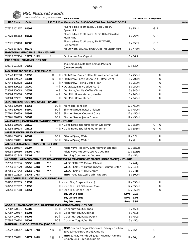

| <b>PSC Natural Foods</b> |  |
|--------------------------|--|
|                          |  |

| $\sqrt{2}$                                        |           | we deliver the goodness |                |                | <b>STORE NAME:</b>                                                                              |           |            | <b>DELIVERY DATE REQUEST:</b> |   |       |
|---------------------------------------------------|-----------|-------------------------|----------------|----------------|-------------------------------------------------------------------------------------------------|-----------|------------|-------------------------------|---|-------|
| <b>UPC Code</b>                                   | Code      |                         |                |                | PSC Toll Free Order #'s Tel: 1-800-663-7604 Fax: 1-800-520-5052                                 |           |            |                               |   | Order |
| 077326 101407                                     | 81509     |                         |                |                | Fluoride-Free Toothpaste, Clean & Fresh,<br>Spearmint                                           |           | 1/85ml     | G P                           |   |       |
| 077326 455562                                     | 81525     |                         |                |                | Fluoride-Free Toothpaste, Rapid Relief Sensitive,<br><b>Fresh Mint</b>                          |           | 1/76ml     | G P                           |   |       |
| 077326 159408                                     | 81506     |                         |                |                | Fluoride-Free Toothpaste, SIMPLY WHITE,<br>Peppermint                                           |           | 1/85ml     | G P                           |   |       |
| 077326 834176                                     | 80779     |                         |                |                | Mouthwash, WICKED FRESH, Cool Mountain Mint                                                     |           | 1/473ml    | G P                           |   |       |
| <b>TRADITIONAL MEDICINALS   TEA - 15% OFF</b>     |           |                         |                |                |                                                                                                 |           |            |                               |   |       |
| 032917 007414 12177 GMO                           |           |                         |                |                | Echinacea Plus, Organic                                                                         |           | 6/16ct     |                               |   |       |
| TRUE CITRUS   DRINK MIX - 15% OFF                 |           |                         |                |                |                                                                                                 |           |            |                               |   |       |
| 810979 001478                                     | 70369     |                         |                |                | True Lemon Crystallized Lemon Packets<br>(unsweetened)                                          |           | 12 / 32ct  |                               |   |       |
| TWO BEARS PRODUCTS - UP TO 15% OFF                |           |                         |                |                |                                                                                                 |           |            |                               |   |       |
| 627843 482598                                     | 10050     |                         |                |                | $\omega$ + $\beta$ X Flash Brew, Black Coffee, Unsweetened (can)                                |           | 6/250ml    |                               | U |       |
| 628504 309322                                     | 10001     |                         |                |                | @ + $\upbeta$ X Flash Brew, Hazelnut Sea Salt Coffee (can)                                      |           | 6/207ml    |                               | U |       |
| 627843 482628                                     | 10053     |                         | $^{\circ}$     |                | + P X Flash Brew, Mocha Coffee (can)                                                            |           | 6/250ml    |                               | U |       |
| 628504 309032                                     | 10060     |                         |                |                | + P X Oat Latte, Black Coffee (can)                                                             |           | 6/250ml    |                               | U |       |
| 628504 309063                                     | 10057     |                         |                |                | + Pu Oat Latte, Vanilla Coffee (Tetra)                                                          |           | 6/946ml    |                               | U |       |
| 628504 309308                                     | 10059     |                         |                | + FD           | Oat Milk, Unsweetened, Vanilla                                                                  |           | 6/946ml    |                               | U |       |
| 628504 309391                                     | 10008     |                         |                | + P            | Oat Milk, Unsweetened                                                                           |           | 6 / 946ml  |                               | U |       |
| UMI'S KITCHEN   COOKING SAUCE - 10% OFF           |           |                         |                |                |                                                                                                 |           |            |                               |   |       |
| 627761 820250                                     | 51363     |                         |                | BC Pu          | Marinade, Tandoori                                                                              |           | 12 / 450ml |                               |   |       |
| 627761 820106                                     | 51360     |                         |                |                | BC <sup>h</sup> Simmer Sauce, Butter Chicken                                                    |           | 12 / 450ml |                               |   |       |
| 627761 820359                                     | 51361     |                         |                |                | BC 和 Simmer Sauce, Coconut Curry                                                                |           | 12 / 450ml |                               |   |       |
| 627761 820205                                     | 51362     |                         |                |                | BC 问 Simmer Sauce, Jeera Cumin                                                                  |           | 12 / 450ml |                               |   |       |
| WAKEWATER   CAFFEINATED SPARKLING WATER - 18% OFF |           |                         |                |                |                                                                                                 |           |            |                               |   |       |
| 628055 980896                                     | 25110     |                         |                |                | + $\mathbb R$ X Caffeinated Sparkling Water, Grapefruit                                         |           | 12 / 355ml | G                             | U |       |
| 628055 980278                                     | 25111     |                         |                |                | + Fux Caffeinated Sparkling Water, Lemon                                                        |           | 12 / 355ml | G                             | U |       |
| WHISTLER WATER - UP TO 15% OFF                    |           |                         |                |                |                                                                                                 |           |            |                               |   |       |
| 620791 000159                                     | 06067     |                         |                | BC p           | <b>Glacial Spring Water</b>                                                                     |           | 12 / 1.5L  |                               | U |       |
| 620791 000401                                     | 06065     | В                       |                | BC Pu          | <b>Glacial Spring Water</b>                                                                     |           | 4/4L       |                               | U |       |
| WHOLE ALTERNATIVES   POPCORN - 15% OFF            |           |                         |                |                |                                                                                                 |           |            |                               |   |       |
| 796259 150497                                     | 36297     |                         |                |                | Microwave Popcorn, Butter Flavour, Organic                                                      |           | 12 / 3x99g |                               |   |       |
| 796259 150480                                     | 36299 GMO |                         |                |                | Microwave Popcorn, Low Fat, Organic                                                             |           | 12 / 3x85g |                               |   |       |
| 796259 151845                                     | 37497     |                         |                |                | Popping Corn, Yellow, Organic                                                                   |           | 12 / 454g  |                               |   |       |
|                                                   |           |                         |                |                | WILDBRINE   WILD CREAMERY CULTURED ALTERNATIVES & FERMENTED VEGETABLES (REFRIGERATED) - 10% OFF |           |            |                               |   |       |
| 857859 007236                                     | 32256 GMO |                         | V <sup>*</sup> |                | WILDCREAMERY, Cream Cheese                                                                      |           | 8 / 241g   |                               |   |       |
| 857859 007229                                     |           | 32250 GMO               | V <sup>*</sup> |                | WILDCREAMERY, European Style Cultured Butter                                                    |           | 12 / 340g  |                               |   |       |
| 857859 007243                                     |           | 32255 <del>GMO</del>    | V <sup>*</sup> |                | WILDCREAMERY, Sour Cream                                                                        |           | 8 / 241g   |                               |   |       |
| 858159 002815                                     | 32245 GMO |                         |                |                | NEW! Kraut, Roasted Garlic, Organic                                                             |           | 6/500ml    |                               |   |       |
| WIZE COFFEE LEAF   ICED TEA - VOLUME PRICING      |           |                         |                |                |                                                                                                 |           |            |                               |   |       |
| 628250 387315                                     | 13652     |                         |                |                | <sup>[</sup> 2 X Iced Tea, Grapefruit (can)                                                     |           | 12 / 355ml |                               | U |       |
| 628250 387292                                     | 13650     |                         |                |                | 和 X Iced Tea, Hint Of Lemon (can)                                                               |           | 12 / 355ml |                               | U |       |
| 628250 387308                                     | 13651     |                         |                |                | <sup>[</sup> 2 X Iced Tea, Mango (can)                                                          |           | 12 / 355ml |                               | U |       |
|                                                   |           |                         |                |                | Buy 10-24 cases                                                                                 | Save 2.15 |            |                               |   |       |
|                                                   |           |                         |                |                | Buy 25-49 cases                                                                                 | Save 3.04 |            |                               |   |       |
|                                                   |           |                         |                |                | Buy 50+ cases                                                                                   | Save 3.93 |            |                               |   |       |
|                                                   |           |                         |                |                | YOGGU!   PLANT-BASED YOGURT ALTERNATIVES (REFRIGERATED) - 10% OFF                               |           |            |                               |   |       |
| 627987 070811                                     | 56000     |                         |                |                | BC 他 Coconut Yogurt, Mango                                                                      |           | 6/450g     |                               |   |       |
| 627987 070767                                     | 56001     |                         |                |                | BC <sup>[b]</sup> Coconut Yogurt, Original                                                      |           | 6/450g     |                               |   |       |
| 627987 070774                                     | 56002     |                         |                | BC Pu          | Coconut Yogurt, Strawberry                                                                      |           | 6/450g     |                               |   |       |
| 627987 070804                                     | 56003     |                         |                |                | BC $\mathbb b$ Coconut Yogurt, Vanilla                                                          |           | 6/450g     |                               |   |       |
| ZAZUBEAN   CHOCOLATE BARS - \$3.00 OFF            |           |                         |                |                |                                                                                                 |           |            |                               |   |       |
| 872227 000947                                     |           | 14772 GMO               | $*$ @          | P <sub>D</sub> | NEW! Coconut Sugar Chocolate, Breezy - Cashew<br>& Hazelnut (55% Cacao), Organic                |           | 12 / 85g   | G                             |   |       |
| 872227 000961                                     | 14771 GMO |                         | $*$ @          | PU X           | NEW! SLINKY, No Added Sugar, Hazelnut Almond<br>Crunch (43% Cacao), Organic                     |           | 12 / 80g   | G                             |   |       |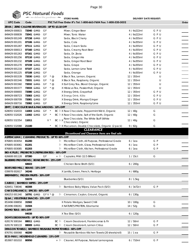|                         | PSC Natural Foods                                 |                                                                                  |                               |     |       |
|-------------------------|---------------------------------------------------|----------------------------------------------------------------------------------|-------------------------------|-----|-------|
|                         | we deliver the goodness                           | <b>STORE NAME:</b>                                                               | <b>DELIVERY DATE REQUEST:</b> |     |       |
| <b>UPC Code</b>         | Code                                              | PSC Toll Free Order #'s Tel: 1-800-663-7604 Fax: 1-800-520-5052                  |                               |     | Order |
|                         | ZEVIA   ZERO CALORIE BEVERAGES - UP TO \$3.18 OFF |                                                                                  |                               |     |       |
| 849429 000815           | 72040 GMO<br>GF                                   | Mixer, Ginger Beer                                                               | 4 / 6x222ml                   | GPU |       |
| 849429 000839           | 72041 GMO<br>GF                                   | Mixer, Tonic Water                                                               | 4 / 6x222ml                   | GPU |       |
| 849429 001249           | 07158 GMO<br>GF                                   | Soda, Black Cherry                                                               | 4 / 6x355ml                   | GPU |       |
| 849429 001201           | 07106 GMO<br>GF                                   | Soda, Cola                                                                       | 4 / 6x355ml                   | GPU |       |
| 849429 001287           | 07111 <del>GMO</del><br>GF                        | Soda, Cream Soda                                                                 | 4 / 6x355ml                   | GPU |       |
| 849429 000013           | 07160 GMO<br>GF                                   | Soda, Creamy Root Beer                                                           | 4 / 6x355ml                   | GPU |       |
| 849429 001263           | 07161 GMO<br>GF                                   | Soda, Dr. Zevia                                                                  | 4 / 6x355ml                   | GPU |       |
| 849429 001256           | 07110 GMO<br>GF                                   | Soda, Ginger Ale                                                                 | 4 / 6x355ml                   | GPU |       |
| 849429 001232           | 07109 GMO<br>GF                                   | Soda, Ginger Root Beer                                                           | 4 / 6x355ml                   | GPU |       |
| 849429 001270           | 07159 GMO<br>GF                                   | Soda, Grape                                                                      | 4 / 6x355ml                   | GPU |       |
| 849429 001218           | 07107 GMO<br>GF                                   | Soda, Lemon Lime Twist                                                           | 4 / 6x355ml                   | GPU |       |
| 849429 001225           | 07108 GMO<br>GF                                   | Soda, Orange                                                                     | 4 / 6x355ml                   | GPU |       |
| 849429 001539           | 72030 GMO<br>GF                                   | $*$ @<br>X Black Tea, Lemon, Organic                                             | 12 / 355ml                    | U   |       |
| 849429 001546           | 72031 GMO<br>GF                                   | $*$ @<br>X Black Tea, Raspberry, Organic                                         | 12 / 355ml                    | U   |       |
| 849429 001560           | 72032 GMO<br>GF                                   | $*$ @<br>X Earl Grey Tea, Blood Orange, Organic                                  | 12 / 355ml                    | U   |       |
| 849429 001577           | 72033 GMO<br>GF                                   | X Hibiscus Tea, Passionfruit, Organic<br>$*$ @                                   | 12 / 355ml                    | U   |       |
| 849429 000693           | 72080 GMO<br>GF                                   | X Energy Drink, Grapefruit                                                       | 12 / 355ml                    | GPU |       |
| 849429 000723           | 72083 GMO<br>GF                                   | X Energy Drink, Kōla                                                             | 12 / 355ml                    | GPU |       |
| 849429 000709           | 72081 GMO<br>GF                                   | X Energy Drink, Mango/Ginger                                                     | 12 / 355ml                    | GPU |       |
| 849429 000716           | 72082 <del>GMO</del><br>GF                        | X Energy Drink, Raspberry/Lime                                                   | 12 / 355ml                    | GPU |       |
|                         | ZIMT   CHOCOLATE BAR & MACAROONS - 10% OFF        |                                                                                  |                               |     |       |
| 628055 532033           | 11003 GMO<br>GF                                   | $\star$<br>BC $\mathbb B$ X Raw Chocolate, Peppermint Nib'd, Organic             | 12/40q                        | G   |       |
| 628055 532026           | GF<br>11002 <del>GMO</del>                        | $\star$<br>BC Fx Raw Chocolate, Salt of the Earth, Organic                       | 12/40q                        | G   |       |
| 628055 532354           | 11011                                             | Raw Chocolate, The White Stuff (White<br>BC PJ X<br>$V^*$<br>Chocolate), Organic | 12/40q                        | G   |       |
| 628055 532088           | 21100                                             | BC Fux Macaroon, Double Chocolate, Organic (2 pack)                              | 9 / 82g                       | G   |       |
|                         |                                                   | <b>CLEARANCE</b>                                                                 |                               |     |       |
|                         |                                                   | Discontinued and Clearance items are final sale                                  |                               |     |       |
|                         | ASPENCLEAN   CLEANING PRODUCTS - UP TO 60% OFF    |                                                                                  |                               |     |       |
| 876805 003054           | 81200                                             | Microfiber Cloth, All Purpose, Professional Grade<br>h                           | $6/1$ ea                      | G P |       |
| 876805 003061           | 81201                                             | Microfiber Cloth, Glass, Professional Grade<br>PJ.                               | $6/1$ ea                      | G P |       |
| 876805 003085           | 81203                                             | PU.<br>Microfiber Cloth, Kitchen, Professional Grade                             | $6/1$ ea                      | G P |       |
|                         | BIO-K PLUS   PROBIOTICS (REFRIGERATED) - 60% OFF  |                                                                                  |                               |     |       |
| 626608 001128 07380     | GF                                                | $+$ 2<br>Capsules, Mild (12.5 Billion)                                           | 1 / 15ct                      | G   |       |
|                         | BLUEBIRD PROVISIONS   BONE BROTH - 25% OFF        |                                                                                  |                               |     |       |
|                         | 68603                                             | Chicken Bone Broth (S/O)                                                         | 6/200g                        |     |       |
|                         | BOB'S RED MILL   BEANS - 15% OFF                  |                                                                                  |                               |     |       |
| 039978 002617 34246     |                                                   | X Lentils, Green, French, Heritage                                               | 4 / 680g                      |     |       |
|                         | BREMNER'S   FROZEN FRUITS - 30% OFF               |                                                                                  |                               |     |       |
|                         | 55078                                             | Blueberries (S/O)                                                                | 8 / 1.5kg                     |     |       |
|                         | CABOO   BAMBOO WIPES - 25% OFF                    |                                                                                  |                               |     |       |
| 628451 738046 46308     |                                                   | Pu Bamboo Baby Wipes, Value Pack (S/O)                                           | 6 / 3x72ct                    | G P |       |
|                         | CHA'S ORGANICS   SPICES - 60% OFF                 |                                                                                  |                               |     |       |
|                         | 806253 001340 16791 GMO GFV * @                   | Pu Cinnamon, Ceylon, Ground, Organic                                             | 6/130g                        |     |       |
| 853496 008858           | DJ&A   VEGETABLE SNACKS - 15% OFF<br>31502        |                                                                                  |                               | G   |       |
| 853496 008261           | 31504                                             | X Potato Wedges, Sweet Chilli<br>X NATURE'S PROTEIN, Edamame                     | 10 / 100g                     | G   |       |
| DOMO TEAS - 85% OFF     |                                                   |                                                                                  | 14 / 52g                      |     |       |
|                         | 04038                                             | X Tea Elixo (S/O)                                                                | 6/120g                        |     |       |
|                         | DOM'S DEODORANTS - UP TO 90% OFF                  |                                                                                  |                               |     |       |
| 628176 500164           | 88011 GMO                                         | Cream Deodorant, Frankincense & Fir<br>BCE                                       | 12 / 50ml                     | G P |       |
| 628176 500133 88009 GMO |                                                   | BC <sup>[b]</sup> Cream Deodorant, Lemon Citrus                                  | 12 / 50ml                     | G P |       |
|                         |                                                   | DRAGON TOWELS   BAMBOO REUSABLE PAPER TOWELS - 60% OFF                           |                               |     |       |
| 876791 000068           | 46200                                             | Reusable Bamboo Kitchen Towels (20 sheets/roll)<br>他                             | $15/1$ ea                     | G P |       |
|                         | ECO-MAX   HOUSEHOLD CLEANERS - 15% OFF            |                                                                                  |                               |     |       |
| 853907 001010 80950     |                                                   | + <sup>p</sup> Cleaner, All Purpose, Natural Lemongrass                          | 6 / 710ml                     | G P |       |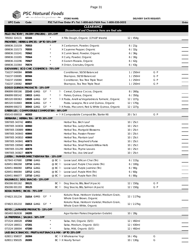

|                                                            | PSC Natural Foods    |                           |    |                |               |                                                                             |             |                               |       |
|------------------------------------------------------------|----------------------|---------------------------|----|----------------|---------------|-----------------------------------------------------------------------------|-------------|-------------------------------|-------|
|                                                            |                      | we deliver the goodness   |    |                |               | <b>STORE NAME:</b>                                                          |             | <b>DELIVERY DATE REQUEST:</b> |       |
| <b>UPC Code</b>                                            | Code                 |                           |    |                |               | PSC Toll Free Order #'s Tel: 1-800-663-7604 Fax: 1-800-520-5052             |             |                               | Order |
|                                                            |                      |                           |    |                |               | <b>CLEARANCE</b>                                                            |             |                               |       |
| FILLO FACTORY   PASTRY (FROZEN) - 15% OFF                  |                      |                           |    |                |               | Discontinued and Clearance items are final sale                             |             |                               |       |
| 785002 324131                                              | 02184                |                           |    |                |               | X Fillo Dough, Organic (13"x18" sheets)                                     | 12 / 454g   |                               |       |
| FRONTIER   HERBS & SPICES - UP TO 55% OFF                  |                      |                           |    |                |               |                                                                             |             |                               |       |
| 089836 210159                                              | 70553                |                           |    |                |               | X Cardamom, Powder, Organic                                                 | 6/21g       |                               |       |
| 089836 210173                                              | 70555                |                           |    |                |               | X Cayenne Pepper, Organic                                                   | 6/32g       |                               |       |
| 089836 210241                                              | 70562                |                           |    |                |               | X Cumin Seed, Powder, Organic                                               | 6/36g       |                               |       |
| 089836 210265                                              | 70564                |                           |    |                |               | X Curry, Powder, Organic                                                    | 6/30g       |                               |       |
| 089836 210296                                              | 70567                |                           |    |                |               | X Garam Masala, Organic                                                     | 6/42g       |                               |       |
| 089836 210364                                              | 70574                |                           |    |                |               | X Onion, Granules, Organic                                                  | 6/43g       |                               |       |
| GIOVANNI   ECO CHIC COSMETICS - 75% OFF                    |                      |                           |    |                |               |                                                                             |             |                               |       |
| 716237 040084                                              | 80589                |                           |    |                |               | Conditioner, 50/50 Balanced                                                 | 1 / 250ml   | G P                           |       |
| 716237 030085                                              | 80584                |                           |    |                |               | Shampoo, 50/50 Balanced                                                     | 1/250ml     | G P                           |       |
| 716237 150080                                              | 80591                |                           |    |                |               | Conditioner, Tea Tree Triple Treat                                          | 1/250ml     | G P                           |       |
| 716237 130082                                              | 80587                |                           |    |                |               | Shampoo, Tea Tree Triple Treat                                              | 1/250ml     | G P                           |       |
| <b>GOGO QUINOA PRODUCTS - 15% OFF</b>                      |                      |                           |    |                |               |                                                                             |             |                               |       |
| 896899 000166                                              |                      | 22143 GMO                 | GF |                | ŀ٥            | Cereal, Quinoa Cocoa, Organic                                               | 8 / 260g    |                               |       |
| 896899 000142                                              | 19015 GMO            |                           |    |                |               | Pu Flakes, Quinoa, Organic                                                  | 6/350q      |                               |       |
| 885320 000363                                              | 19028 <del>GMO</del> |                           | GF | $\star$        |               | Pu X Pasta, Anelli w/Vegetables & Turmeric, Organic                         | 12 / 227g   |                               |       |
| 885320 010683                                              |                      | 30036 GMO                 | GF | $\star$        |               | Pasta, Lasagna, Rice and Quinoa, Organic                                    | 12 / 170g   |                               |       |
| 896899 000272                                              |                      | 30043 GMO                 | GF | $\overline{a}$ |               | <sup>[1]</sup> X Pasta, Macaroni, Red & White Quinoa, Organic               | 12/227g     |                               |       |
| GREEN LID   COMPOSTABLE COMPOST BIN - 90% OFF              |                      |                           |    |                |               |                                                                             |             |                               |       |
| 858143 000018                                              | 46303                |                           |    |                |               | + Fux Compostable Compost Bin, Starter Kit                                  | 20 / 5ct    | G P                           |       |
| HERBARIA   HERBAL TEA - UP TO 20% OFF                      |                      |                           |    |                |               |                                                                             |             |                               |       |
| 5997005 343742 40851                                       |                      |                           |    |                |               | Herbal Tea, Birch Leaf                                                      | 10 / 25ct   |                               |       |
| 5997005 343834 40860                                       |                      |                           |    |                |               | Herbal Tea, Lady's Mantle                                                   | 10 / 25ct   |                               |       |
| 5997005 330889 40864                                       |                      |                           |    |                |               | Herbal Tea, Marigold Blossoms                                               | 10 / 25ct   |                               |       |
| 5997005 343643 40866                                       |                      |                           |    |                |               | Herbal Tea, Passion Flower                                                  | 10 / 25ct   |                               |       |
| 5997005 343810 40868                                       |                      |                           |    |                |               | Herbal Tea, Plantain Leaf                                                   | 10 / 25ct   |                               |       |
| 5997005 343841 40873                                       |                      |                           |    |                |               | Herbal Tea, Shepherd's Purse                                                | 10 / 25ct   |                               |       |
| 5997005 330940 40874                                       |                      |                           |    |                |               | Herbal Tea, Small Flowers Willow Herb                                       | 10 / 25ct   |                               |       |
| 5997005 331299 40878                                       |                      |                           |    |                |               | Herbal Tea, Thyme Leaves                                                    | 10 / 25ct   |                               |       |
| 5997005 343827 40879                                       |                      |                           |    |                |               | Herbal Tea, Uva Ursi Leaf                                                   | 10 / 25ct   |                               |       |
| <b>JUSTEA   FARMER DIRECT KENYAN TEA - 15% OFF</b>         |                      |                           |    |                |               |                                                                             |             |                               |       |
| 627843 437680                                              |                      | 13700 <del>GMO</del>      |    |                | @ BC P        | Loose Leaf, African Chai (Tin)                                              | 6/115g      |                               |       |
| 628451 866268                                              |                      | 13716 GMO                 |    |                |               | @ BC Pu Loose Leaf, Purple Chocolate (Tin)                                  | 6/100g      |                               |       |
| 628451 866060                                              |                      | 13711 <del>GMO</del>      |    |                |               | @ BC $\mathbb H$ Loose Leaf, Purple Jasmine (Tin)                           | 6/90g       |                               |       |
| 628451 866084                                              | 13712 <del>GMO</del> |                           |    |                |               | @ BC Pu Loose Leaf, Purple Mint (Tin)                                       | 6/60g       |                               |       |
| 628451 866077                                              | 13710 GMO            |                           |    |                |               | @ BC $\upbeta$ Loose Leaf, Purple Rain (Tin)                                | 6/80g       |                               |       |
| KALIWAGS   DOG SNACKS - 15% OFF                            |                      |                           |    |                |               |                                                                             |             |                               |       |
| 856306 001162                                              | 39121                |                           |    |                | BC Pu         | Dog Snacks, Bits, Beef (4 pack)                                             | 12 / 150g   | G P                           |       |
| 856306 001193                                              | 39125                |                           |    |                | $BC$ $\alpha$ | Dog Snacks, Bits, Salmon (4 pack)                                           | 12 / 150g   | G P                           |       |
| KODA FARMS   RICES - 75% OFF                               |                      |                           |    |                |               |                                                                             |             |                               |       |
| 074823 201234                                              |                      | 31014 GMO GF              |    |                |               | Kokuho Rose, Heirloom Varietal, Medium Grain,<br>Whole Grain Brown, Organic | 12 / 2.27kg |                               |       |
| 074823 201210                                              |                      | 31013 <del>GMO</del> GF * |    |                |               | Kokuho Rose, Heirloom Varietal, Medium Grain,<br>Whole Grain White, Organic | 12 / 2.27kg |                               |       |
| KOYO   JAPANESE PRODUCTS - 15% OFF                         |                      |                           |    |                |               |                                                                             |             |                               |       |
| 065493 062638                                              | 24205                |                           |    |                |               | Agar Kanten Flakes (Vegetarian Gelatin)                                     | 10/28g      |                               |       |
| LA PREFERIDA   SALSAS - 50% OFF                            |                      |                           |    |                |               |                                                                             |             |                               |       |
| 071524 180028                                              | 47202                |                           |    |                |               | Salsa, Hot, Organic (S/O)                                                   | 12 / 492ml  |                               |       |
| 071524 180011                                              | 47201                |                           |    |                |               | Salsa, Medium, Organic (S/O)                                                | 12 / 430ml  |                               |       |
| 071524 180004                                              | 47200                |                           |    |                |               | Salsa, Mild, Organic (S/O)                                                  | 12 / 492ml  |                               |       |
| LAID BACK SNACKS   FRUIT & NUT SNACK & MIX - UP TO 25% OFF |                      |                           |    |                |               |                                                                             |             |                               |       |
| 628011 958037                                              | 26304                |                           |    |                |               | BC 和 X Wholesome Yogi                                                       | 16 / 45g    | G                             |       |
| 628011 958105                                              | 26305                |                           |    |                |               | BC $\upbeta$ X Hearty Tamari                                                | 10 / 130g   | G                             |       |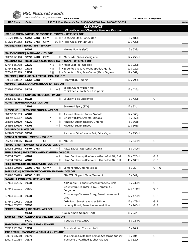

|                                                   | PSC Natural Foods        | we deliver the goodness |       |                                                                     |                               |       |  |
|---------------------------------------------------|--------------------------|-------------------------|-------|---------------------------------------------------------------------|-------------------------------|-------|--|
|                                                   |                          |                         |       | <b>STORE NAME:</b>                                                  | <b>DELIVERY DATE REQUEST:</b> |       |  |
| <b>UPC Code</b>                                   | Code                     |                         |       | PSC Toll Free Order #'s Tel: 1-800-663-7604 Fax: 1-800-520-5052     |                               | Order |  |
|                                                   |                          |                         |       | <b>CLEARANCE</b><br>Discontinued and Clearance items are final sale |                               |       |  |
|                                                   |                          |                         |       | LITTLE NORTHERN BAKEHOUSE PRODUCTS (FROZEN) - UP TO 50% OFF         |                               |       |  |
| 671521 440516                                     | 55452 <del>GMO</del> GFV |                         |       | BC Fx Loaf, Sprouted, Honey Oat                                     | 6/482g                        |       |  |
| 671521 441353                                     | 55460 GMO GFV            |                         |       | BC Pa X Pizza Crust, Thin (10" 2pk)                                 | 12 / 420g                     |       |  |
| MAISIE JANE'S   NUT BUTTERS - 35% OFF             |                          |                         |       |                                                                     |                               |       |  |
|                                                   | 91604                    |                         |       | Harvest Bounty (S/O)                                                | 6/538g                        |       |  |
| MAISON ORPHEE   MARINADE - 15% OFF                |                          |                         |       |                                                                     |                               |       |  |
| 069593 121400                                     | 32390 GMO GFV            |                         |       | + Pu Marinade, Greek Vinaigrette                                    | 12 / 250ml                    |       |  |
|                                                   |                          |                         |       | MILLENNIA TEA   FRESH-LEAF & SUPERFOOD TEA (FROZEN) - UP TO 90% OFF |                               |       |  |
| 627843 851738                                     | 13730                    | $*$ @                   |       | 心 X Fresh-Leaf Tea, Organic                                         | 12 / 120g                     |       |  |
| 627843 851783                                     | 13732                    | $*$ @                   |       | <sup>[</sup> a X Superfood Tea, Raw Chopped, Organic                | 12 / 120g                     |       |  |
| 627843 851769                                     | 13731                    | $*$ @                   |       | Pux Superfood Tea, Raw Cubes (12ct), Organic                        | 12 / 162g                     |       |  |
| MR. SPICE   ORGANIC SALT FREE SAUCES - 65% OFF    |                          |                         |       |                                                                     |                               |       |  |
| 039348 000212 14262 GMO                           |                          | $^{\star}$              |       | Honey BBQ, Organic                                                  | 12 / 298g                     |       |  |
| MUMM'S   SEEDS & SANDWICH BOOSTER - 55% OFF       |                          |                         |       |                                                                     |                               |       |  |
|                                                   |                          |                         |       | Seeds, Crunchy Bean Mix                                             |                               |       |  |
| 073295 125420 34432                               |                          |                         | $+$ 2 | (Chickpeas/Lentils/Peas), Organic                                   | 12/125q                       |       |  |
| NATURE CLEAN   LAUNDRY PRODUCTS - 15% OFF         |                          |                         |       |                                                                     |                               |       |  |
| 058951 307181 80724                               |                          |                         | + P   | Laundry Tabs, Unscented                                             | 8 / 432g                      | G P   |  |
| NORA   SEAWEED SNACKS - 30% OFF                   |                          |                         |       |                                                                     |                               |       |  |
|                                                   | 19103                    |                         |       | Seaweed Spicy (S/O)                                                 | 12 / 32g                      |       |  |
| NUTS TO YOU   NUT & SEED BUTTERS - 40% OFF        |                          |                         |       |                                                                     |                               |       |  |
| 068892 241253                                     | 42707                    |                         | + P   | Almond Hazelnut Butter, Smooth                                      | 12 / 365g                     |       |  |
| 068892 324987                                     | 42725                    |                         | + や   | Cashew Butter, Smooth, Organic                                      | 6/365g                        |       |  |
| 068892 200120                                     | 42730                    |                         | + P   | Hazelnut Butter, Smooth, Organic                                    | 6/365g                        |       |  |
| 068892 200106                                     | 42208                    |                         | + P   | Hazelnut Butter, Smooth                                             | 12 / 365g                     |       |  |
|                                                   |                          |                         |       |                                                                     |                               |       |  |
| OLIVADO OILS - 60% OFF<br>9421009 030286 37592    |                          |                         |       |                                                                     |                               |       |  |
|                                                   |                          |                         |       | Avocado Oil w/Lemon Zest, Extra Virgin                              | 6 / 250ml                     |       |  |
| OMEGA NUTRITION   MCT OIL - 15% OFF               |                          |                         |       |                                                                     |                               |       |  |
| 055358 350086                                     | 85343                    | GF                      |       | Pu MCT Oil                                                          | 6 / 946ml                     | G     |  |
| PERFECT CHEF   TOMATO PASTA SAUCE - 25% OFF       |                          |                         |       |                                                                     |                               |       |  |
| 620988 050462                                     | 42407 GMO                |                         |       | * + Fu Pasta Sauce, Red Lentil, Organic                             | 6 / 740ml                     |       |  |
| PURPLE FROG   HYDRATING HAND SANITIZER - 20% OFF  |                          |                         |       |                                                                     |                               |       |  |
| 676034 000011                                     | 47101                    |                         |       | + Pu Hand Sanitizer w/Aloe Vera + Grapefruit Oil, Gel               | 24 / 125ml                    | G P   |  |
| 676034 000004                                     | 47100                    |                         |       | + $\beta$ Hand Sanitizer w/Aloe Vera + Grapefruit Oil, Gel          | 48 / 60ml                     | G P   |  |
| RISE   KOMBUCHA (REFRIGERATED) - 25% OFF          |                          |                         |       |                                                                     |                               |       |  |
| 818762 000356 15309 GMO GFV *                     |                          |                         |       | + Fu Lemongrass, Organic (glass)                                    | 6/1                           | GPU   |  |
| SAFE CATCH   LOW MERCURY CANNED SEAFOOD - 30% OFF |                          |                         |       |                                                                     |                               |       |  |
| 859480 006299 68506 GMO                           |                          |                         |       | Elite Wild Skipjack Tuna, Tandoori                                  | 6/142q                        |       |  |
| SAPADILLA PRODUCTS - UP TO 60% OFF                |                          |                         |       |                                                                     |                               |       |  |
| 677141 002035                                     | 70334                    |                         |       | All Purpose Cleaner, Sweet Lavender & Lime                          | 6 / 739ml                     | G P   |  |
| 677141 001021                                     | 70330                    |                         |       | Countertop Cleanser Spray, Grapefruit &                             | 12 / 473ml                    | G P   |  |
|                                                   |                          |                         |       | Bergamot                                                            |                               |       |  |
| 677141 001038                                     | 70331                    |                         |       | Countertop Cleanser Spray, Sweet Lavender &                         | 12 / 473ml                    | G P   |  |
|                                                   |                          |                         |       | Lime                                                                |                               |       |  |
| 677141 000031                                     | 70328                    |                         |       | Dish Soap, Sweet Lavender & Lime                                    | 12 / 473ml                    | G P   |  |
| 677141 003032                                     | 70398                    |                         |       | Laundry Liquid, Sweet Lavender & Lime                               | 6 / 946ml                     | G P   |  |
| SIMPLY ORGANIC   DIP MIXES - 45% OFF              |                          |                         |       |                                                                     |                               |       |  |
|                                                   | 91361                    |                         |       | X Guacamole Shipper (S/O)                                           | 36 / 1ea                      |       |  |
| TOFURKY   MEAT ALTERNATIVES (FROZEN) - 30% OFF    |                          |                         |       |                                                                     |                               |       |  |
|                                                   | 57070                    |                         |       | Vegetable Feast (S/O)                                               | $6/1.58$ kg                   |       |  |
| <b>TRADITIONAL MEDICINALS TEAS - 35% OFF</b>      |                          |                         |       |                                                                     |                               |       |  |
| 032917 101884                                     | 12951                    |                         |       | Smooth Move, Chamomile□                                             | 6 / 20ct                      |       |  |
| TRUE CITRUS   SEASONING & DRINK MIX - 15% OFF     |                          |                         |       |                                                                     |                               |       |  |
| 810979 006800                                     | 70370                    |                         |       | True Lemon Crystallized Lemon Seasoning Shaker                      | 6/60g                         | G     |  |
| 810979 001454                                     | 70371                    |                         |       | True Lime Crystallized Sachet Packets                               | 12 / 32ct                     |       |  |